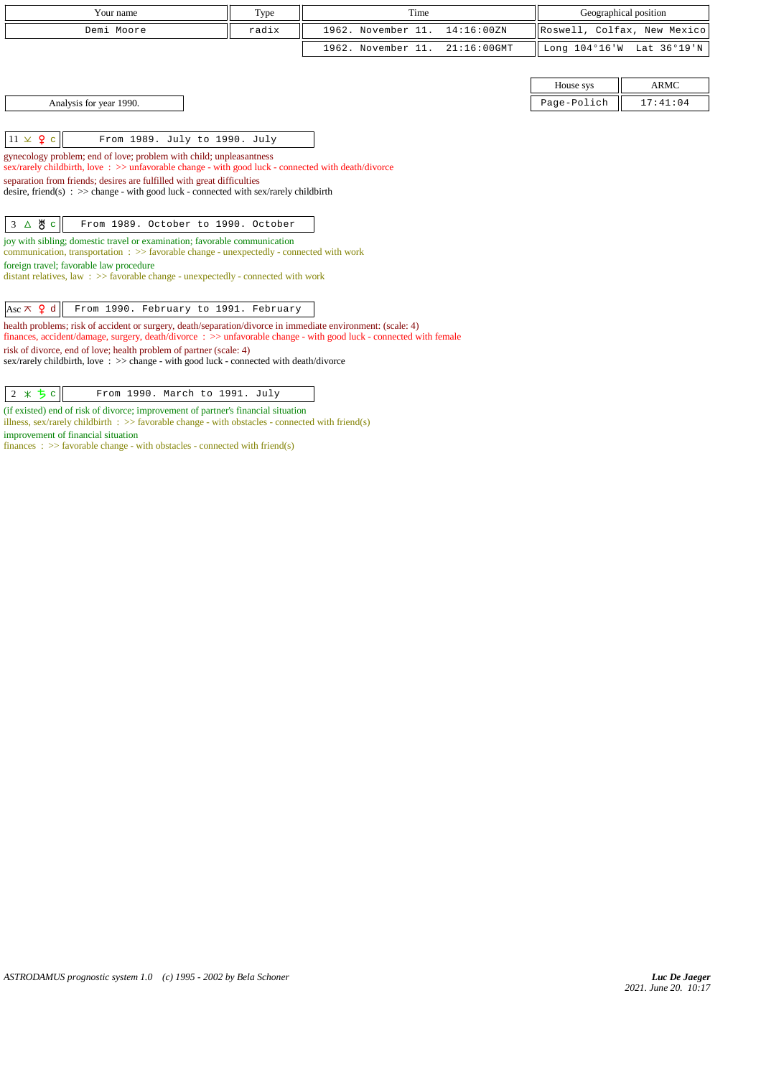| Your name                                                                                                                                                                                                                                                                                                                                       | Type  | Time               |                | Geographical position       |             |
|-------------------------------------------------------------------------------------------------------------------------------------------------------------------------------------------------------------------------------------------------------------------------------------------------------------------------------------------------|-------|--------------------|----------------|-----------------------------|-------------|
| Demi Moore                                                                                                                                                                                                                                                                                                                                      | radix | 1962. November 11. | 14:16:00ZN     | Roswell, Colfax, New Mexico |             |
|                                                                                                                                                                                                                                                                                                                                                 |       | 1962. November 11. | $21:16:00$ GMT | Long $104^{\circ}16$ 'W     | Lat 36°19'N |
|                                                                                                                                                                                                                                                                                                                                                 |       |                    |                |                             |             |
|                                                                                                                                                                                                                                                                                                                                                 |       |                    |                | House sys                   | <b>ARMC</b> |
| Analysis for year 1990.                                                                                                                                                                                                                                                                                                                         |       |                    |                | Page-Polich                 | 17:41:04    |
|                                                                                                                                                                                                                                                                                                                                                 |       |                    |                |                             |             |
| $11 \times 9$ c<br>From 1989. July to 1990. July                                                                                                                                                                                                                                                                                                |       |                    |                |                             |             |
| gynecology problem; end of love; problem with child; unpleasantness<br>sex/rarely childbirth, love: >> unfavorable change - with good luck - connected with death/divorce<br>separation from friends; desires are fulfilled with great difficulties<br>desire, friend(s) : $\gg$ change - with good luck - connected with sex/rarely childbirth |       |                    |                |                             |             |
| 3 △ 5 °<br>From 1989. October to 1990. October                                                                                                                                                                                                                                                                                                  |       |                    |                |                             |             |
| joy with sibling; domestic travel or examination; favorable communication                                                                                                                                                                                                                                                                       |       |                    |                |                             |             |
| communication, transportation: >> favorable change - unexpectedly - connected with work<br>foreign travel; favorable law procedure                                                                                                                                                                                                              |       |                    |                |                             |             |
| distant relatives, law: >> favorable change - unexpectedly - connected with work                                                                                                                                                                                                                                                                |       |                    |                |                             |             |
|                                                                                                                                                                                                                                                                                                                                                 |       |                    |                |                             |             |
| Asc $\pi$ <b>9</b> d<br>From 1990. February to 1991. February                                                                                                                                                                                                                                                                                   |       |                    |                |                             |             |
| health problems; risk of accident or surgery, death/separation/divorce in immediate environment: (scale: 4)<br>finances, accident/damage, surgery, death/divorce : >> unfavorable change - with good luck - connected with female                                                                                                               |       |                    |                |                             |             |
| risk of divorce, end of love; health problem of partner (scale: 4)<br>sex/rarely childbirth, love: $\gg$ change - with good luck - connected with death/divorce                                                                                                                                                                                 |       |                    |                |                             |             |

 $\begin{array}{|c|c|c|c|}\n\hline\n2 & \times & \texttt{5} & \texttt{From 1990. March to 1991. July}\n\end{array}$ 

(if existed) end of risk of divorce; improvement of partner's financial situation

illness, sex/rarely childbirth : >> favorable change - with obstacles - connected with friend(s) improvement of financial situation

finances :  $\gg$  favorable change - with obstacles - connected with friend(s)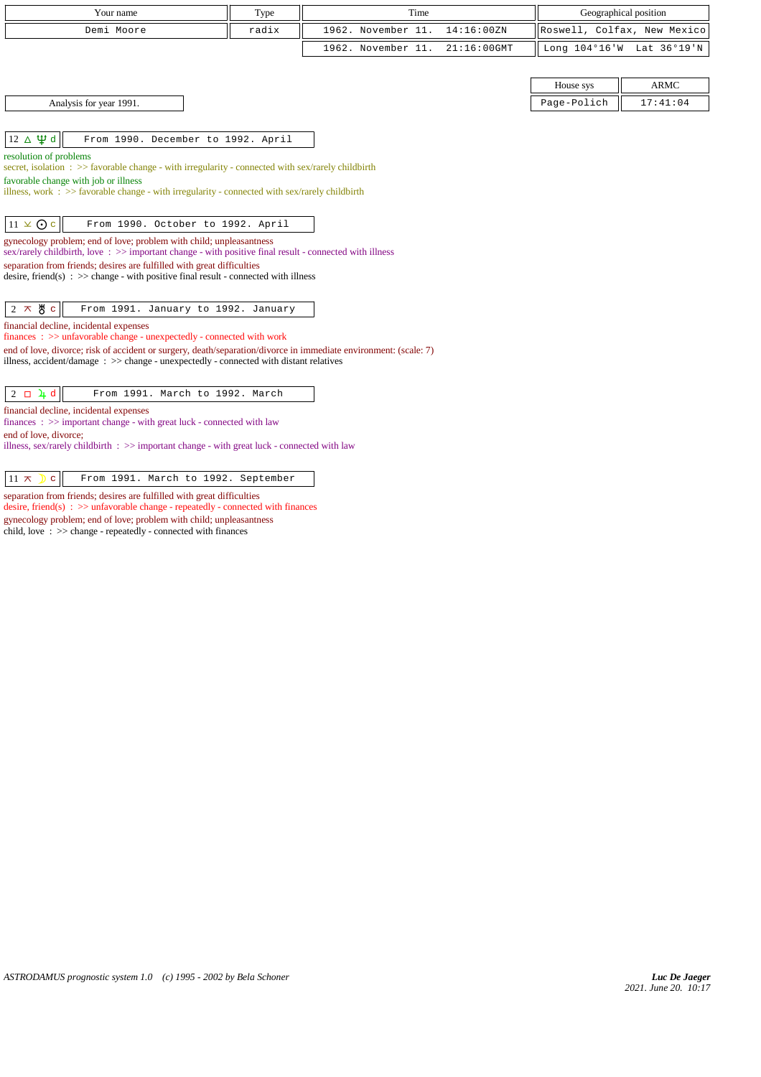| Your name                                                                                                                                                                        | Type  | Time                                 |                         | Geographical position       |
|----------------------------------------------------------------------------------------------------------------------------------------------------------------------------------|-------|--------------------------------------|-------------------------|-----------------------------|
| Demi Moore                                                                                                                                                                       | radix | 1962. November 11.<br>14:16:00ZN     |                         | Roswell, Colfax, New Mexico |
|                                                                                                                                                                                  |       | 1962. November 11.<br>$21:16:00$ GMT | Long $104^{\circ}16$ 'W | Lat 36°19'N                 |
|                                                                                                                                                                                  |       |                                      |                         |                             |
|                                                                                                                                                                                  |       |                                      | House sys               | <b>ARMC</b>                 |
| Analysis for year 1991.                                                                                                                                                          |       |                                      | Page-Polich             | 17:41:04                    |
|                                                                                                                                                                                  |       |                                      |                         |                             |
| $12 \Delta \Psi d$<br>From 1990. December to 1992. April                                                                                                                         |       |                                      |                         |                             |
| resolution of problems                                                                                                                                                           |       |                                      |                         |                             |
| secret, isolation: >> favorable change - with irregularity - connected with sex/rarely childbirth<br>favorable change with job or illness                                        |       |                                      |                         |                             |
| illness, work : $\gg$ favorable change - with irregularity - connected with sex/rarely childbirth                                                                                |       |                                      |                         |                             |
|                                                                                                                                                                                  |       |                                      |                         |                             |
| $11 \times Qc$<br>From 1990. October to 1992. April                                                                                                                              |       |                                      |                         |                             |
| gynecology problem; end of love; problem with child; unpleasantness<br>sex/rarely childbirth, love: $\gg$ important change - with positive final result - connected with illness |       |                                      |                         |                             |
| separation from friends; desires are fulfilled with great difficulties                                                                                                           |       |                                      |                         |                             |
| desire, friend(s) : $\gg$ change - with positive final result - connected with illness                                                                                           |       |                                      |                         |                             |
|                                                                                                                                                                                  |       |                                      |                         |                             |
| $2 \times 8$ c<br>From 1991. January to 1992. January                                                                                                                            |       |                                      |                         |                             |
| financial decline, incidental expenses<br>finances : >> unfavorable change - unexpectedly - connected with work                                                                  |       |                                      |                         |                             |
| end of love, divorce; risk of accident or surgery, death/separation/divorce in immediate environment: (scale: 7)                                                                 |       |                                      |                         |                             |
| illness, accident/damage : $\gg$ change - unexpectedly - connected with distant relatives                                                                                        |       |                                      |                         |                             |
| $2 \Box 4 d$<br>From 1991. March to 1992. March                                                                                                                                  |       |                                      |                         |                             |
| financial decline, incidental expenses                                                                                                                                           |       |                                      |                         |                             |
| finances $\Rightarrow$ important change - with great luck - connected with law                                                                                                   |       |                                      |                         |                             |
| end of love, divorce:<br>illness, sex/rarely childbirth $\Rightarrow$ important change - with great luck - connected with law                                                    |       |                                      |                         |                             |
|                                                                                                                                                                                  |       |                                      |                         |                             |
| From 1991. March to 1992. September<br>$11 \pi$<br>$\mathbf{C}$                                                                                                                  |       |                                      |                         |                             |

separation from friends; desires are fulfilled with great difficulties desire, friend(s)  $\Rightarrow$  >> unfavorable change - repeatedly - connected with finances gynecology problem; end of love; problem with child; unpleasantness

child, love : >> change - repeatedly - connected with finances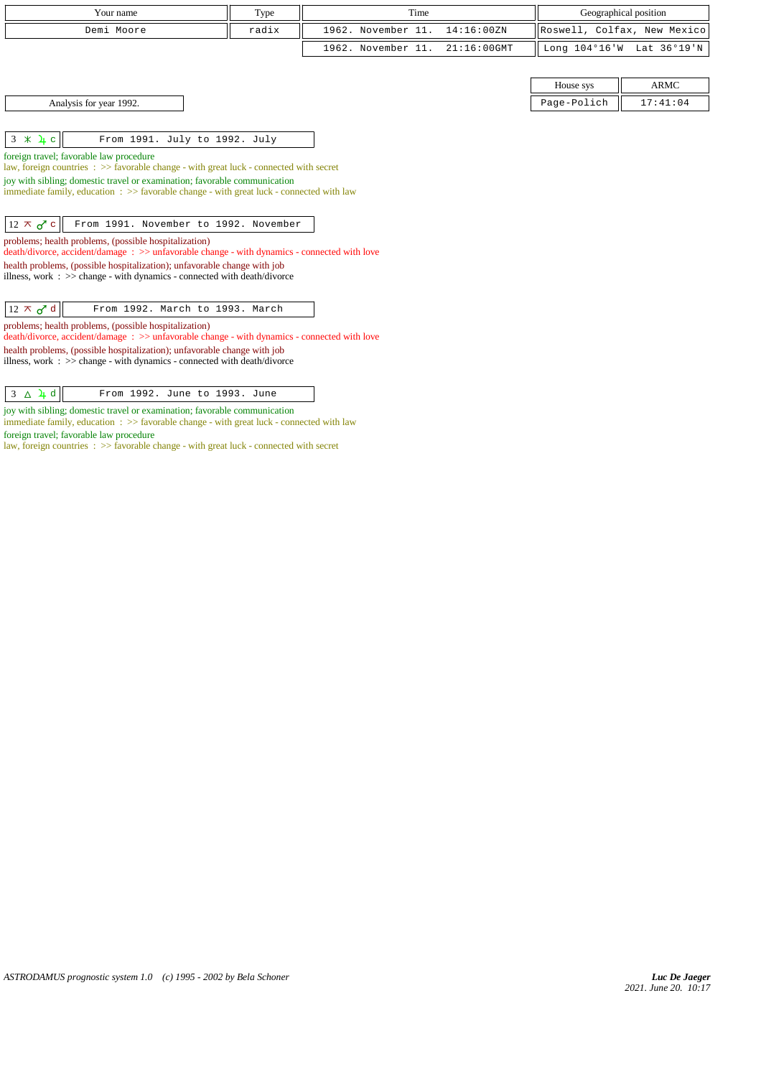| Your name                                                                                                                                                                                                                                                                                                                                                                                                                                                                                                                                                                                                           | Type  | Time               |                |             | Geographical position       |
|---------------------------------------------------------------------------------------------------------------------------------------------------------------------------------------------------------------------------------------------------------------------------------------------------------------------------------------------------------------------------------------------------------------------------------------------------------------------------------------------------------------------------------------------------------------------------------------------------------------------|-------|--------------------|----------------|-------------|-----------------------------|
|                                                                                                                                                                                                                                                                                                                                                                                                                                                                                                                                                                                                                     |       |                    |                |             |                             |
| Demi Moore                                                                                                                                                                                                                                                                                                                                                                                                                                                                                                                                                                                                          | radix | 1962. November 11. | 14:16:00ZN     |             | Roswell, Colfax, New Mexico |
|                                                                                                                                                                                                                                                                                                                                                                                                                                                                                                                                                                                                                     |       | 1962. November 11. | $21:16:00$ GMT |             | Long 104°16'W Lat 36°19'N   |
|                                                                                                                                                                                                                                                                                                                                                                                                                                                                                                                                                                                                                     |       |                    |                |             |                             |
|                                                                                                                                                                                                                                                                                                                                                                                                                                                                                                                                                                                                                     |       |                    |                | House sys   | <b>ARMC</b>                 |
| Analysis for year 1992.                                                                                                                                                                                                                                                                                                                                                                                                                                                                                                                                                                                             |       |                    |                | Page-Polich | 17:41:04                    |
|                                                                                                                                                                                                                                                                                                                                                                                                                                                                                                                                                                                                                     |       |                    |                |             |                             |
| $3 \times 4c$<br>From 1991. July to 1992. July                                                                                                                                                                                                                                                                                                                                                                                                                                                                                                                                                                      |       |                    |                |             |                             |
| foreign travel; favorable law procedure<br>law, foreign countries : >> favorable change - with great luck - connected with secret<br>joy with sibling; domestic travel or examination; favorable communication<br>immediate family, education $\Rightarrow$ favorable change - with great luck - connected with law<br>$12 \times d$ c<br>From 1991. November to 1992. November<br>problems; health problems, (possible hospitalization)<br>death/divorce, accident/damage: >> unfavorable change - with dynamics - connected with love<br>health problems, (possible hospitalization); unfavorable change with job |       |                    |                |             |                             |
| illness, work : $\gg$ change - with dynamics - connected with death/divorce<br>$12 \times d$<br>From 1992. March to 1993. March                                                                                                                                                                                                                                                                                                                                                                                                                                                                                     |       |                    |                |             |                             |
| problems; health problems, (possible hospitalization)<br>death/divorce, accident/damage: >> unfavorable change - with dynamics - connected with love<br>health problems, (possible hospitalization); unfavorable change with job<br>illness, work $\Rightarrow$ >> change - with dynamics - connected with death/divorce<br>From 1992. June to 1993. June<br>$3 \Delta \cancel{1} d$                                                                                                                                                                                                                                |       |                    |                |             |                             |
|                                                                                                                                                                                                                                                                                                                                                                                                                                                                                                                                                                                                                     |       |                    |                |             |                             |

joy with sibling; domestic travel or examination; favorable communication immediate family, education : >> favorable change - with great luck - connected with law

foreign travel; favorable law procedure

law, foreign countries : >> favorable change - with great luck - connected with secret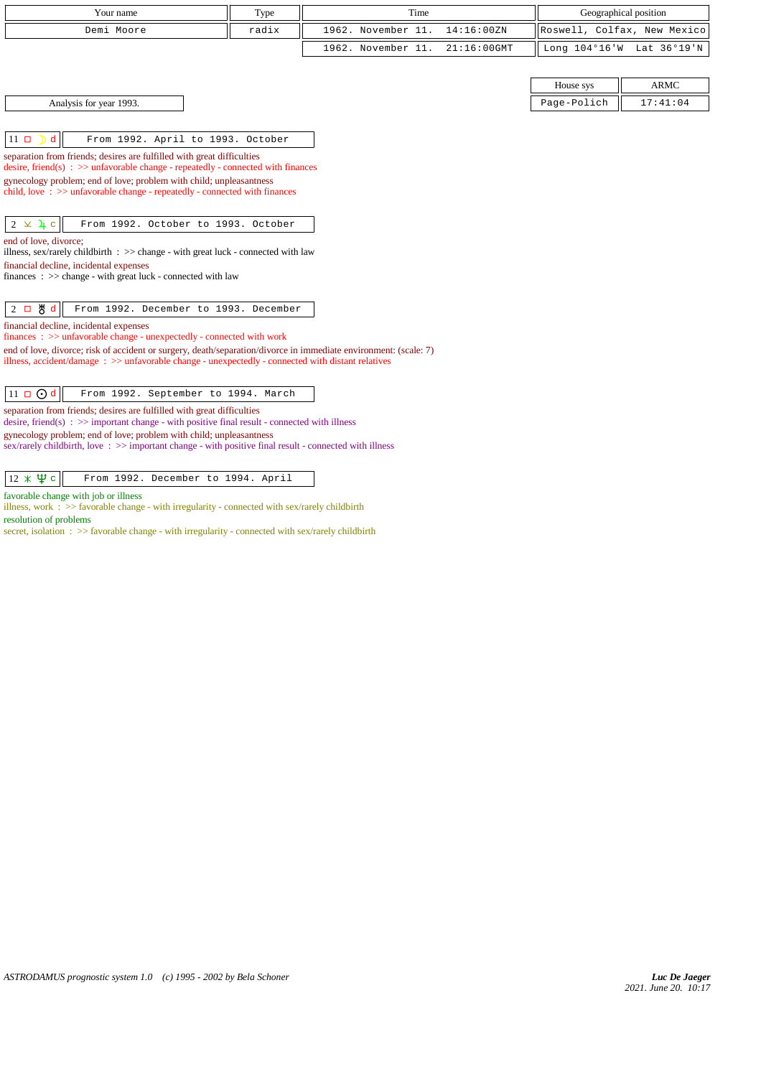| Your name                                                                                                                                                                                                                 | Type  | Time                                 | Geographical position       |             |
|---------------------------------------------------------------------------------------------------------------------------------------------------------------------------------------------------------------------------|-------|--------------------------------------|-----------------------------|-------------|
| Demi Moore                                                                                                                                                                                                                | radix | 1962. November 11.<br>14:16:00 ZN    | Roswell, Colfax, New Mexico |             |
|                                                                                                                                                                                                                           |       | $21:16:00$ GMT<br>1962. November 11. | Long 104°16'W               | Lat 36°19'N |
|                                                                                                                                                                                                                           |       |                                      |                             |             |
|                                                                                                                                                                                                                           |       |                                      | House sys                   | <b>ARMC</b> |
| Analysis for year 1993.                                                                                                                                                                                                   |       |                                      | Page-Polich                 | 17:41:04    |
|                                                                                                                                                                                                                           |       |                                      |                             |             |
| d<br>$11$ $\Box$<br>From 1992. April to 1993. October                                                                                                                                                                     |       |                                      |                             |             |
| separation from friends; desires are fulfilled with great difficulties                                                                                                                                                    |       |                                      |                             |             |
| desire, friend(s) : $\gg$ unfavorable change - repeatedly - connected with finances                                                                                                                                       |       |                                      |                             |             |
| gynecology problem; end of love; problem with child; unpleasantness<br>child, love $\Rightarrow$ >> unfavorable change - repeatedly - connected with finances                                                             |       |                                      |                             |             |
|                                                                                                                                                                                                                           |       |                                      |                             |             |
| $2 \times 4$ c<br>From 1992. October to 1993. October                                                                                                                                                                     |       |                                      |                             |             |
| end of love, divorce;                                                                                                                                                                                                     |       |                                      |                             |             |
| illness, sex/rarely childbirth $\Rightarrow$ > change - with great luck - connected with law                                                                                                                              |       |                                      |                             |             |
| financial decline, incidental expenses<br>finances : $\gg$ change - with great luck - connected with law                                                                                                                  |       |                                      |                             |             |
|                                                                                                                                                                                                                           |       |                                      |                             |             |
| 쁑 d<br>From 1992. December to 1993. December<br>$2\Box$                                                                                                                                                                   |       |                                      |                             |             |
| financial decline, incidental expenses                                                                                                                                                                                    |       |                                      |                             |             |
| finances: >> unfavorable change - unexpectedly - connected with work                                                                                                                                                      |       |                                      |                             |             |
| end of love, divorce; risk of accident or surgery, death/separation/divorce in immediate environment: (scale: 7)<br>illness, accident/damage : $\gg$ unfavorable change - unexpectedly - connected with distant relatives |       |                                      |                             |             |
|                                                                                                                                                                                                                           |       |                                      |                             |             |
| $11 \square$ $0d$<br>From 1992. September to 1994. March                                                                                                                                                                  |       |                                      |                             |             |
| separation from friends; desires are fulfilled with great difficulties<br>desire, friend(s) : $\gg$ important change - with positive final result - connected with illness                                                |       |                                      |                             |             |
| gynecology problem; end of love; problem with child; unpleasantness<br>sex/rarely childbirth, love $\Rightarrow$ important change - with positive final result - connected with illness                                   |       |                                      |                             |             |
|                                                                                                                                                                                                                           |       |                                      |                             |             |
| $12 \times \Psi$ c<br>From 1992. December to 1994. April                                                                                                                                                                  |       |                                      |                             |             |

favorable change with job or illness

illness, work : >> favorable change - with irregularity - connected with sex/rarely childbirth resolution of problems

secret, isolation :  $\gg$  favorable change - with irregularity - connected with sex/rarely childbirth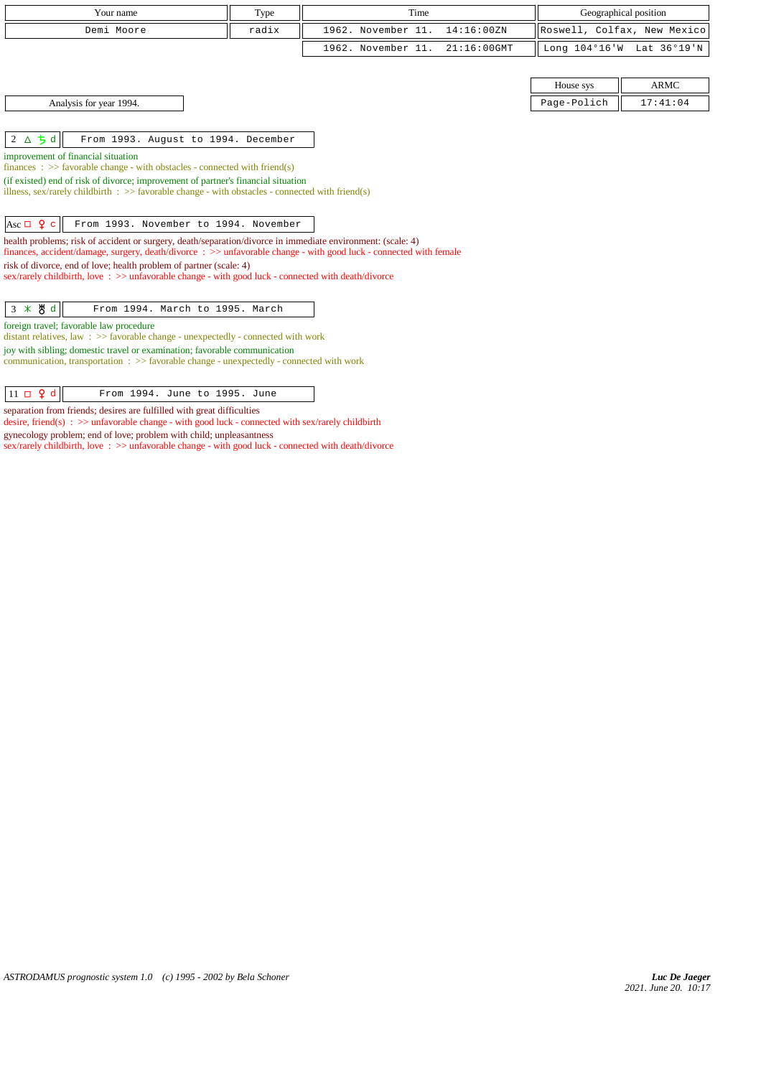| Your name                                                                                                                                                                                                                                                                                                                                                                                                                                                                                                                                                                                                                                                                                                                                                                                     | Type  | Time                                 |             | Geographical position       |
|-----------------------------------------------------------------------------------------------------------------------------------------------------------------------------------------------------------------------------------------------------------------------------------------------------------------------------------------------------------------------------------------------------------------------------------------------------------------------------------------------------------------------------------------------------------------------------------------------------------------------------------------------------------------------------------------------------------------------------------------------------------------------------------------------|-------|--------------------------------------|-------------|-----------------------------|
| Demi Moore                                                                                                                                                                                                                                                                                                                                                                                                                                                                                                                                                                                                                                                                                                                                                                                    | radix | 1962. November 11.<br>14:16:00ZN     |             | Roswell, Colfax, New Mexico |
|                                                                                                                                                                                                                                                                                                                                                                                                                                                                                                                                                                                                                                                                                                                                                                                               |       | 1962. November 11.<br>$21:16:00$ GMT |             | Long 104°16'W Lat 36°19'N   |
|                                                                                                                                                                                                                                                                                                                                                                                                                                                                                                                                                                                                                                                                                                                                                                                               |       |                                      |             |                             |
|                                                                                                                                                                                                                                                                                                                                                                                                                                                                                                                                                                                                                                                                                                                                                                                               |       |                                      | House sys   | <b>ARMC</b>                 |
| Analysis for year 1994.                                                                                                                                                                                                                                                                                                                                                                                                                                                                                                                                                                                                                                                                                                                                                                       |       |                                      | Page-Polich | 17:41:04                    |
|                                                                                                                                                                                                                                                                                                                                                                                                                                                                                                                                                                                                                                                                                                                                                                                               |       |                                      |             |                             |
| $2\Delta$ $\frac{1}{2}d$<br>From 1993. August to 1994. December                                                                                                                                                                                                                                                                                                                                                                                                                                                                                                                                                                                                                                                                                                                               |       |                                      |             |                             |
| improvement of financial situation<br>finances : $\gg$ favorable change - with obstacles - connected with friend(s)<br>(if existed) end of risk of divorce; improvement of partner's financial situation<br>illness, sex/rarely childbirth : $\gg$ favorable change - with obstacles - connected with friend(s)<br>Asc $\Box$ 9 c<br>From 1993. November to 1994. November<br>health problems; risk of accident or surgery, death/separation/divorce in immediate environment: (scale: 4)<br>finances, accident/damage, surgery, death/divorce: $\gg$ unfavorable change - with good luck - connected with female<br>risk of divorce, end of love; health problem of partner (scale: 4)<br>sex/rarely childbirth, love: >> unfavorable change - with good luck - connected with death/divorce |       |                                      |             |                             |
| 3 * \$ d<br>From 1994. March to 1995. March                                                                                                                                                                                                                                                                                                                                                                                                                                                                                                                                                                                                                                                                                                                                                   |       |                                      |             |                             |
| foreign travel; favorable law procedure<br>distant relatives, law : >> favorable change - unexpectedly - connected with work<br>joy with sibling; domestic travel or examination; favorable communication<br>communication, transportation : >> favorable change - unexpectedly - connected with work                                                                                                                                                                                                                                                                                                                                                                                                                                                                                         |       |                                      |             |                             |

 $\boxed{11 \Box \ Q \ d}$  From 1994. June to 1995. June

separation from friends; desires are fulfilled with great difficulties

desire, friend(s) : >> unfavorable change - with good luck - connected with sex/rarely childbirth

gynecology problem; end of love; problem with child; unpleasantness

sex/rarely childbirth, love : >> unfavorable change - with good luck - connected with death/divorce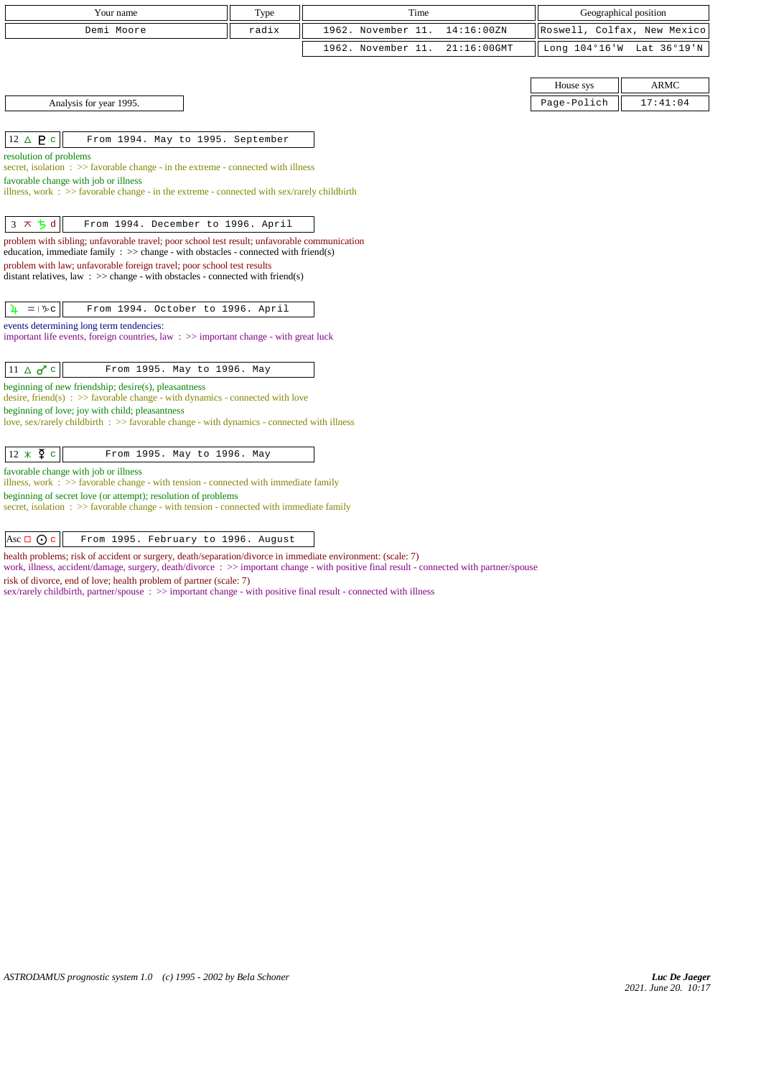| Your name                                                                                                                                                                              | Type  | Time               |                | Geographical position       |                           |
|----------------------------------------------------------------------------------------------------------------------------------------------------------------------------------------|-------|--------------------|----------------|-----------------------------|---------------------------|
| Demi Moore                                                                                                                                                                             | radix | 1962. November 11. | 14:16:00 ZN    | Roswell, Colfax, New Mexico |                           |
|                                                                                                                                                                                        |       | 1962. November 11. | $21:16:00$ GMT |                             | Long 104°16'W Lat 36°19'N |
|                                                                                                                                                                                        |       |                    |                |                             |                           |
|                                                                                                                                                                                        |       |                    |                | House sys                   | <b>ARMC</b>               |
| Analysis for year 1995.                                                                                                                                                                |       |                    |                | Page-Polich                 | 17:41:04                  |
|                                                                                                                                                                                        |       |                    |                |                             |                           |
| $12 \triangle P c$<br>From 1994. May to 1995. September                                                                                                                                |       |                    |                |                             |                           |
| resolution of problems<br>secret, isolation $\Rightarrow$ Savorable change - in the extreme - connected with illness                                                                   |       |                    |                |                             |                           |
| favorable change with job or illness                                                                                                                                                   |       |                    |                |                             |                           |
| illness, work : $\gg$ favorable change - in the extreme - connected with sex/rarely childbirth                                                                                         |       |                    |                |                             |                           |
|                                                                                                                                                                                        |       |                    |                |                             |                           |
| $3 \times 5d$<br>From 1994. December to 1996. April                                                                                                                                    |       |                    |                |                             |                           |
| problem with sibling; unfavorable travel; poor school test result; unfavorable communication<br>education, immediate family : $\gg$ change - with obstacles - connected with friend(s) |       |                    |                |                             |                           |
| problem with law; unfavorable foreign travel; poor school test results                                                                                                                 |       |                    |                |                             |                           |
| distant relatives, law : $\gg$ change - with obstacles - connected with friend(s)                                                                                                      |       |                    |                |                             |                           |
|                                                                                                                                                                                        |       |                    |                |                             |                           |
| From 1994. October to 1996. April<br>4<br>$m \mid \mathcal{V}_0$ C                                                                                                                     |       |                    |                |                             |                           |
| events determining long term tendencies:<br>important life events, foreign countries, law $\Rightarrow$ important change - with great luck                                             |       |                    |                |                             |                           |
|                                                                                                                                                                                        |       |                    |                |                             |                           |
| $11 \triangle \sigma$ <sup>c</sup><br>From 1995. May to 1996. May                                                                                                                      |       |                    |                |                             |                           |
| beginning of new friendship; desire(s), pleasantness<br>desire, friend(s) : $\gg$ favorable change - with dynamics - connected with love                                               |       |                    |                |                             |                           |
| beginning of love; joy with child; pleasantness                                                                                                                                        |       |                    |                |                             |                           |
| love, sex/rarely childbirth $\Rightarrow$ Savorable change - with dynamics - connected with illness                                                                                    |       |                    |                |                             |                           |
|                                                                                                                                                                                        |       |                    |                |                             |                           |
| $12 \times \overline{2}$ c<br>From 1995. May to 1996. May                                                                                                                              |       |                    |                |                             |                           |
| favorable change with job or illness<br>illness, work : $\gg$ favorable change - with tension - connected with immediate family                                                        |       |                    |                |                             |                           |
| beginning of secret love (or attempt); resolution of problems                                                                                                                          |       |                    |                |                             |                           |

secret, isolation :  $\gg$  favorable change - with tension - connected with immediate family

Asc  $\overline{Qc}$  From 1995. February to 1996. August

health problems; risk of accident or surgery, death/separation/divorce in immediate environment: (scale: 7)

work, illness, accident/damage, surgery, death/divorce : >> important change - with positive final result - connected with partner/spouse risk of divorce, end of love; health problem of partner (scale: 7)

sex/rarely childbirth, partner/spouse : >> important change - with positive final result - connected with illness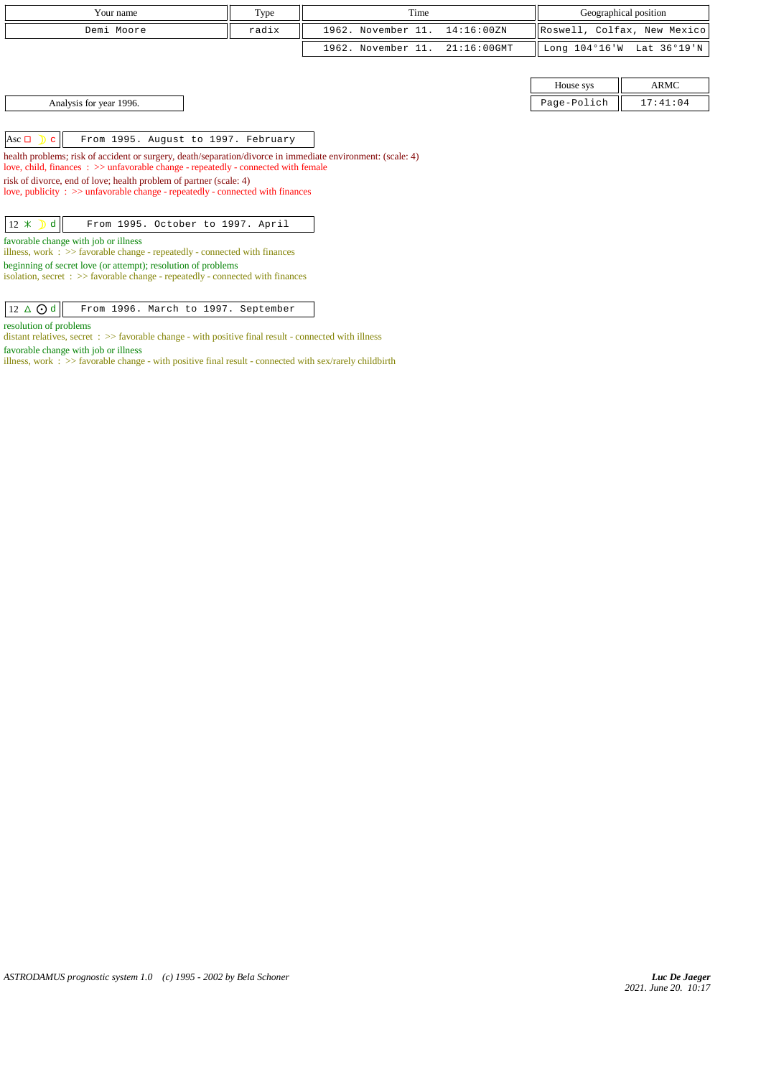| Your name                                                                                                                                                                                         | Type  | Time               |                | Geographical position |                             |
|---------------------------------------------------------------------------------------------------------------------------------------------------------------------------------------------------|-------|--------------------|----------------|-----------------------|-----------------------------|
| Demi Moore                                                                                                                                                                                        | radix | 1962. November 11. | 14:16:00ZN     |                       | Roswell, Colfax, New Mexico |
|                                                                                                                                                                                                   |       | 1962. November 11. | $21:16:00$ GMT | Long 104°16'W         | Lat 36°19'N                 |
|                                                                                                                                                                                                   |       |                    |                |                       |                             |
|                                                                                                                                                                                                   |       |                    |                | House sys             | ARMC                        |
| Analysis for year 1996.                                                                                                                                                                           |       |                    |                | Page-Polich           | 17:41:04                    |
|                                                                                                                                                                                                   |       |                    |                |                       |                             |
| $\text{Asc } \Box$ $\Box$ $\Box$<br>From 1995. August to 1997. February                                                                                                                           |       |                    |                |                       |                             |
| health problems; risk of accident or surgery, death/separation/divorce in immediate environment: (scale: 4)<br>love, child, finances : >> unfavorable change - repeatedly - connected with female |       |                    |                |                       |                             |
| risk of divorce, end of love; health problem of partner (scale: 4)<br>love, publicity $\Rightarrow$ > unfavorable change - repeatedly - connected with finances                                   |       |                    |                |                       |                             |
| $12 \times D$<br>$\mathbf d$<br>From 1995. October to 1997. April                                                                                                                                 |       |                    |                |                       |                             |
| favorable change with job or illness<br>illness, work $\Rightarrow$ >> favorable change - repeatedly - connected with finances                                                                    |       |                    |                |                       |                             |
| beginning of secret love (or attempt); resolution of problems<br>isolation, secret $\Rightarrow$ Savorable change - repeatedly - connected with finances                                          |       |                    |                |                       |                             |
|                                                                                                                                                                                                   |       |                    |                |                       |                             |

 $\boxed{12 \Delta \text{ Od}}$  From 1996. March to 1997. September

distant relatives, secret : >> favorable change - with positive final result - connected with illness

illness, work :  $\gg$  favorable change - with positive final result - connected with sex/rarely childbirth

resolution of problems

favorable change with job or illness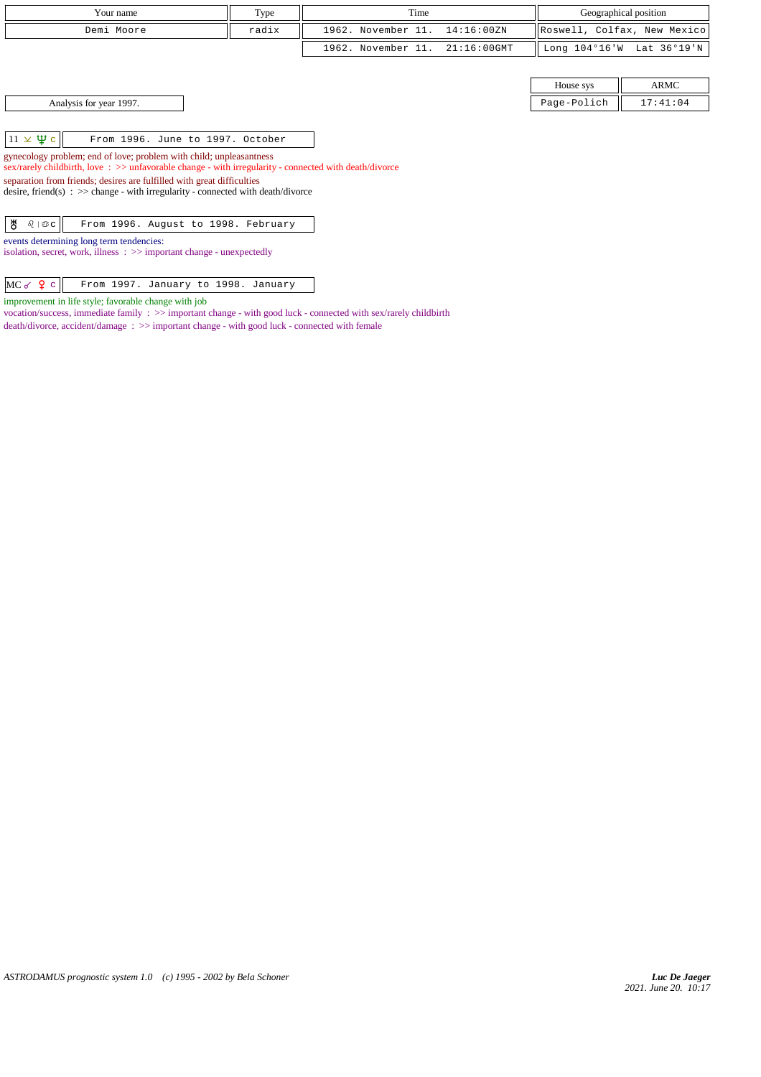| Your name                                                                                                                                                                                 | Type  | Time               |                | Geographical position   |                             |
|-------------------------------------------------------------------------------------------------------------------------------------------------------------------------------------------|-------|--------------------|----------------|-------------------------|-----------------------------|
| Demi Moore                                                                                                                                                                                | radix | 1962. November 11. | 14:16:00ZN     |                         | Roswell, Colfax, New Mexico |
|                                                                                                                                                                                           |       | 1962. November 11. | $21:16:00$ GMT | Long $104^{\circ}16$ 'W | Lat 36°19'N                 |
|                                                                                                                                                                                           |       |                    |                |                         |                             |
|                                                                                                                                                                                           |       |                    |                | House sys               | ARMC                        |
| Analysis for year 1997.                                                                                                                                                                   |       |                    |                | Page-Polich             | 17:41:04                    |
|                                                                                                                                                                                           |       |                    |                |                         |                             |
| $11 \times \Psi$ c<br>From 1996. June to 1997. October                                                                                                                                    |       |                    |                |                         |                             |
| gynecology problem; end of love; problem with child; unpleasantness<br>sex/rarely childbirth, love $\Rightarrow$ >> unfavorable change - with irregularity - connected with death/divorce |       |                    |                |                         |                             |
| separation from friends; desires are fulfilled with great difficulties                                                                                                                    |       |                    |                |                         |                             |
| desire, friend(s) : $\gg$ change - with irregularity - connected with death/divorce                                                                                                       |       |                    |                |                         |                             |
| ზ<br>$\delta$   $\circledcirc$ c  <br>From 1996. August to 1998. February                                                                                                                 |       |                    |                |                         |                             |
| events determining long term tendencies:<br>isolation, secret, work, illness $\Rightarrow$ important change - unexpectedly                                                                |       |                    |                |                         |                             |
|                                                                                                                                                                                           |       |                    |                |                         |                             |

 $MC \circ$   $Q \circ$  From 1997. January to 1998. January improvement in life style; favorable change with job

vocation/success, immediate family : >> important change - with good luck - connected with sex/rarely childbirth death/divorce, accident/damage : >> important change - with good luck - connected with female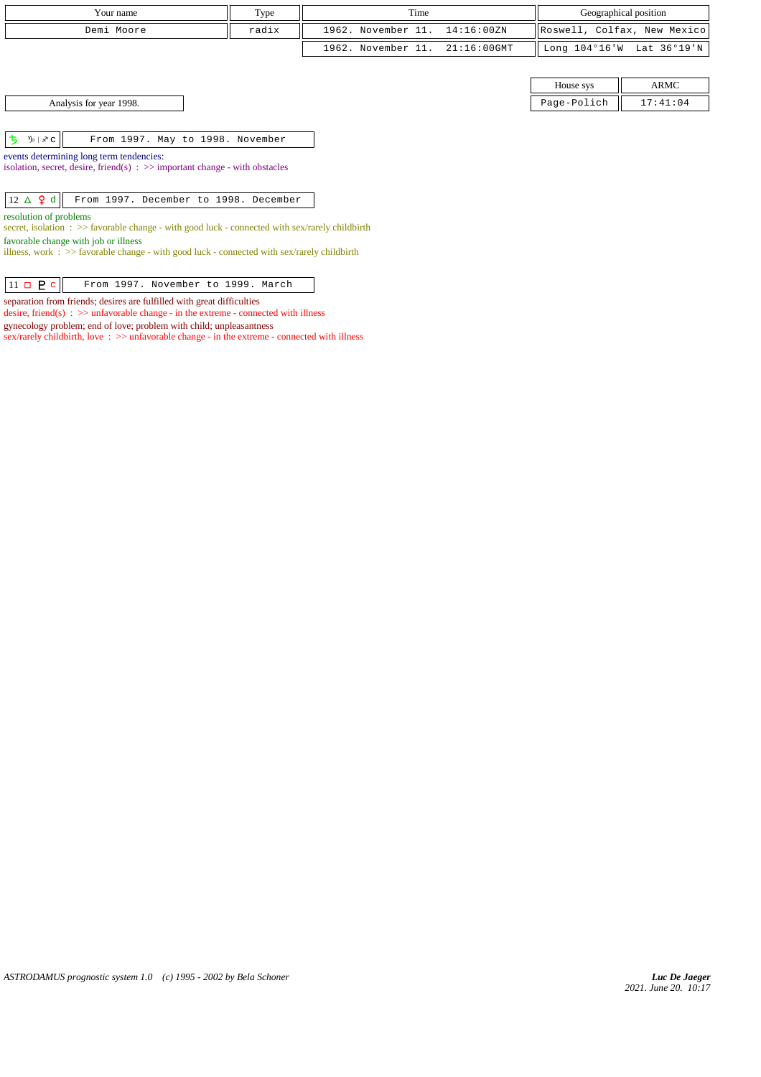| Your name  | Type  | Time                           | Geographical position       |
|------------|-------|--------------------------------|-----------------------------|
| Demi Moore | radix | 1962. November 11. 14:16:00ZN  | Roswell, Colfax, New Mexico |
|            |       | 1962. November 11. 21:16:00GMT | Long 104°16'W Lat 36°19'N   |

| Analysis for year 1998. |  |
|-------------------------|--|
|-------------------------|--|

House sys ARMC Page-Polich  $\parallel$  17:41:04

 $\boxed{5}$   $\sqrt[3]{s}$   $\sqrt[3]{s}$  From 1997. May to 1998. November

events determining long term tendencies:

isolation, secret, desire, friend(s)  $\Rightarrow$  important change - with obstacles

 $\boxed{12 \Delta$   $\large{2}$  d From 1997. December to 1998. December

resolution of problems

secret, isolation : >> favorable change - with good luck - connected with sex/rarely childbirth favorable change with job or illness

illness, work : >> favorable change - with good luck - connected with sex/rarely childbirth

 $\vert$  11  $\vert$  **P**  $\vert$  **From 1997.** November to 1999. March

separation from friends; desires are fulfilled with great difficulties

desire, friend(s) : >> unfavorable change - in the extreme - connected with illness

gynecology problem; end of love; problem with child; unpleasantness

 $sex/rarely child birth, love : >> unfavorable change - in the extreme - connected with illness$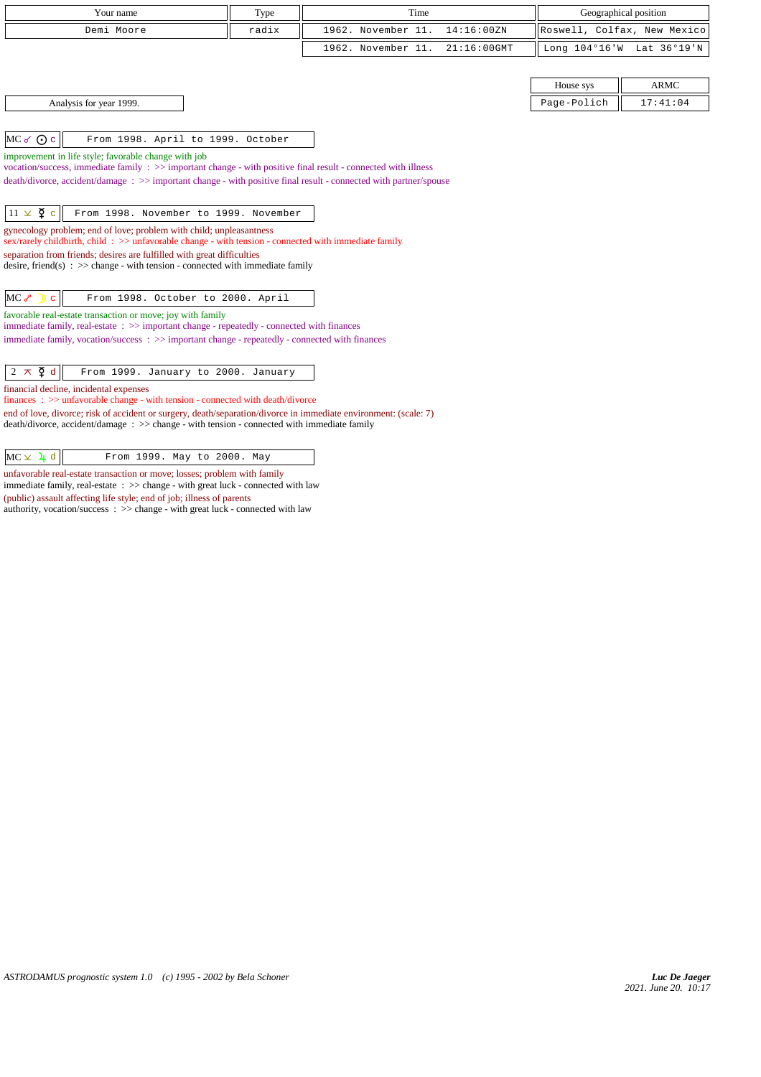| Your name                                                                                                                   | Type  | Time                              |             | Geographical position       |
|-----------------------------------------------------------------------------------------------------------------------------|-------|-----------------------------------|-------------|-----------------------------|
| Demi Moore                                                                                                                  | radix | 1962. November 11.<br>14:16:00ZN  |             | Roswell, Colfax, New Mexico |
|                                                                                                                             |       | 1962. November 11.<br>21:16:00GMT |             | Long 104°16'W Lat 36°19'N   |
|                                                                                                                             |       |                                   |             |                             |
|                                                                                                                             |       |                                   | House sys   | <b>ARMC</b>                 |
| Analysis for year 1999.                                                                                                     |       |                                   | Page-Polich | 17:41:04                    |
|                                                                                                                             |       |                                   |             |                             |
| $MC \sigma$ $Qc$<br>From 1998. April to 1999. October                                                                       |       |                                   |             |                             |
| improvement in life style; favorable change with job                                                                        |       |                                   |             |                             |
| vocation/success, immediate family : >> important change - with positive final result - connected with illness              |       |                                   |             |                             |
| death/divorce, accident/damage: >> important change - with positive final result - connected with partner/spouse            |       |                                   |             |                             |
| $11 \times \mathfrak{P}$ c<br>From 1998. November to 1999. November                                                         |       |                                   |             |                             |
| gynecology problem; end of love; problem with child; unpleasantness                                                         |       |                                   |             |                             |
| sex/rarely childbirth, child: $\gg$ unfavorable change - with tension - connected with immediate family                     |       |                                   |             |                             |
| separation from friends; desires are fulfilled with great difficulties                                                      |       |                                   |             |                             |
| desire, friend(s) : $\gg$ change - with tension - connected with immediate family                                           |       |                                   |             |                             |
| $MC \rightarrow D$<br>From 1998. October to 2000. April<br>$\mathbf{C}$                                                     |       |                                   |             |                             |
| favorable real-estate transaction or move; joy with family                                                                  |       |                                   |             |                             |
| immediate family, real-estate : >> important change - repeatedly - connected with finances                                  |       |                                   |             |                             |
| immediate family, vocation/success: >> important change - repeatedly - connected with finances                              |       |                                   |             |                             |
| $2 \times \xi$ d<br>From 1999. January to 2000. January                                                                     |       |                                   |             |                             |
|                                                                                                                             |       |                                   |             |                             |
| financial decline, incidental expenses<br>$finances : \gg$ unfavorable change - with tension - connected with death/divorce |       |                                   |             |                             |
| end of love, divorce; risk of accident or surgery, death/separation/divorce in immediate environment: (scale: 7)            |       |                                   |             |                             |
| death/divorce, accident/damage : >> change - with tension - connected with immediate family                                 |       |                                   |             |                             |
|                                                                                                                             |       |                                   |             |                             |
| $MC \times 1 d$<br>From 1999. May to 2000. May                                                                              |       |                                   |             |                             |

 $MC \times 1 d$  From 1999. May to 2000. May

unfavorable real-estate transaction or move; losses; problem with family immediate family, real-estate : >> change - with great luck - connected with law

(public) assault affecting life style; end of job; illness of parents

authority, vocation/success : >> change - with great luck - connected with law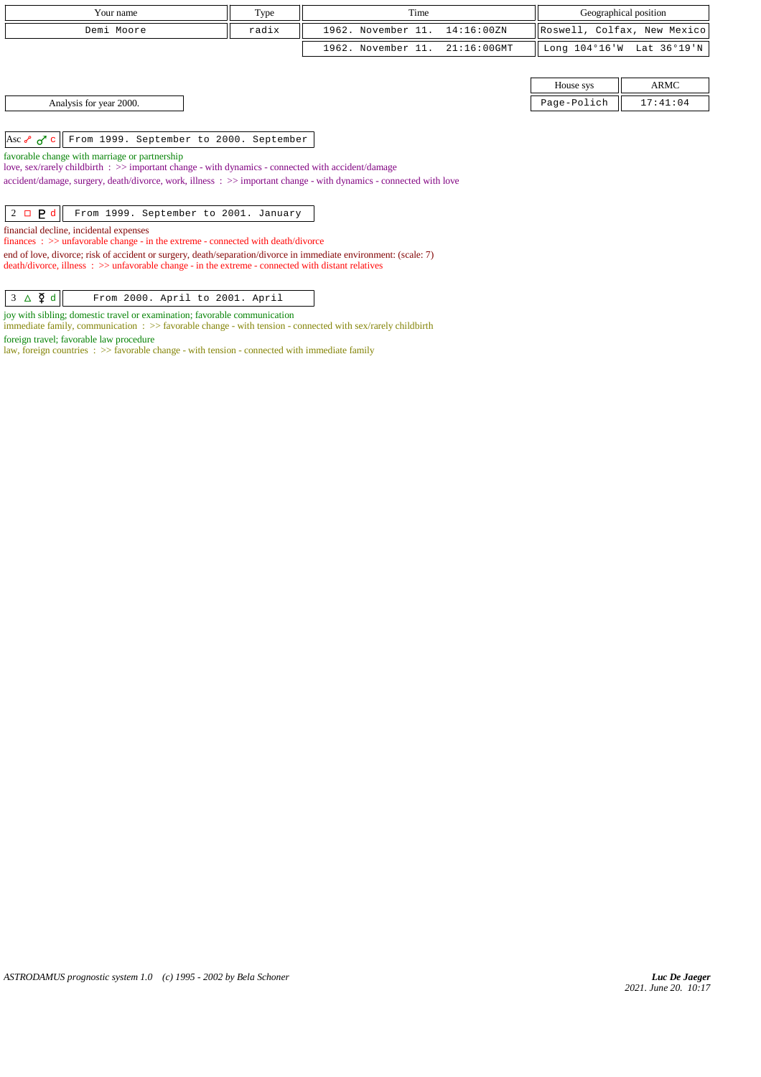| Your name                                                                                                                                                                                                             | Type  | Time                                 | Geographical position   |                             |
|-----------------------------------------------------------------------------------------------------------------------------------------------------------------------------------------------------------------------|-------|--------------------------------------|-------------------------|-----------------------------|
| Demi Moore                                                                                                                                                                                                            | radix | 1962. November 11.<br>14:16:00ZN     |                         | Roswell, Colfax, New Mexico |
|                                                                                                                                                                                                                       |       | 1962. November 11.<br>$21:16:00$ GMT | Long $104^{\circ}16$ 'W | Lat 36°19'N                 |
|                                                                                                                                                                                                                       |       |                                      |                         |                             |
|                                                                                                                                                                                                                       |       |                                      | House sys               | <b>ARMC</b>                 |
| Analysis for year 2000.                                                                                                                                                                                               |       |                                      | Page-Polich             | 17:41:04                    |
|                                                                                                                                                                                                                       |       |                                      |                         |                             |
| From 1999. September to 2000. September<br>Asc $\sigma$ $\sigma$ c                                                                                                                                                    |       |                                      |                         |                             |
| favorable change with marriage or partnership                                                                                                                                                                         |       |                                      |                         |                             |
| love, sex/rarely childbirth : >> important change - with dynamics - connected with accident/damage                                                                                                                    |       |                                      |                         |                             |
| accident/damage, surgery, death/divorce, work, illness : >> important change - with dynamics - connected with love                                                                                                    |       |                                      |                         |                             |
|                                                                                                                                                                                                                       |       |                                      |                         |                             |
| $2 \Box$ $P d$<br>From 1999. September to 2001. January                                                                                                                                                               |       |                                      |                         |                             |
| financial decline, incidental expenses<br>finances : $\gg$ unfavorable change - in the extreme - connected with death/divorce                                                                                         |       |                                      |                         |                             |
| end of love, divorce; risk of accident or surgery, death/separation/divorce in immediate environment: (scale: 7)<br>death/divorce, illness: >> unfavorable change - in the extreme - connected with distant relatives |       |                                      |                         |                             |

 $3 \Delta \xi d$  From 2000. April to 2001. April

joy with sibling; domestic travel or examination; favorable communication

immediate family, communication : >> favorable change - with tension - connected with sex/rarely childbirth

foreign travel; favorable law procedure

law, foreign countries : >> favorable change - with tension - connected with immediate family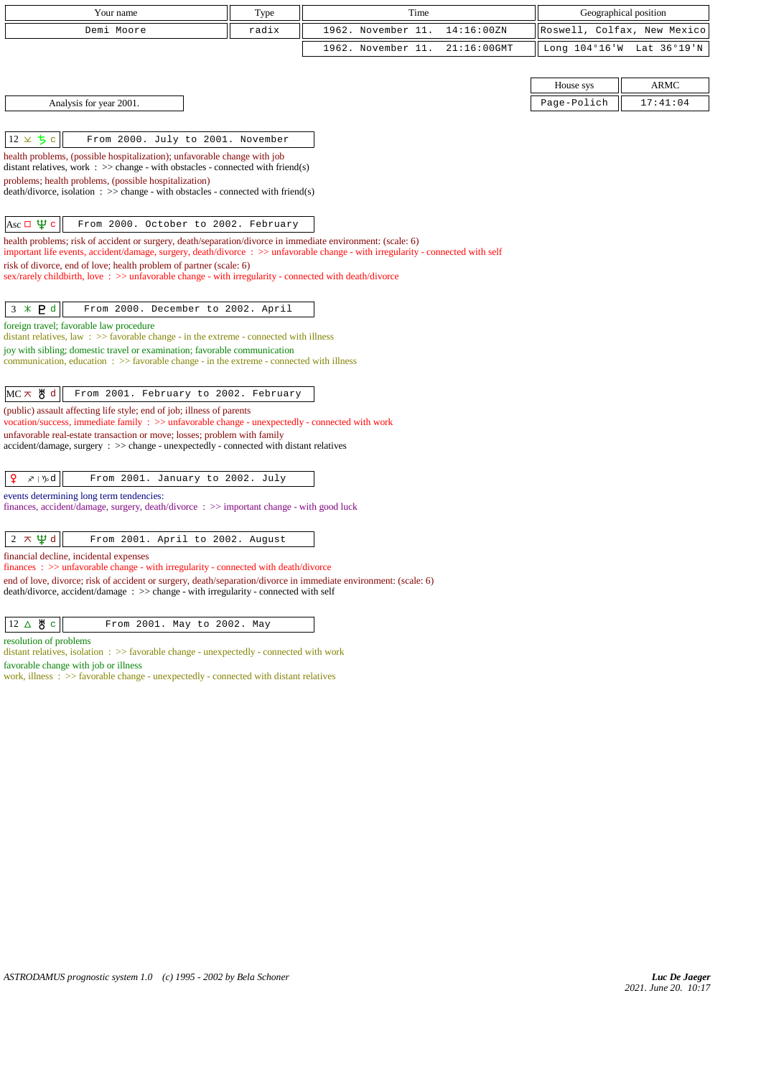| Your name                                                                                                                                                                                                                                       | Type  | Time                              | Geographical position       |  |  |  |  |  |  |
|-------------------------------------------------------------------------------------------------------------------------------------------------------------------------------------------------------------------------------------------------|-------|-----------------------------------|-----------------------------|--|--|--|--|--|--|
| Demi Moore                                                                                                                                                                                                                                      | radix | 1962. November 11.<br>14:16:00ZN  | Roswell, Colfax, New Mexico |  |  |  |  |  |  |
|                                                                                                                                                                                                                                                 |       | 1962. November 11.<br>21:16:00GMT | Long 104°16'W Lat 36°19'N   |  |  |  |  |  |  |
|                                                                                                                                                                                                                                                 |       |                                   |                             |  |  |  |  |  |  |
|                                                                                                                                                                                                                                                 |       |                                   | ARMC<br>House sys           |  |  |  |  |  |  |
| Page-Polich<br>17:41:04<br>Analysis for year 2001.                                                                                                                                                                                              |       |                                   |                             |  |  |  |  |  |  |
|                                                                                                                                                                                                                                                 |       |                                   |                             |  |  |  |  |  |  |
| $12 \times 5c$<br>From 2000. July to 2001. November                                                                                                                                                                                             |       |                                   |                             |  |  |  |  |  |  |
| health problems, (possible hospitalization); unfavorable change with job<br>distant relatives, work $\Rightarrow$ >> change - with obstacles - connected with friend(s)                                                                         |       |                                   |                             |  |  |  |  |  |  |
| problems; health problems, (possible hospitalization)                                                                                                                                                                                           |       |                                   |                             |  |  |  |  |  |  |
| $death/divorce, isolation : \gg change - with obstacles - connected with friend(s)$                                                                                                                                                             |       |                                   |                             |  |  |  |  |  |  |
| Asc $\Box \Psi c$<br>From 2000. October to 2002. February                                                                                                                                                                                       |       |                                   |                             |  |  |  |  |  |  |
| health problems; risk of accident or surgery, death/separation/divorce in immediate environment: (scale: 6)<br>important life events, accident/damage, surgery, death/divorce : >> unfavorable change - with irregularity - connected with self |       |                                   |                             |  |  |  |  |  |  |
| risk of divorce, end of love; health problem of partner (scale: 6)                                                                                                                                                                              |       |                                   |                             |  |  |  |  |  |  |
| sex/rarely childbirth, love: >> unfavorable change - with irregularity - connected with death/divorce                                                                                                                                           |       |                                   |                             |  |  |  |  |  |  |
| $3 * P d$<br>From 2000. December to 2002. April                                                                                                                                                                                                 |       |                                   |                             |  |  |  |  |  |  |
| foreign travel; favorable law procedure                                                                                                                                                                                                         |       |                                   |                             |  |  |  |  |  |  |
| distant relatives, law : $\gg$ favorable change - in the extreme - connected with illness                                                                                                                                                       |       |                                   |                             |  |  |  |  |  |  |
| joy with sibling; domestic travel or examination; favorable communication<br>communication, education $\Rightarrow$ > favorable change - in the extreme - connected with illness                                                                |       |                                   |                             |  |  |  |  |  |  |
|                                                                                                                                                                                                                                                 |       |                                   |                             |  |  |  |  |  |  |
| MC ㅈ 뿅 d<br>From 2001. February to 2002. February                                                                                                                                                                                               |       |                                   |                             |  |  |  |  |  |  |
| (public) assault affecting life style; end of job; illness of parents<br>vocation/success, immediate family : >> unfavorable change - unexpectedly - connected with work                                                                        |       |                                   |                             |  |  |  |  |  |  |
| unfavorable real-estate transaction or move; losses; problem with family                                                                                                                                                                        |       |                                   |                             |  |  |  |  |  |  |
| $accident/damage$ , $surgery : >> change - unexpectedly - connected with distant relatives$                                                                                                                                                     |       |                                   |                             |  |  |  |  |  |  |
| ₽<br>∡≀ ∿d<br>From 2001. January to 2002. July                                                                                                                                                                                                  |       |                                   |                             |  |  |  |  |  |  |
| events determining long term tendencies:                                                                                                                                                                                                        |       |                                   |                             |  |  |  |  |  |  |
| finances, accident/damage, surgery, death/divorce : >> important change - with good luck                                                                                                                                                        |       |                                   |                             |  |  |  |  |  |  |
|                                                                                                                                                                                                                                                 |       |                                   |                             |  |  |  |  |  |  |
| $2 \times \Psi d$<br>From 2001. April to 2002. August                                                                                                                                                                                           |       |                                   |                             |  |  |  |  |  |  |
| financial decline, incidental expenses<br>finances: >> unfavorable change - with irregularity - connected with death/divorce                                                                                                                    |       |                                   |                             |  |  |  |  |  |  |
| end of love, divorce; risk of accident or surgery, death/separation/divorce in immediate environment: (scale: 6)<br>death/divorce, accident/damage : >> change - with irregularity - connected with self                                        |       |                                   |                             |  |  |  |  |  |  |
|                                                                                                                                                                                                                                                 |       |                                   |                             |  |  |  |  |  |  |
| $12 \triangle \overset{M}{\circ}$ c<br>From 2001. May to 2002. May                                                                                                                                                                              |       |                                   |                             |  |  |  |  |  |  |
| resolution of problems                                                                                                                                                                                                                          |       |                                   |                             |  |  |  |  |  |  |
| distant relatives, isolation $\Rightarrow$ 5 favorable change - unexpectedly - connected with work<br>favorable change with job or illness                                                                                                      |       |                                   |                             |  |  |  |  |  |  |
| work, illness : >> favorable change - unexpectedly - connected with distant relatives                                                                                                                                                           |       |                                   |                             |  |  |  |  |  |  |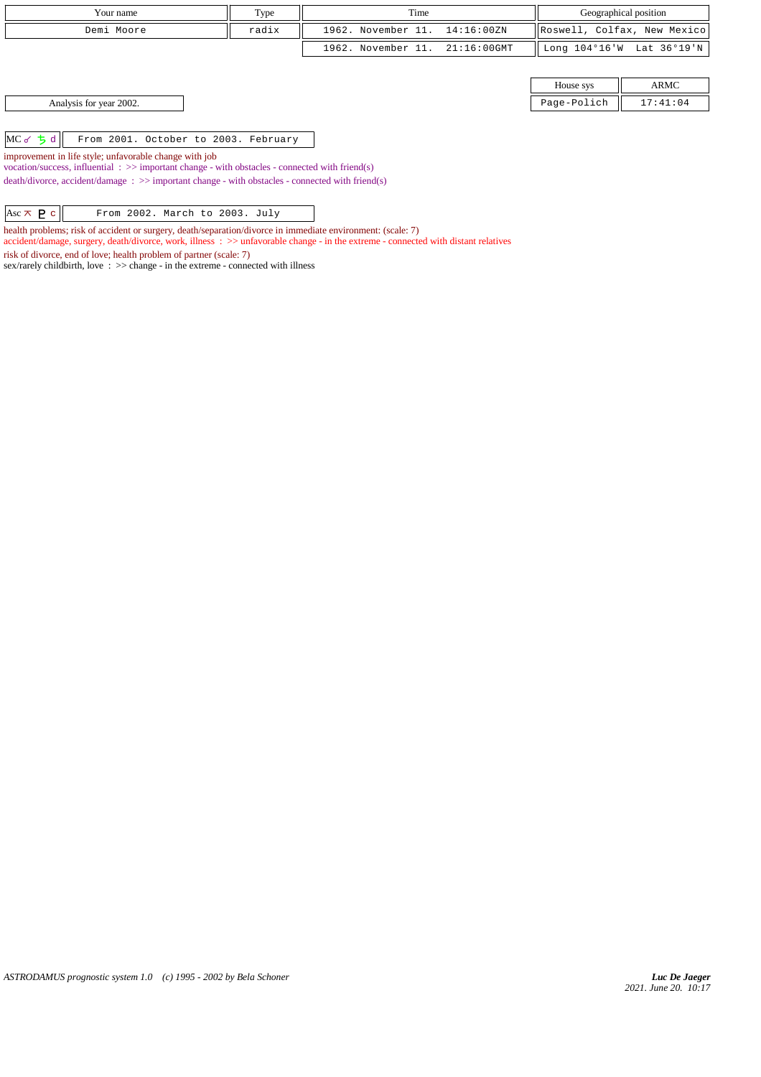| Your name                                                                                                                                                             | Type  | Time               |                | Geographical position |                             |  |
|-----------------------------------------------------------------------------------------------------------------------------------------------------------------------|-------|--------------------|----------------|-----------------------|-----------------------------|--|
| Demi Moore                                                                                                                                                            | radix | 1962. November 11. | 14:16:00ZN     |                       | Roswell, Colfax, New Mexico |  |
|                                                                                                                                                                       |       | 1962. November 11. | $21:16:00$ GMT |                       | Long 104°16'W Lat 36°19'N   |  |
|                                                                                                                                                                       |       |                    |                |                       |                             |  |
|                                                                                                                                                                       |       |                    |                | House sys             | <b>ARMC</b>                 |  |
| Analysis for year 2002.                                                                                                                                               |       |                    |                | Page-Polich           | 17:41:04                    |  |
|                                                                                                                                                                       |       |                    |                |                       |                             |  |
| $MC$ of $5d$<br>From 2001. October to 2003. February                                                                                                                  |       |                    |                |                       |                             |  |
| improvement in life style; unfavorable change with job<br>vocation/success, influential $\Rightarrow$ >> important change - with obstacles - connected with friend(s) |       |                    |                |                       |                             |  |

death/divorce, accident/damage : >> important change - with obstacles - connected with friend(s)

Asc  $\overline{\wedge}$  **P** c From 2002. March to 2003. July

health problems; risk of accident or surgery, death/separation/divorce in immediate environment: (scale: 7)

accident/damage, surgery, death/divorce, work, illness : >> unfavorable change - in the extreme - connected with distant relatives

risk of divorce, end of love; health problem of partner (scale: 7)

sex/rarely childbirth, love  $\therefore$  >> change - in the extreme - connected with illness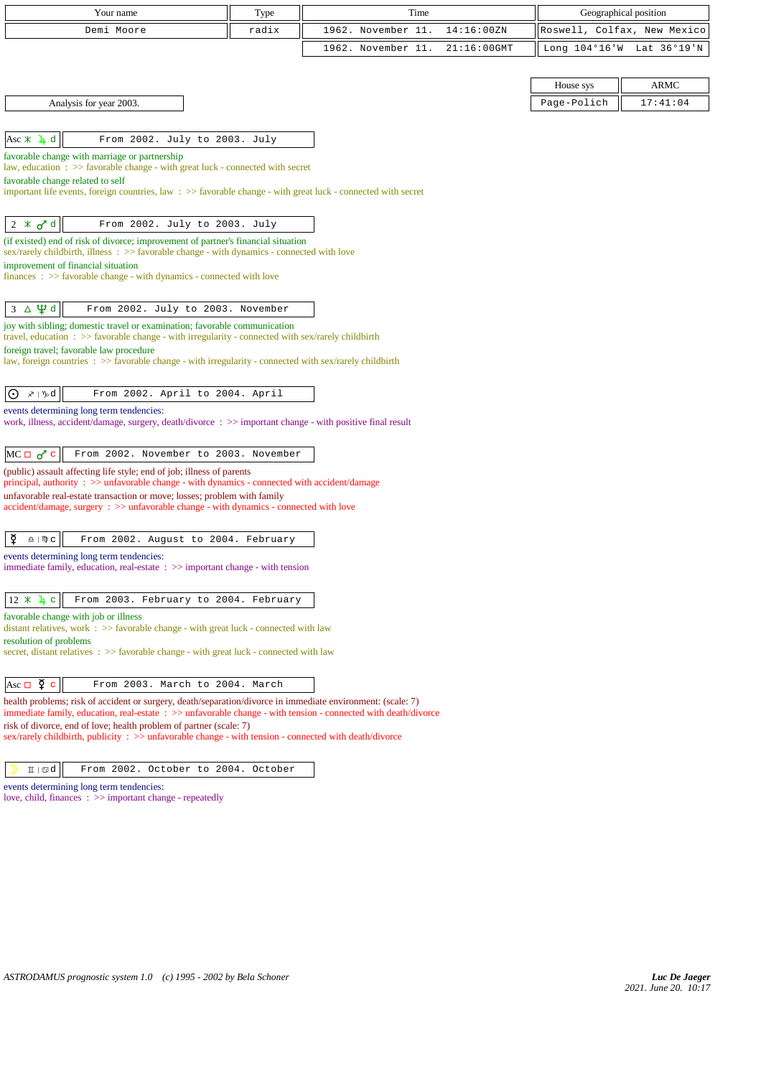| Your name<br>Type                                                                                                                                                                                                                                                                                                                                                                            |       | Time               | Geographical position |  |                             |  |  |  |  |
|----------------------------------------------------------------------------------------------------------------------------------------------------------------------------------------------------------------------------------------------------------------------------------------------------------------------------------------------------------------------------------------------|-------|--------------------|-----------------------|--|-----------------------------|--|--|--|--|
| Demi Moore                                                                                                                                                                                                                                                                                                                                                                                   | radix | 1962. November 11. | 14:16:00ZN            |  | Roswell, Colfax, New Mexico |  |  |  |  |
|                                                                                                                                                                                                                                                                                                                                                                                              |       | 1962. November 11. | $21:16:00$ GMT        |  | Long 104°16'W Lat 36°19'N   |  |  |  |  |
|                                                                                                                                                                                                                                                                                                                                                                                              |       |                    |                       |  |                             |  |  |  |  |
| <b>ARMC</b><br>House sys                                                                                                                                                                                                                                                                                                                                                                     |       |                    |                       |  |                             |  |  |  |  |
| Page-Polich<br>17:41:04<br>Analysis for year 2003.                                                                                                                                                                                                                                                                                                                                           |       |                    |                       |  |                             |  |  |  |  |
|                                                                                                                                                                                                                                                                                                                                                                                              |       |                    |                       |  |                             |  |  |  |  |
| Asc $\angle$ 4 d<br>From 2002. July to 2003. July                                                                                                                                                                                                                                                                                                                                            |       |                    |                       |  |                             |  |  |  |  |
| favorable change with marriage or partnership                                                                                                                                                                                                                                                                                                                                                |       |                    |                       |  |                             |  |  |  |  |
| law, education: >> favorable change - with great luck - connected with secret<br>favorable change related to self                                                                                                                                                                                                                                                                            |       |                    |                       |  |                             |  |  |  |  |
| important life events, foreign countries, law $\Rightarrow$ Savorable change - with great luck - connected with secret                                                                                                                                                                                                                                                                       |       |                    |                       |  |                             |  |  |  |  |
|                                                                                                                                                                                                                                                                                                                                                                                              |       |                    |                       |  |                             |  |  |  |  |
| $2 \times d$<br>From 2002. July to 2003. July                                                                                                                                                                                                                                                                                                                                                |       |                    |                       |  |                             |  |  |  |  |
| (if existed) end of risk of divorce; improvement of partner's financial situation<br>sex/rarely childbirth, illness : >> favorable change - with dynamics - connected with love                                                                                                                                                                                                              |       |                    |                       |  |                             |  |  |  |  |
| improvement of financial situation                                                                                                                                                                                                                                                                                                                                                           |       |                    |                       |  |                             |  |  |  |  |
| finances: >> favorable change - with dynamics - connected with love                                                                                                                                                                                                                                                                                                                          |       |                    |                       |  |                             |  |  |  |  |
|                                                                                                                                                                                                                                                                                                                                                                                              |       |                    |                       |  |                             |  |  |  |  |
| $\Delta \Psi d$<br>3<br>From 2002. July to 2003. November<br>joy with sibling; domestic travel or examination; favorable communication                                                                                                                                                                                                                                                       |       |                    |                       |  |                             |  |  |  |  |
| travel, education : $\gg$ favorable change - with irregularity - connected with sex/rarely childbirth                                                                                                                                                                                                                                                                                        |       |                    |                       |  |                             |  |  |  |  |
| foreign travel; favorable law procedure<br>law, foreign countries : $\gg$ favorable change - with irregularity - connected with sex/rarely childbirth                                                                                                                                                                                                                                        |       |                    |                       |  |                             |  |  |  |  |
|                                                                                                                                                                                                                                                                                                                                                                                              |       |                    |                       |  |                             |  |  |  |  |
| ∡≀ \ }}od<br>From 2002. April to 2004. April<br>Ι⊙                                                                                                                                                                                                                                                                                                                                           |       |                    |                       |  |                             |  |  |  |  |
| events determining long term tendencies:                                                                                                                                                                                                                                                                                                                                                     |       |                    |                       |  |                             |  |  |  |  |
| work, illness, accident/damage, surgery, death/divorce : >> important change - with positive final result                                                                                                                                                                                                                                                                                    |       |                    |                       |  |                             |  |  |  |  |
| $MC \Box \sigma^c$ c<br>From 2002. November to 2003. November                                                                                                                                                                                                                                                                                                                                |       |                    |                       |  |                             |  |  |  |  |
| (public) assault affecting life style; end of job; illness of parents                                                                                                                                                                                                                                                                                                                        |       |                    |                       |  |                             |  |  |  |  |
| principal, authority : >> unfavorable change - with dynamics - connected with accident/damage                                                                                                                                                                                                                                                                                                |       |                    |                       |  |                             |  |  |  |  |
| unfavorable real-estate transaction or move; losses; problem with family<br>accident/damage, surgery : >> unfavorable change - with dynamics - connected with love                                                                                                                                                                                                                           |       |                    |                       |  |                             |  |  |  |  |
|                                                                                                                                                                                                                                                                                                                                                                                              |       |                    |                       |  |                             |  |  |  |  |
| ₽<br>$\underline{\Omega}$   $\mathfrak{m}$ $\subset$<br>From 2002. August to 2004. February                                                                                                                                                                                                                                                                                                  |       |                    |                       |  |                             |  |  |  |  |
| events determining long term tendencies:                                                                                                                                                                                                                                                                                                                                                     |       |                    |                       |  |                             |  |  |  |  |
| immediate family, education, real-estate $\Rightarrow$ important change - with tension                                                                                                                                                                                                                                                                                                       |       |                    |                       |  |                             |  |  |  |  |
| $12 \times 4$ c<br>From 2003. February to 2004. February                                                                                                                                                                                                                                                                                                                                     |       |                    |                       |  |                             |  |  |  |  |
| favorable change with job or illness                                                                                                                                                                                                                                                                                                                                                         |       |                    |                       |  |                             |  |  |  |  |
| distant relatives, work $\Rightarrow$ favorable change - with great luck - connected with law<br>resolution of problems                                                                                                                                                                                                                                                                      |       |                    |                       |  |                             |  |  |  |  |
| secret, distant relatives : >> favorable change - with great luck - connected with law                                                                                                                                                                                                                                                                                                       |       |                    |                       |  |                             |  |  |  |  |
|                                                                                                                                                                                                                                                                                                                                                                                              |       |                    |                       |  |                             |  |  |  |  |
| Asc $\Box$ $\Phi$ c<br>From 2003. March to 2004. March                                                                                                                                                                                                                                                                                                                                       |       |                    |                       |  |                             |  |  |  |  |
| health problems; risk of accident or surgery, death/separation/divorce in immediate environment: (scale: 7)<br>immediate family, education, real-estate: >> unfavorable change - with tension - connected with death/divorce                                                                                                                                                                 |       |                    |                       |  |                             |  |  |  |  |
| risk of divorce, end of love; health problem of partner (scale: 7)<br>sex/rarely childbirth, publicity $\Rightarrow$ solution $\Rightarrow$ sex/rarely childbirth, publicity $\Rightarrow$ sex/rarely childbirth, publicity $\Rightarrow$ solution $\Rightarrow$ solution $\Rightarrow$ solution $\Rightarrow$ solution $\Rightarrow$ solution $\Rightarrow$ solution $\Rightarrow$ solution |       |                    |                       |  |                             |  |  |  |  |
|                                                                                                                                                                                                                                                                                                                                                                                              |       |                    |                       |  |                             |  |  |  |  |
| $I\!\!I\bot\!\!B$ d<br>From 2002. October to 2004. October                                                                                                                                                                                                                                                                                                                                   |       |                    |                       |  |                             |  |  |  |  |

events determining long term tendencies: love, child, finances : >> important change - repeatedly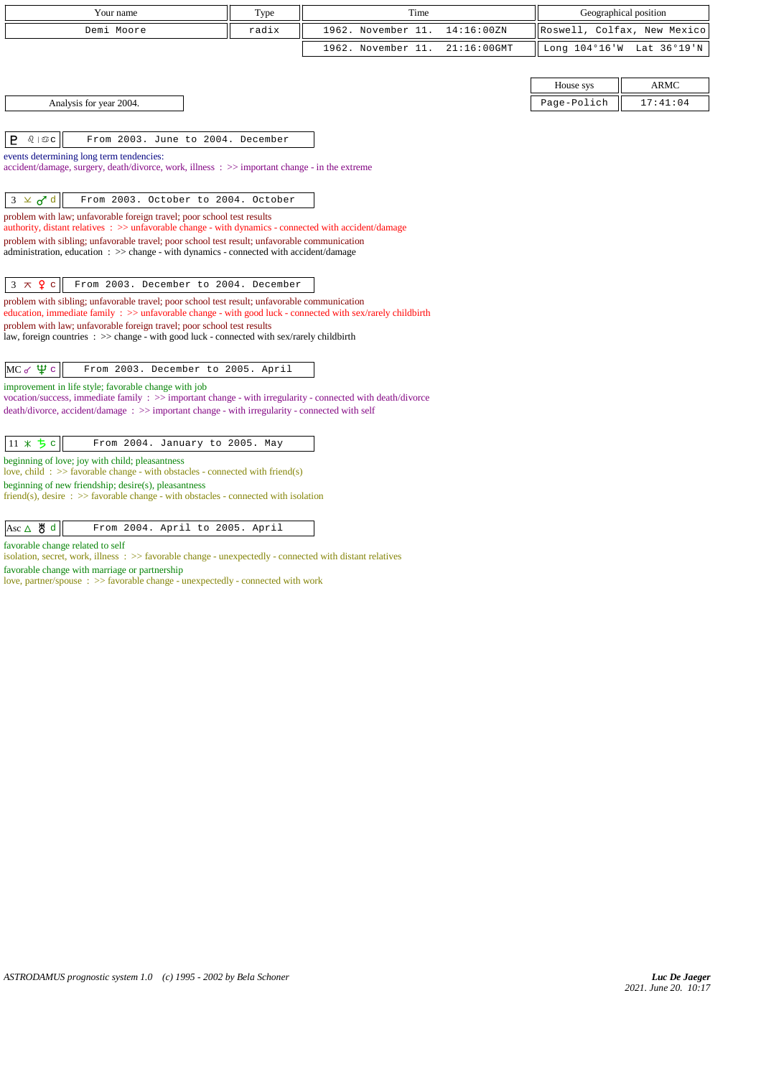| Your name                                                                                                                                                                                                   | Time               |                    | Geographical position       |               |             |
|-------------------------------------------------------------------------------------------------------------------------------------------------------------------------------------------------------------|--------------------|--------------------|-----------------------------|---------------|-------------|
| Demi Moore                                                                                                                                                                                                  | 1962. November 11. | 14:16:00ZN         | Roswell, Colfax, New Mexico |               |             |
|                                                                                                                                                                                                             |                    | 1962. November 11. | 21:16:00GMT                 | Long 104°16'W | Lat 36°19'N |
|                                                                                                                                                                                                             |                    |                    |                             |               |             |
|                                                                                                                                                                                                             |                    |                    |                             | House sys     | ARMC        |
| Analysis for year 2004.                                                                                                                                                                                     |                    |                    |                             | Page-Polich   | 17:41:04    |
|                                                                                                                                                                                                             |                    |                    |                             |               |             |
| P<br>$Q \mid \mathfrak{D} C$<br>From 2003. June to 2004. December                                                                                                                                           |                    |                    |                             |               |             |
| events determining long term tendencies:                                                                                                                                                                    |                    |                    |                             |               |             |
| accident/damage, surgery, death/divorce, work, illness: >> important change - in the extreme                                                                                                                |                    |                    |                             |               |             |
| $3 \times d$<br>From 2003. October to 2004. October                                                                                                                                                         |                    |                    |                             |               |             |
| problem with law; unfavorable foreign travel; poor school test results                                                                                                                                      |                    |                    |                             |               |             |
| authority, distant relatives : >> unfavorable change - with dynamics - connected with accident/damage                                                                                                       |                    |                    |                             |               |             |
| problem with sibling; unfavorable travel; poor school test result; unfavorable communication<br>administration, education: >> change - with dynamics - connected with accident/damage                       |                    |                    |                             |               |             |
|                                                                                                                                                                                                             |                    |                    |                             |               |             |
| $3 \times 9$ c<br>From 2003. December to 2004. December                                                                                                                                                     |                    |                    |                             |               |             |
| problem with sibling; unfavorable travel; poor school test result; unfavorable communication<br>education, immediate family : >> unfavorable change - with good luck - connected with sex/rarely childbirth |                    |                    |                             |               |             |
| problem with law; unfavorable foreign travel; poor school test results                                                                                                                                      |                    |                    |                             |               |             |
| law, foreign countries : $\gg$ change - with good luck - connected with sex/rarely childbirth                                                                                                               |                    |                    |                             |               |             |
| $MC \propto \Psi c$<br>From 2003. December to 2005. April                                                                                                                                                   |                    |                    |                             |               |             |
| improvement in life style; favorable change with job                                                                                                                                                        |                    |                    |                             |               |             |
| vocation/success, immediate family : >> important change - with irregularity - connected with death/divorce                                                                                                 |                    |                    |                             |               |             |
| $death/divorce, accident/damage : \gg important change - with irregularity - connected with self$                                                                                                           |                    |                    |                             |               |             |
| $11 * 5c$<br>From 2004. January to 2005. May                                                                                                                                                                |                    |                    |                             |               |             |
| beginning of love; joy with child; pleasantness<br>love, child: $\gg$ favorable change - with obstacles - connected with friend(s)                                                                          |                    |                    |                             |               |             |
| beginning of new friendship; desire(s), pleasantness                                                                                                                                                        |                    |                    |                             |               |             |
| friend(s), desire $\Rightarrow$ S favorable change - with obstacles - connected with isolation                                                                                                              |                    |                    |                             |               |             |
| $Asc \triangle \mathcal{B} d$<br>From 2004. April to 2005. April                                                                                                                                            |                    |                    |                             |               |             |

favorable change related to self

isolation, secret, work, illness : >> favorable change - unexpectedly - connected with distant relatives

favorable change with marriage or partnership

love, partner/spouse : >> favorable change - unexpectedly - connected with work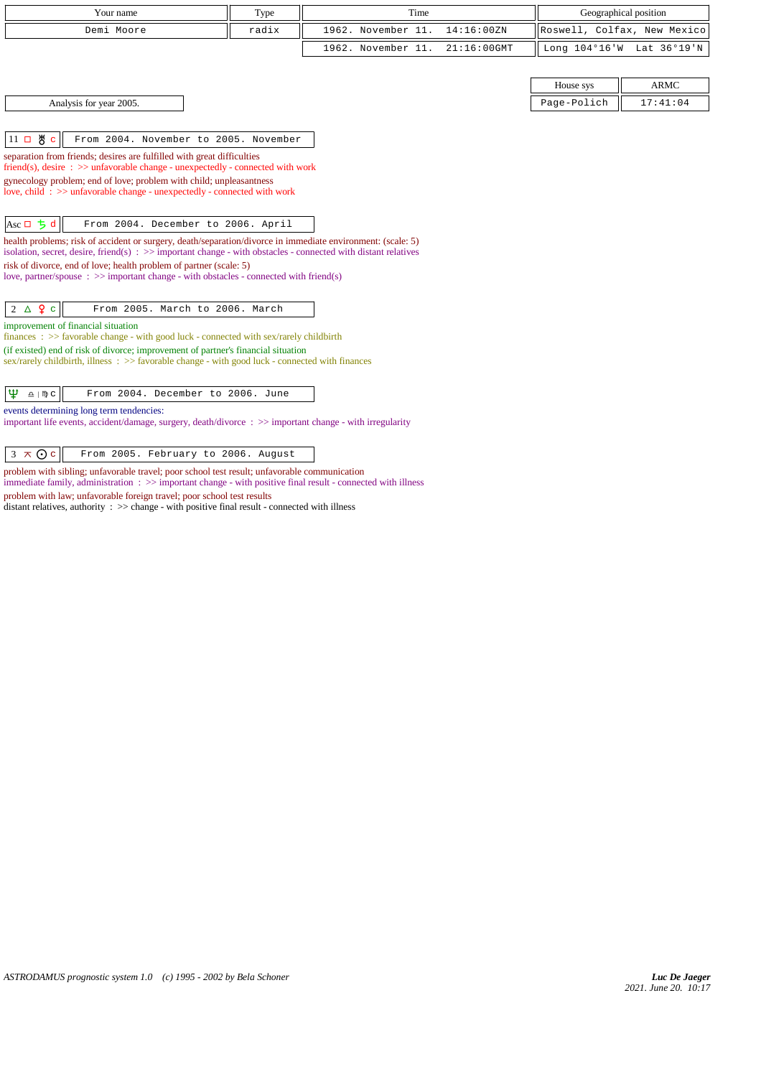| Your name                                                                                                                                                                                                                                | Type  | Time                                 |             | Geographical position       |  |  |  |
|------------------------------------------------------------------------------------------------------------------------------------------------------------------------------------------------------------------------------------------|-------|--------------------------------------|-------------|-----------------------------|--|--|--|
| Demi Moore                                                                                                                                                                                                                               | radix | 1962. November 11.<br>14:16:00ZN     |             | Roswell, Colfax, New Mexico |  |  |  |
|                                                                                                                                                                                                                                          |       | 1962. November 11.<br>$21:16:00$ GMT |             | Long 104°16'W Lat 36°19'N   |  |  |  |
|                                                                                                                                                                                                                                          |       |                                      |             |                             |  |  |  |
|                                                                                                                                                                                                                                          |       |                                      | House sys   | <b>ARMC</b>                 |  |  |  |
| Analysis for year 2005.                                                                                                                                                                                                                  |       |                                      | Page-Polich | 17:41:04                    |  |  |  |
|                                                                                                                                                                                                                                          |       |                                      |             |                             |  |  |  |
| $11$ 口 5 c<br>From 2004. November to 2005. November                                                                                                                                                                                      |       |                                      |             |                             |  |  |  |
| separation from friends; desires are fulfilled with great difficulties                                                                                                                                                                   |       |                                      |             |                             |  |  |  |
| friend(s), desire $\Rightarrow$ >> unfavorable change - unexpectedly - connected with work<br>gynecology problem; end of love; problem with child; unpleasantness                                                                        |       |                                      |             |                             |  |  |  |
| love, child: >> unfavorable change - unexpectedly - connected with work                                                                                                                                                                  |       |                                      |             |                             |  |  |  |
|                                                                                                                                                                                                                                          |       |                                      |             |                             |  |  |  |
| Asc $\Box$ $\Box$ d<br>From 2004. December to 2006. April                                                                                                                                                                                |       |                                      |             |                             |  |  |  |
| health problems; risk of accident or surgery, death/separation/divorce in immediate environment: (scale: 5)<br>isolation, secret, desire, friend(s) $\Rightarrow$ > important change - with obstacles - connected with distant relatives |       |                                      |             |                             |  |  |  |
| risk of divorce, end of love; health problem of partner (scale: 5)                                                                                                                                                                       |       |                                      |             |                             |  |  |  |
| love, partner/spouse $\therefore$ $\gg$ important change - with obstacles - connected with friend(s)                                                                                                                                     |       |                                      |             |                             |  |  |  |
| $2 \triangle 9$ c<br>From 2005. March to 2006. March                                                                                                                                                                                     |       |                                      |             |                             |  |  |  |
| improvement of financial situation                                                                                                                                                                                                       |       |                                      |             |                             |  |  |  |
| finances : $\gg$ favorable change - with good luck - connected with sex/rarely childbirth                                                                                                                                                |       |                                      |             |                             |  |  |  |
| (if existed) end of risk of divorce; improvement of partner's financial situation<br>sex/rarely childbirth, illness: >> favorable change - with good luck - connected with finances                                                      |       |                                      |             |                             |  |  |  |
|                                                                                                                                                                                                                                          |       |                                      |             |                             |  |  |  |
| $\mathfrak{P}$<br>From 2004. December to 2006. June<br>$\underline{\Omega}$   $\mathbb{N}$ C                                                                                                                                             |       |                                      |             |                             |  |  |  |
| events determining long term tendencies:                                                                                                                                                                                                 |       |                                      |             |                             |  |  |  |
| important life events, accident/damage, surgery, death/divorce : >> important change - with irregularity                                                                                                                                 |       |                                      |             |                             |  |  |  |
|                                                                                                                                                                                                                                          |       |                                      |             |                             |  |  |  |
| $3 \times 0c$<br>From 2005. February to 2006. August                                                                                                                                                                                     |       |                                      |             |                             |  |  |  |
| problem with sibling; unfavorable travel; poor school test result; unfavorable communication                                                                                                                                             |       |                                      |             |                             |  |  |  |

immediate family, administration :  $\gg$  important change - with positive final result - connected with illness

distant relatives, authority : >> change - with positive final result - connected with illness

problem with law; unfavorable foreign travel; poor school test results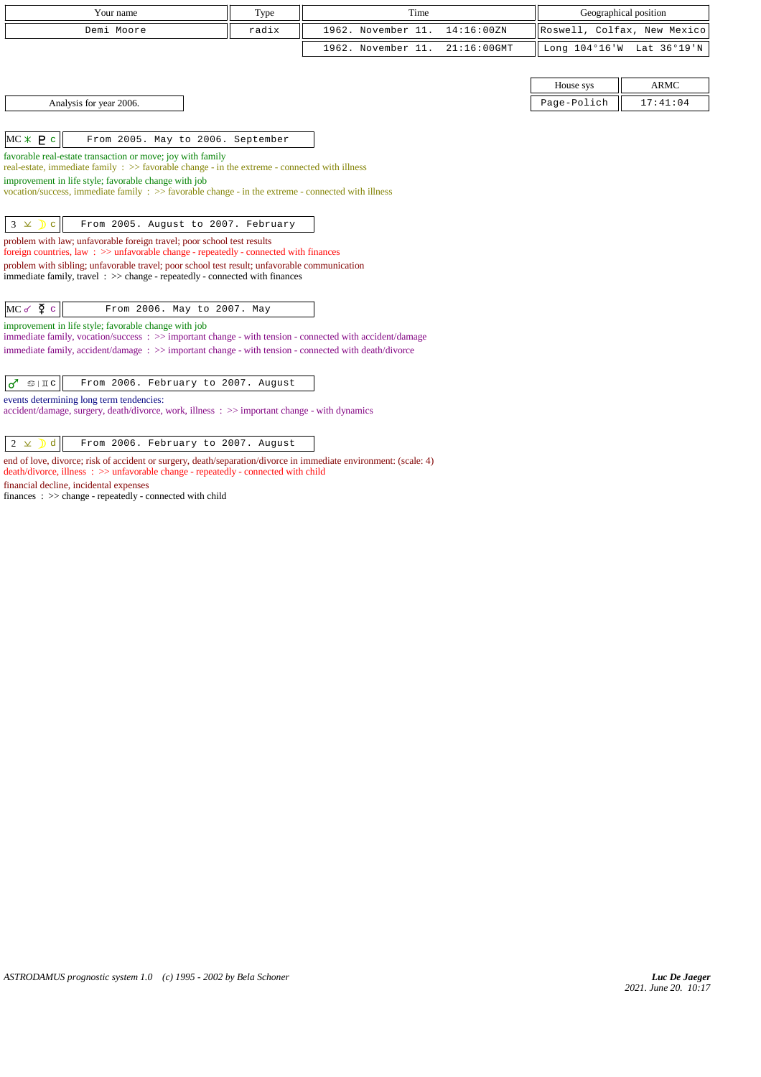| Type<br>Your name                                                                                                                                                                       |       | Time                              |                             | Geographical position |  |
|-----------------------------------------------------------------------------------------------------------------------------------------------------------------------------------------|-------|-----------------------------------|-----------------------------|-----------------------|--|
| Demi Moore                                                                                                                                                                              | radix | 1962. November 11.<br>14:16:00 ZN | Roswell, Colfax, New Mexico |                       |  |
|                                                                                                                                                                                         |       | 1962. November 11.<br>21:16:00GMT | Long 104°16'W Lat 36°19'N   |                       |  |
|                                                                                                                                                                                         |       |                                   |                             |                       |  |
|                                                                                                                                                                                         |       |                                   | House sys                   | <b>ARMC</b>           |  |
| Analysis for year 2006.                                                                                                                                                                 |       |                                   | Page-Polich                 | 17:41:04              |  |
|                                                                                                                                                                                         |       |                                   |                             |                       |  |
| $MC * P c$<br>From 2005. May to 2006. September                                                                                                                                         |       |                                   |                             |                       |  |
| favorable real-estate transaction or move; joy with family                                                                                                                              |       |                                   |                             |                       |  |
| real-estate, immediate family : >> favorable change - in the extreme - connected with illness<br>improvement in life style; favorable change with job                                   |       |                                   |                             |                       |  |
| vocation/success, immediate family : >> favorable change - in the extreme - connected with illness                                                                                      |       |                                   |                             |                       |  |
|                                                                                                                                                                                         |       |                                   |                             |                       |  |
| From 2005. August to 2007. February<br>$3 \times$ D c                                                                                                                                   |       |                                   |                             |                       |  |
| problem with law; unfavorable foreign travel; poor school test results<br>foreign countries, law: $\gg$ unfavorable change - repeatedly - connected with finances                       |       |                                   |                             |                       |  |
| problem with sibling; unfavorable travel; poor school test result; unfavorable communication                                                                                            |       |                                   |                             |                       |  |
| immediate family, travel $\Rightarrow$ >> change - repeatedly - connected with finances                                                                                                 |       |                                   |                             |                       |  |
|                                                                                                                                                                                         |       |                                   |                             |                       |  |
| $MC \propto \Phi$ c<br>From 2006. May to 2007. May                                                                                                                                      |       |                                   |                             |                       |  |
| improvement in life style; favorable change with job<br>immediate family, vocation/success $\Rightarrow$ $\Rightarrow$ important change - with tension - connected with accident/damage |       |                                   |                             |                       |  |
| immediate family, accident/damage: >> important change - with tension - connected with death/divorce                                                                                    |       |                                   |                             |                       |  |
|                                                                                                                                                                                         |       |                                   |                             |                       |  |
| From 2006. February to 2007. August<br>$\vec{\sigma}$<br>$\mathfrak{D}$   II c                                                                                                          |       |                                   |                             |                       |  |
| events determining long term tendencies:                                                                                                                                                |       |                                   |                             |                       |  |
| accident/damage, surgery, death/divorce, work, illness: >> important change - with dynamics                                                                                             |       |                                   |                             |                       |  |
| $2 \times$<br>$\mathbf{D}$ d                                                                                                                                                            |       |                                   |                             |                       |  |
| From 2006. February to 2007. August                                                                                                                                                     |       |                                   |                             |                       |  |

end of love, divorce; risk of accident or surgery, death/separation/divorce in immediate environment: (scale: 4) death/divorce, illness : >> unfavorable change - repeatedly - connected with child financial decline, incidental expenses

finances : >> change - repeatedly - connected with child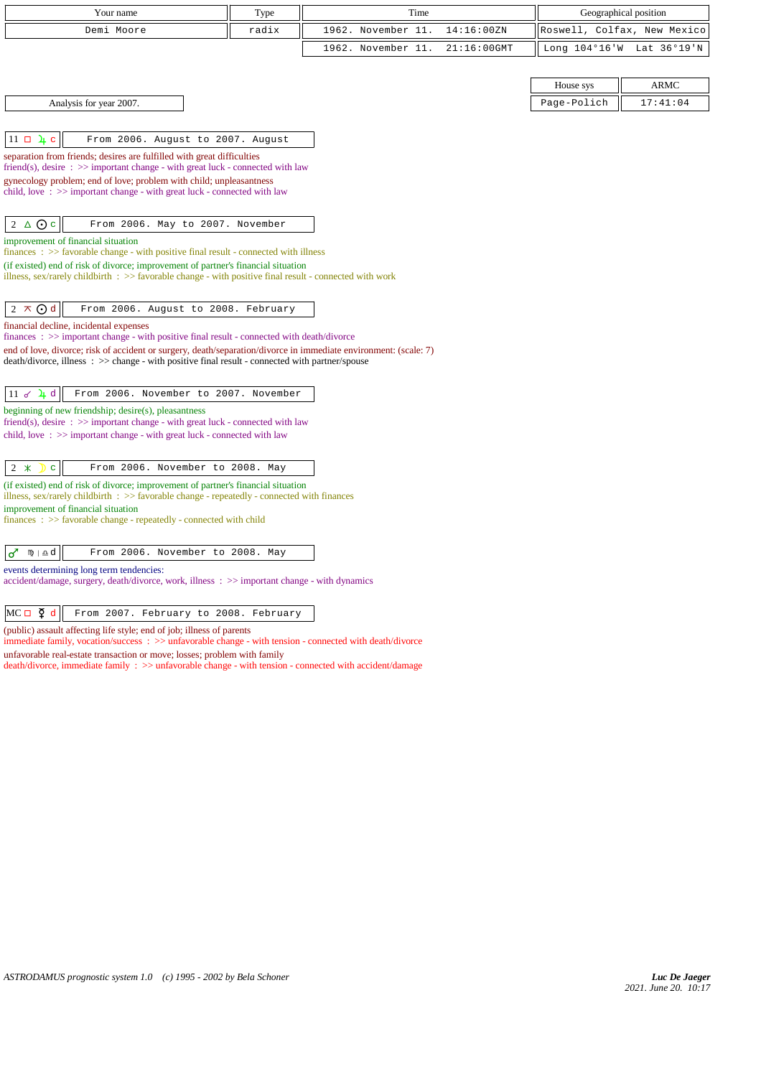| Your name                                                                                                                                                                                                          | Type  | Time               |             |               | Geographical position       |
|--------------------------------------------------------------------------------------------------------------------------------------------------------------------------------------------------------------------|-------|--------------------|-------------|---------------|-----------------------------|
| Demi Moore                                                                                                                                                                                                         | radix | 1962. November 11. | 14:16:00ZN  |               | Roswell, Colfax, New Mexico |
|                                                                                                                                                                                                                    |       | 1962. November 11. | 21:16:00GMT | Long 104°16'W | Lat 36°19'N                 |
|                                                                                                                                                                                                                    |       |                    |             |               |                             |
|                                                                                                                                                                                                                    |       |                    |             | House sys     | <b>ARMC</b>                 |
| Analysis for year 2007.                                                                                                                                                                                            |       |                    |             | Page-Polich   | 17:41:04                    |
|                                                                                                                                                                                                                    |       |                    |             |               |                             |
| $11 \Box \bot$<br>From 2006. August to 2007. August                                                                                                                                                                |       |                    |             |               |                             |
| separation from friends; desires are fulfilled with great difficulties                                                                                                                                             |       |                    |             |               |                             |
| friend(s), desire $\Rightarrow$ >> important change - with great luck - connected with law<br>gynecology problem; end of love; problem with child; unpleasantness                                                  |       |                    |             |               |                             |
| child, love $\Rightarrow$ important change - with great luck - connected with law                                                                                                                                  |       |                    |             |               |                             |
|                                                                                                                                                                                                                    |       |                    |             |               |                             |
| △⊙∊<br>$\overline{2}$<br>From 2006. May to 2007. November                                                                                                                                                          |       |                    |             |               |                             |
| improvement of financial situation<br>$finances : \gg$ favorable change - with positive final result - connected with illness                                                                                      |       |                    |             |               |                             |
| (if existed) end of risk of divorce; improvement of partner's financial situation                                                                                                                                  |       |                    |             |               |                             |
| illness, sex/rarely childbirth $\Rightarrow$ > favorable change - with positive final result - connected with work                                                                                                 |       |                    |             |               |                             |
| $2 \times Qd$<br>From 2006. August to 2008. February                                                                                                                                                               |       |                    |             |               |                             |
| financial decline, incidental expenses                                                                                                                                                                             |       |                    |             |               |                             |
| finances : >> important change - with positive final result - connected with death/divorce                                                                                                                         |       |                    |             |               |                             |
| end of love, divorce; risk of accident or surgery, death/separation/divorce in immediate environment: (scale: 7)<br>death/divorce, illness: >> change - with positive final result - connected with partner/spouse |       |                    |             |               |                             |
|                                                                                                                                                                                                                    |       |                    |             |               |                             |
| $11 \times 11$ d<br>From 2006. November to 2007. November                                                                                                                                                          |       |                    |             |               |                             |
| beginning of new friendship; desire(s), pleasantness                                                                                                                                                               |       |                    |             |               |                             |
| friend(s), desire $\Rightarrow$ > important change - with great luck - connected with law<br>child, love $\Rightarrow$ important change - with great luck - connected with law                                     |       |                    |             |               |                             |
|                                                                                                                                                                                                                    |       |                    |             |               |                             |
| $2 *$<br>$\mathbf{C}$<br>From 2006. November to 2008. May                                                                                                                                                          |       |                    |             |               |                             |
| (if existed) end of risk of divorce; improvement of partner's financial situation                                                                                                                                  |       |                    |             |               |                             |
| illness, sex/rarely childbirth $\Rightarrow$ S favorable change - repeatedly - connected with finances<br>improvement of financial situation                                                                       |       |                    |             |               |                             |
| $finances : \gg$ favorable change - repeatedly - connected with child                                                                                                                                              |       |                    |             |               |                             |
|                                                                                                                                                                                                                    |       |                    |             |               |                             |
| $\sigma$<br>$m \pm d$<br>From 2006. November to 2008. May                                                                                                                                                          |       |                    |             |               |                             |
| events determining long term tendencies:<br>accident/damage, surgery, death/divorce, work, illness: >> important change - with dynamics                                                                            |       |                    |             |               |                             |
|                                                                                                                                                                                                                    |       |                    |             |               |                             |
| $MC \Box \Phi d$<br>From 2007. February to 2008. February                                                                                                                                                          |       |                    |             |               |                             |
| (public) assault affecting life style; end of job; illness of parents                                                                                                                                              |       |                    |             |               |                             |

immediate family, vocation/success :  $>>$  unfavorable change - with tension - connected with death/divorce

unfavorable real-estate transaction or move; losses; problem with family

death/divorce, immediate family : >> unfavorable change - with tension - connected with accident/damage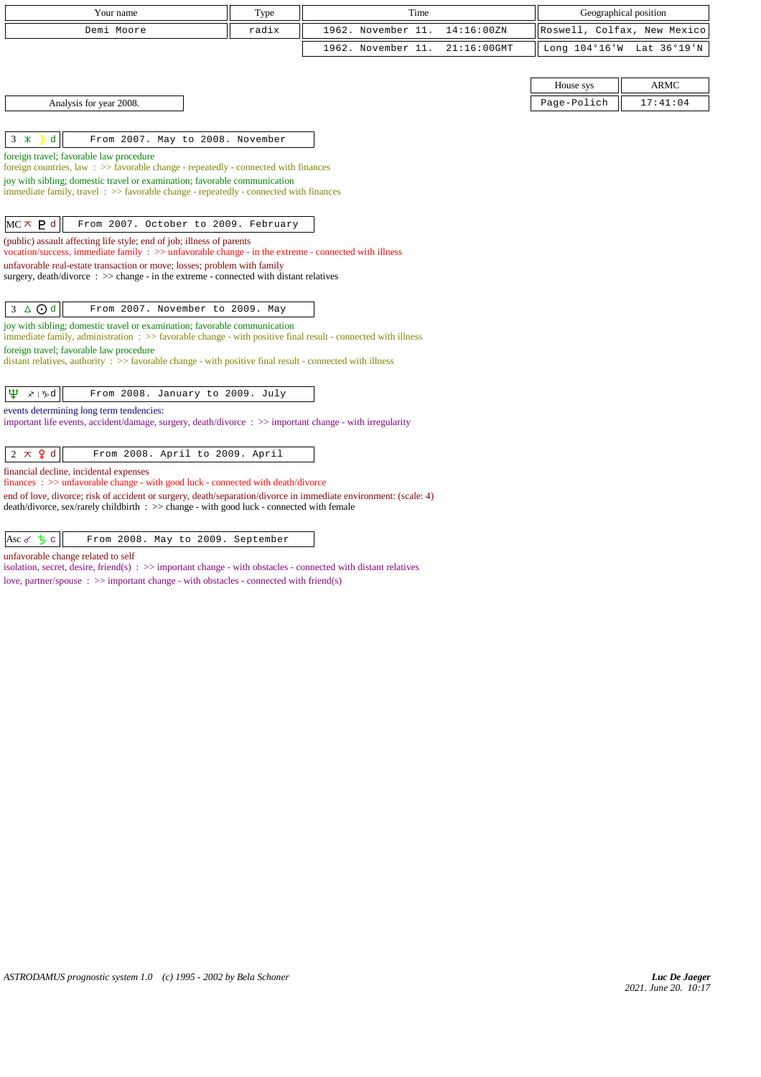| Your name                                                                                                                                                                                                     | Type  | Time               |                | Geographical position |                             |  |  |
|---------------------------------------------------------------------------------------------------------------------------------------------------------------------------------------------------------------|-------|--------------------|----------------|-----------------------|-----------------------------|--|--|
| Demi Moore                                                                                                                                                                                                    | radix | 1962. November 11. | 14:16:00ZN     |                       | Roswell, Colfax, New Mexico |  |  |
|                                                                                                                                                                                                               |       | 1962. November 11. | $21:16:00$ GMT |                       | Long 104°16'W Lat 36°19'N   |  |  |
|                                                                                                                                                                                                               |       |                    |                |                       |                             |  |  |
|                                                                                                                                                                                                               |       |                    |                | House sys             | <b>ARMC</b>                 |  |  |
| Analysis for year 2008.                                                                                                                                                                                       |       |                    |                | Page-Polich           | 17:41:04                    |  |  |
|                                                                                                                                                                                                               |       |                    |                |                       |                             |  |  |
| d<br>$3 *$<br>From 2007. May to 2008. November                                                                                                                                                                |       |                    |                |                       |                             |  |  |
| foreign travel; favorable law procedure<br>foreign countries, law : $\gg$ favorable change - repeatedly - connected with finances                                                                             |       |                    |                |                       |                             |  |  |
| joy with sibling; domestic travel or examination; favorable communication                                                                                                                                     |       |                    |                |                       |                             |  |  |
| immediate family, travel: >> favorable change - repeatedly - connected with finances                                                                                                                          |       |                    |                |                       |                             |  |  |
|                                                                                                                                                                                                               |       |                    |                |                       |                             |  |  |
| $MC \times P$ d<br>From 2007. October to 2009. February                                                                                                                                                       |       |                    |                |                       |                             |  |  |
| (public) assault affecting life style; end of job; illness of parents<br>vocation/success, immediate family $\Rightarrow$ > unfavorable change - in the extreme - connected with illness                      |       |                    |                |                       |                             |  |  |
| unfavorable real-estate transaction or move; losses; problem with family                                                                                                                                      |       |                    |                |                       |                             |  |  |
| surgery, death/divorce $\therefore$ $\gg$ change - in the extreme - connected with distant relatives                                                                                                          |       |                    |                |                       |                             |  |  |
|                                                                                                                                                                                                               |       |                    |                |                       |                             |  |  |
| $3 \triangle$ $\odot$ d<br>From 2007. November to 2009. May                                                                                                                                                   |       |                    |                |                       |                             |  |  |
| joy with sibling; domestic travel or examination; favorable communication<br>immediate family, administration : >> favorable change - with positive final result - connected with illness                     |       |                    |                |                       |                             |  |  |
| foreign travel; favorable law procedure                                                                                                                                                                       |       |                    |                |                       |                             |  |  |
| distant relatives, authority : >> favorable change - with positive final result - connected with illness                                                                                                      |       |                    |                |                       |                             |  |  |
|                                                                                                                                                                                                               |       |                    |                |                       |                             |  |  |
| Ψ<br>$x \upharpoonright y_0$ d<br>From 2008. January to 2009. July                                                                                                                                            |       |                    |                |                       |                             |  |  |
| events determining long term tendencies:<br>important life events, accident/damage, surgery, death/divorce: >> important change - with irregularity                                                           |       |                    |                |                       |                             |  |  |
|                                                                                                                                                                                                               |       |                    |                |                       |                             |  |  |
| $2 \times$ 9 d<br>From 2008. April to 2009. April                                                                                                                                                             |       |                    |                |                       |                             |  |  |
| financial decline, incidental expenses                                                                                                                                                                        |       |                    |                |                       |                             |  |  |
| finances: >> unfavorable change - with good luck - connected with death/divorce                                                                                                                               |       |                    |                |                       |                             |  |  |
| end of love, divorce; risk of accident or surgery, death/separation/divorce in immediate environment: (scale: 4)<br>death/divorce, sex/rarely childbirth : >> change - with good luck - connected with female |       |                    |                |                       |                             |  |  |

 $\begin{array}{|c|c|c|c|c|}\n\hline \text{Asc of } & & \text{From 2008. May to 2009. September}\n\hline \end{array}$ 

unfavorable change related to self

isolation, secret, desire, friend(s) : >> important change - with obstacles - connected with distant relatives love, partner/spouse : >> important change - with obstacles - connected with friend(s)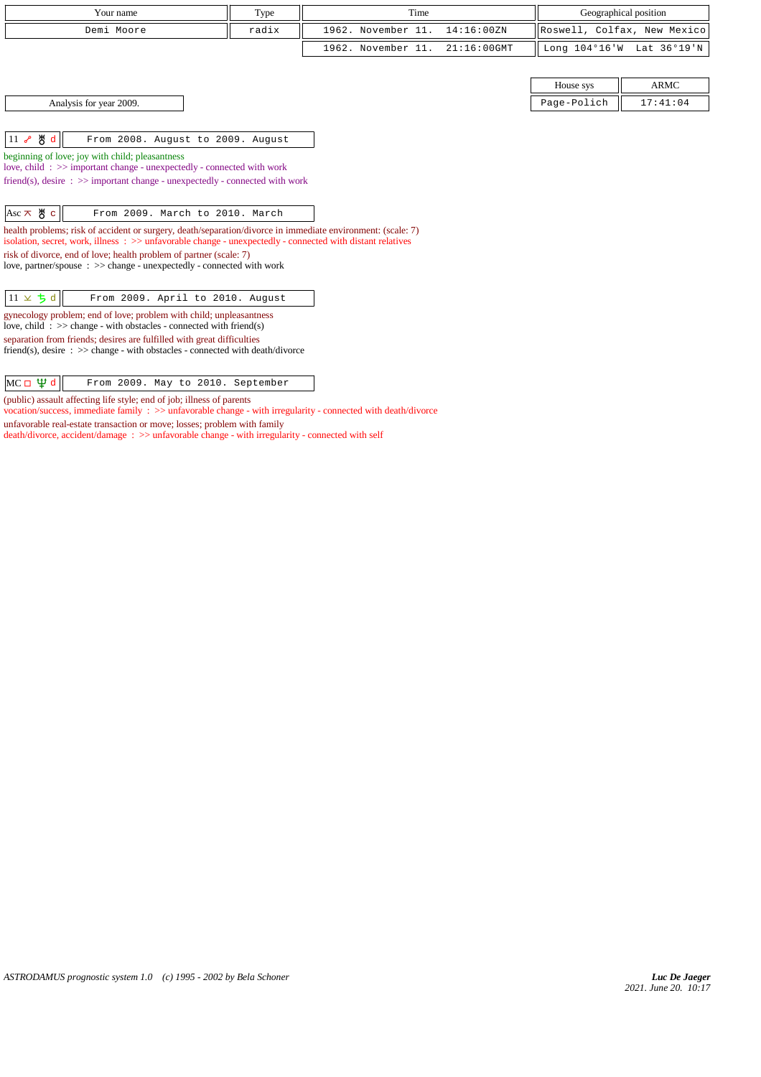|                                                                                                                                                                                                                                    | Type  |                    |                       |                             |             |  |  |  |
|------------------------------------------------------------------------------------------------------------------------------------------------------------------------------------------------------------------------------------|-------|--------------------|-----------------------|-----------------------------|-------------|--|--|--|
| Your name                                                                                                                                                                                                                          | Time  |                    | Geographical position |                             |             |  |  |  |
| Demi Moore                                                                                                                                                                                                                         | radix | 1962. November 11. | 14:16:00 ZN           | Roswell, Colfax, New Mexico |             |  |  |  |
|                                                                                                                                                                                                                                    |       | 1962. November 11. | $21:16:00$ GMT        | Long 104°16'W               | Lat 36°19'N |  |  |  |
|                                                                                                                                                                                                                                    |       |                    |                       |                             |             |  |  |  |
|                                                                                                                                                                                                                                    |       |                    |                       | House sys                   | <b>ARMC</b> |  |  |  |
| Analysis for year 2009.                                                                                                                                                                                                            |       |                    |                       | Page-Polich                 | 17:41:04    |  |  |  |
|                                                                                                                                                                                                                                    |       |                    |                       |                             |             |  |  |  |
| 11 & 5 d<br>From 2008. August to 2009. August                                                                                                                                                                                      |       |                    |                       |                             |             |  |  |  |
| beginning of love; joy with child; pleasantness<br>love, child: >> important change - unexpectedly - connected with work                                                                                                           |       |                    |                       |                             |             |  |  |  |
| friend(s), desire $\Rightarrow$ important change - unexpectedly - connected with work                                                                                                                                              |       |                    |                       |                             |             |  |  |  |
|                                                                                                                                                                                                                                    |       |                    |                       |                             |             |  |  |  |
| $\text{Asc} \times \text{H} \text{c}$<br>From 2009. March to 2010. March                                                                                                                                                           |       |                    |                       |                             |             |  |  |  |
| health problems; risk of accident or surgery, death/separation/divorce in immediate environment: (scale: 7)<br>isolation, secret, work, illness $\Rightarrow$ unfavorable change - unexpectedly - connected with distant relatives |       |                    |                       |                             |             |  |  |  |
| risk of divorce, end of love; health problem of partner (scale: 7)<br>love, partner/spouse: >> change - unexpectedly - connected with work                                                                                         |       |                    |                       |                             |             |  |  |  |
|                                                                                                                                                                                                                                    |       |                    |                       |                             |             |  |  |  |
| $11 \times 5d$<br>From 2009. April to 2010. August                                                                                                                                                                                 |       |                    |                       |                             |             |  |  |  |
| gynecology problem; end of love; problem with child; unpleasantness<br>love, child: $\gg$ change - with obstacles - connected with friend(s)                                                                                       |       |                    |                       |                             |             |  |  |  |
| separation from friends; desires are fulfilled with great difficulties<br>friend(s), desire : $\gg$ change - with obstacles - connected with death/divorce                                                                         |       |                    |                       |                             |             |  |  |  |

| $MC \Box \Psi d$<br>From 2009. May to 2010. September |
|-------------------------------------------------------|
|-------------------------------------------------------|

(public) assault affecting life style; end of job; illness of parents

vocation/success, immediate family : >> unfavorable change - with irregularity - connected with death/divorce

unfavorable real-estate transaction or move; losses; problem with family

death/divorce, accident/damage : >> unfavorable change - with irregularity - connected with self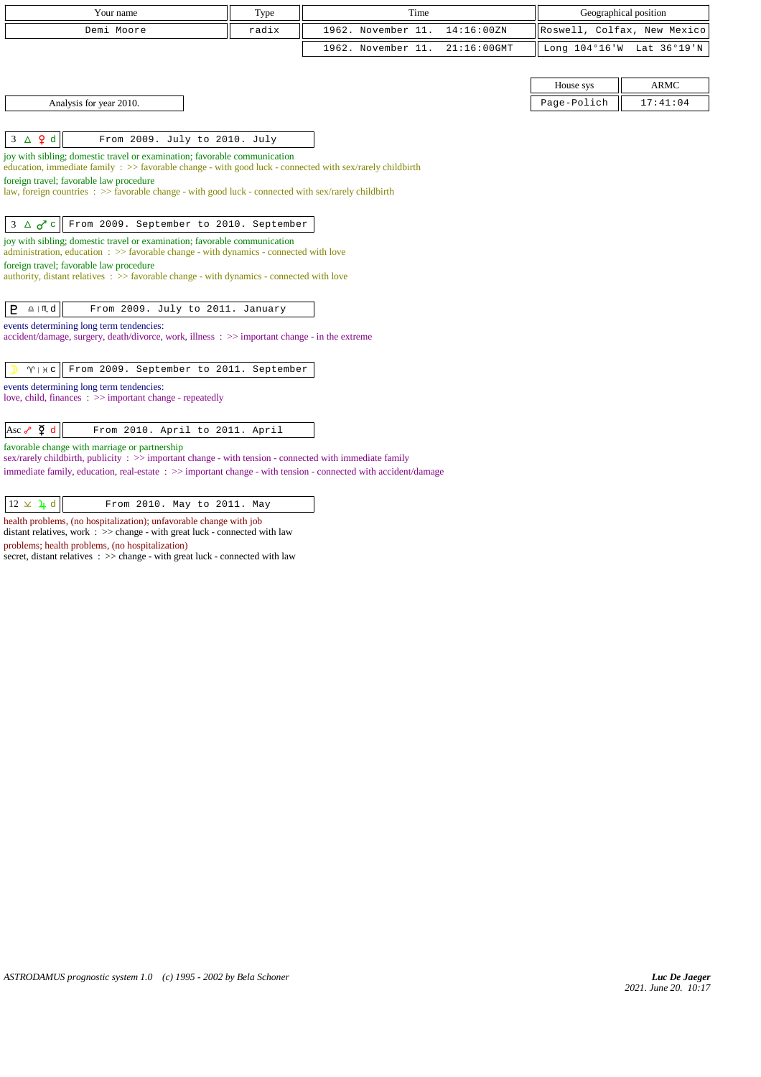| Your name                                                                                                                                                                     | Time<br>Type |                    |                |               | Geographical position       |  |  |  |
|-------------------------------------------------------------------------------------------------------------------------------------------------------------------------------|--------------|--------------------|----------------|---------------|-----------------------------|--|--|--|
| Demi Moore                                                                                                                                                                    | radix        | 1962. November 11. | 14:16:00ZN     |               | Roswell, Colfax, New Mexico |  |  |  |
|                                                                                                                                                                               |              | 1962. November 11. | $21:16:00$ GMT | Long 104°16'W | Lat 36°19'N                 |  |  |  |
|                                                                                                                                                                               |              |                    |                |               |                             |  |  |  |
|                                                                                                                                                                               |              |                    |                | House sys     | <b>ARMC</b>                 |  |  |  |
| Analysis for year 2010.                                                                                                                                                       |              |                    |                | Page-Polich   | 17:41:04                    |  |  |  |
|                                                                                                                                                                               |              |                    |                |               |                             |  |  |  |
| $3 \triangle$ $\varphi$ d<br>From 2009. July to 2010. July                                                                                                                    |              |                    |                |               |                             |  |  |  |
| joy with sibling; domestic travel or examination; favorable communication                                                                                                     |              |                    |                |               |                             |  |  |  |
| education, immediate family : >> favorable change - with good luck - connected with sex/rarely childbirth<br>foreign travel; favorable law procedure                          |              |                    |                |               |                             |  |  |  |
| law, foreign countries : >> favorable change - with good luck - connected with sex/rarely childbirth                                                                          |              |                    |                |               |                             |  |  |  |
|                                                                                                                                                                               |              |                    |                |               |                             |  |  |  |
| From 2009. September to 2010. September<br>$3 \Delta \sigma$ <sup>c</sup>                                                                                                     |              |                    |                |               |                             |  |  |  |
| joy with sibling; domestic travel or examination; favorable communication<br>administration, education $\Rightarrow$ > favorable change - with dynamics - connected with love |              |                    |                |               |                             |  |  |  |
| foreign travel; favorable law procedure                                                                                                                                       |              |                    |                |               |                             |  |  |  |
| authority, distant relatives : >> favorable change - with dynamics - connected with love                                                                                      |              |                    |                |               |                             |  |  |  |
| $\underline{\Omega}$   $M_d$ d<br>From 2009. July to 2011. January<br>$\mathsf{P}$                                                                                            |              |                    |                |               |                             |  |  |  |
| events determining long term tendencies:                                                                                                                                      |              |                    |                |               |                             |  |  |  |
| accident/damage, surgery, death/divorce, work, illness: >> important change - in the extreme                                                                                  |              |                    |                |               |                             |  |  |  |
|                                                                                                                                                                               |              |                    |                |               |                             |  |  |  |
| From 2009. September to 2011. September<br>$\gamma$   $\#$ c                                                                                                                  |              |                    |                |               |                             |  |  |  |
| events determining long term tendencies:                                                                                                                                      |              |                    |                |               |                             |  |  |  |
| love, child, finances : >> important change - repeatedly                                                                                                                      |              |                    |                |               |                             |  |  |  |
| Asc $\sqrt{2}$ d<br>From 2010. April to 2011. April                                                                                                                           |              |                    |                |               |                             |  |  |  |
| favorable change with marriage or partnership                                                                                                                                 |              |                    |                |               |                             |  |  |  |
| sex/rarely childbirth, publicity : >> important change - with tension - connected with immediate family                                                                       |              |                    |                |               |                             |  |  |  |
| immediate family, education, real-estate : >> important change - with tension - connected with accident/damage                                                                |              |                    |                |               |                             |  |  |  |
|                                                                                                                                                                               |              |                    |                |               |                             |  |  |  |

| $ 12 \times 4d $ |  |  |  | From 2010. May to 2011. May |  |
|------------------|--|--|--|-----------------------------|--|
|                  |  |  |  |                             |  |

health problems, (no hospitalization); unfavorable change with job distant relatives, work : >> change - with great luck - connected with law

problems; health problems, (no hospitalization)

secret, distant relatives  $\therefore$  >> change - with great luck - connected with law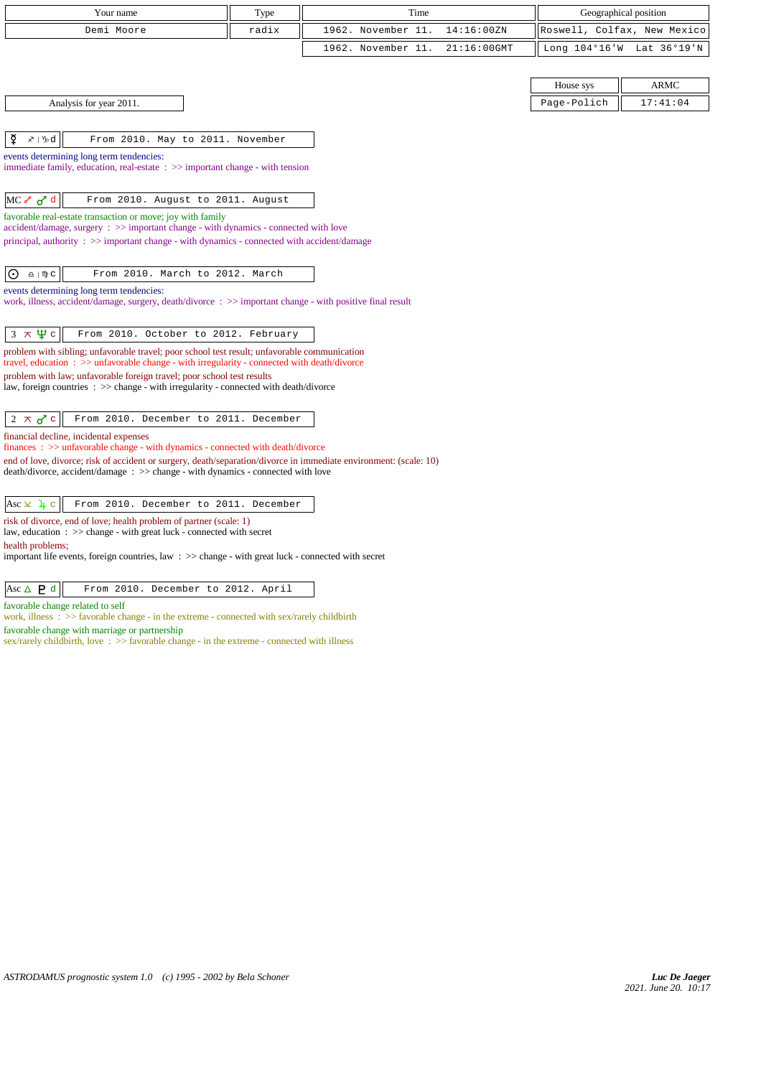| Your name                                                                                                                                                                                            | Type              | Time               |                |                                                      |                           |
|------------------------------------------------------------------------------------------------------------------------------------------------------------------------------------------------------|-------------------|--------------------|----------------|------------------------------------------------------|---------------------------|
| Demi Moore                                                                                                                                                                                           | radix             | 1962. November 11. | 14:16:00ZN     | Geographical position<br>Roswell, Colfax, New Mexico |                           |
|                                                                                                                                                                                                      |                   | 1962. November 11. | $21:16:00$ GMT |                                                      | Long 104°16'W Lat 36°19'N |
|                                                                                                                                                                                                      |                   |                    |                |                                                      |                           |
|                                                                                                                                                                                                      |                   |                    |                | House sys                                            | <b>ARMC</b>               |
| Analysis for year 2011.                                                                                                                                                                              |                   |                    |                | Page-Polich                                          | 17:41:04                  |
|                                                                                                                                                                                                      |                   |                    |                |                                                      |                           |
| ₫<br>$x \upharpoonright y$ d<br>From 2010. May to 2011. November                                                                                                                                     |                   |                    |                |                                                      |                           |
| events determining long term tendencies:                                                                                                                                                             |                   |                    |                |                                                      |                           |
| immediate family, education, real-estate $\Rightarrow$ important change - with tension                                                                                                               |                   |                    |                |                                                      |                           |
|                                                                                                                                                                                                      |                   |                    |                |                                                      |                           |
| MC of d<br>From 2010. August to 2011. August                                                                                                                                                         |                   |                    |                |                                                      |                           |
| favorable real-estate transaction or move; joy with family<br>$accident/damage$ , surgery : $\gg$ important change - with dynamics - connected with love                                             |                   |                    |                |                                                      |                           |
| principal, authority : $\gg$ important change - with dynamics - connected with accident/damage                                                                                                       |                   |                    |                |                                                      |                           |
|                                                                                                                                                                                                      |                   |                    |                |                                                      |                           |
| $\Delta$   $\mathbb{D}$ C<br>From 2010. March to 2012. March<br>$\odot$                                                                                                                              |                   |                    |                |                                                      |                           |
| events determining long term tendencies:<br>work, illness, accident/damage, surgery, death/divorce : >> important change - with positive final result                                                |                   |                    |                |                                                      |                           |
|                                                                                                                                                                                                      |                   |                    |                |                                                      |                           |
| $3 \times \Psi c$<br>From 2010. October to 2012. February                                                                                                                                            |                   |                    |                |                                                      |                           |
| problem with sibling; unfavorable travel; poor school test result; unfavorable communication                                                                                                         |                   |                    |                |                                                      |                           |
| travel, education: >> unfavorable change - with irregularity - connected with death/divorce<br>problem with law; unfavorable foreign travel; poor school test results                                |                   |                    |                |                                                      |                           |
| law, foreign countries $\therefore$ > change - with irregularity - connected with death/divorce                                                                                                      |                   |                    |                |                                                      |                           |
|                                                                                                                                                                                                      |                   |                    |                |                                                      |                           |
| From 2010. December to 2011. December<br>$2 \times \sigma$ c                                                                                                                                         |                   |                    |                |                                                      |                           |
| financial decline, incidental expenses<br>$finances : \gg$ unfavorable change - with dynamics - connected with death/divorce                                                                         |                   |                    |                |                                                      |                           |
| end of love, divorce; risk of accident or surgery, death/separation/divorce in immediate environment: (scale: 10)<br>death/divorce, accident/damage: >> change - with dynamics - connected with love |                   |                    |                |                                                      |                           |
|                                                                                                                                                                                                      |                   |                    |                |                                                      |                           |
| From 2010. December to 2011. December<br>Asc $\times$ $\lambda$ c                                                                                                                                    |                   |                    |                |                                                      |                           |
| risk of divorce, end of love; health problem of partner (scale: 1)                                                                                                                                   |                   |                    |                |                                                      |                           |
| law, education : >> change - with great luck - connected with secret<br>health problems;                                                                                                             |                   |                    |                |                                                      |                           |
| the property of the contract of the con-<br>$\sim$ $\sim$ $\sim$ $\sim$ $\sim$ $\sim$                                                                                                                | $1.4$ $1.4$ $1.4$ |                    |                |                                                      |                           |

important life events, foreign countries, law : >> change - with great luck - connected with secret

Asc  $\triangle$  **P** d From 2010. December to 2012. April

favorable change related to self

work, illness : >> favorable change - in the extreme - connected with sex/rarely childbirth favorable change with marriage or partnership

sex/rarely childbirth, love :  $\gg$  favorable change - in the extreme - connected with illness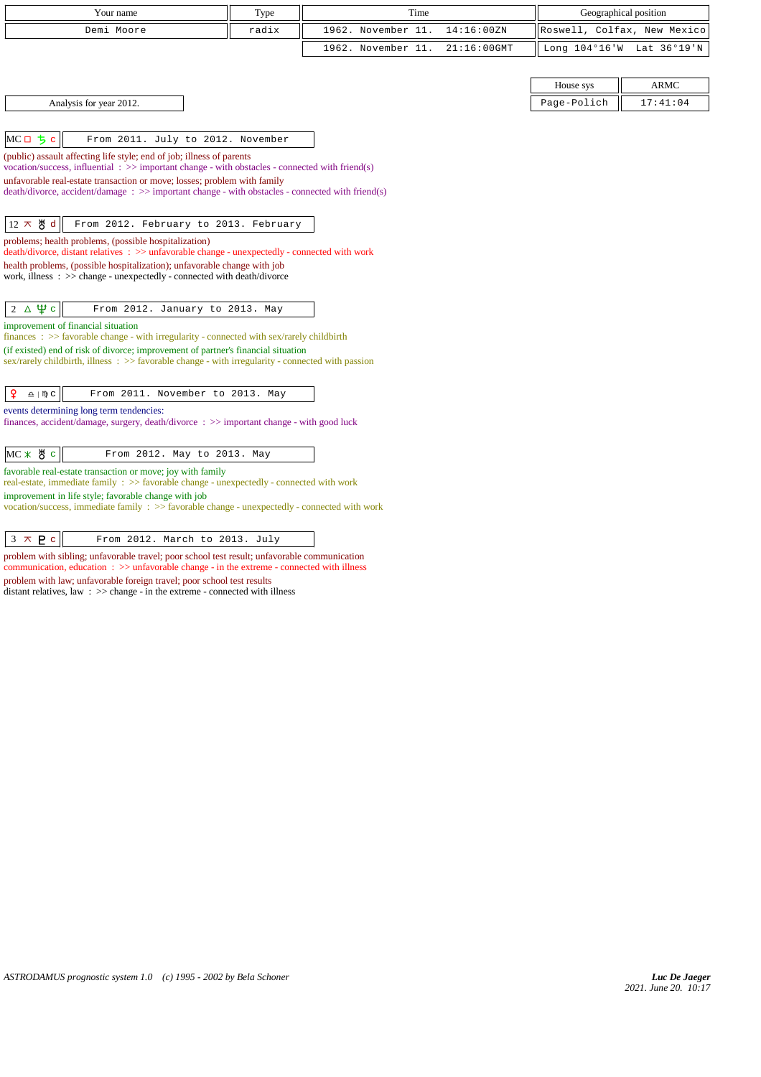| Your name                                                                                                                                                                         | Type  | Time               |                | Geographical position       |                           |
|-----------------------------------------------------------------------------------------------------------------------------------------------------------------------------------|-------|--------------------|----------------|-----------------------------|---------------------------|
| Demi Moore                                                                                                                                                                        | radix | 1962. November 11. | 14:16:00ZN     | Roswell, Colfax, New Mexico |                           |
|                                                                                                                                                                                   |       | 1962. November 11. | $21:16:00$ GMT |                             | Long 104°16'W Lat 36°19'N |
|                                                                                                                                                                                   |       |                    |                |                             |                           |
|                                                                                                                                                                                   |       |                    |                | House sys                   | <b>ARMC</b>               |
| Analysis for year 2012.                                                                                                                                                           |       |                    |                | Page-Polich                 | 17:41:04                  |
|                                                                                                                                                                                   |       |                    |                |                             |                           |
| $MCD$ $5c$<br>From 2011. July to 2012. November                                                                                                                                   |       |                    |                |                             |                           |
| (public) assault affecting life style; end of job; illness of parents<br>vocation/success, influential $\Rightarrow$ important change - with obstacles - connected with friend(s) |       |                    |                |                             |                           |
| unfavorable real-estate transaction or move; losses; problem with family                                                                                                          |       |                    |                |                             |                           |
| death/divorce, accident/damage: >> important change - with obstacles - connected with friend(s)                                                                                   |       |                    |                |                             |                           |
| $12 \times 8$ d<br>From 2012. February to 2013. February                                                                                                                          |       |                    |                |                             |                           |
| problems; health problems, (possible hospitalization)                                                                                                                             |       |                    |                |                             |                           |
| death/divorce, distant relatives : >> unfavorable change - unexpectedly - connected with work                                                                                     |       |                    |                |                             |                           |
| health problems, (possible hospitalization); unfavorable change with job<br>work, illness: >> change - unexpectedly - connected with death/divorce                                |       |                    |                |                             |                           |
|                                                                                                                                                                                   |       |                    |                |                             |                           |
| $2 \Delta \Psi c$<br>From 2012. January to 2013. May                                                                                                                              |       |                    |                |                             |                           |
| improvement of financial situation                                                                                                                                                |       |                    |                |                             |                           |
| finances : $\gg$ favorable change - with irregularity - connected with sex/rarely childbirth<br>(if existed) end of risk of divorce; improvement of partner's financial situation |       |                    |                |                             |                           |
| sex/rarely childbirth, illness $\Rightarrow$ favorable change - with irregularity - connected with passion                                                                        |       |                    |                |                             |                           |
|                                                                                                                                                                                   |       |                    |                |                             |                           |
| ¥<br>$\underline{\upalpha} \mid \texttt{M} \texttt{C}$<br>From 2011. November to 2013. May                                                                                        |       |                    |                |                             |                           |
| events determining long term tendencies:<br>finances, accident/damage, surgery, death/divorce : >> important change - with good luck                                              |       |                    |                |                             |                           |
|                                                                                                                                                                                   |       |                    |                |                             |                           |
| $MC$ $*$ $*$ $*$ $c$<br>From 2012. May to 2013. May                                                                                                                               |       |                    |                |                             |                           |
| favorable real-estate transaction or move; joy with family<br>real-estate, immediate family : >> favorable change - unexpectedly - connected with work                            |       |                    |                |                             |                           |
| improvement in life style; favorable change with job                                                                                                                              |       |                    |                |                             |                           |
| vocation/success, immediate family : >> favorable change - unexpectedly - connected with work                                                                                     |       |                    |                |                             |                           |

 $\begin{array}{|c|c|c|c|c|}\n\hline\n3 & \times & P & c \\
\hline\n\end{array}$  From 2012. March to 2013. July

problem with sibling; unfavorable travel; poor school test result; unfavorable communication communication, education : >> unfavorable change - in the extreme - connected with illness problem with law; unfavorable foreign travel; poor school test results distant relatives, law : >> change - in the extreme - connected with illness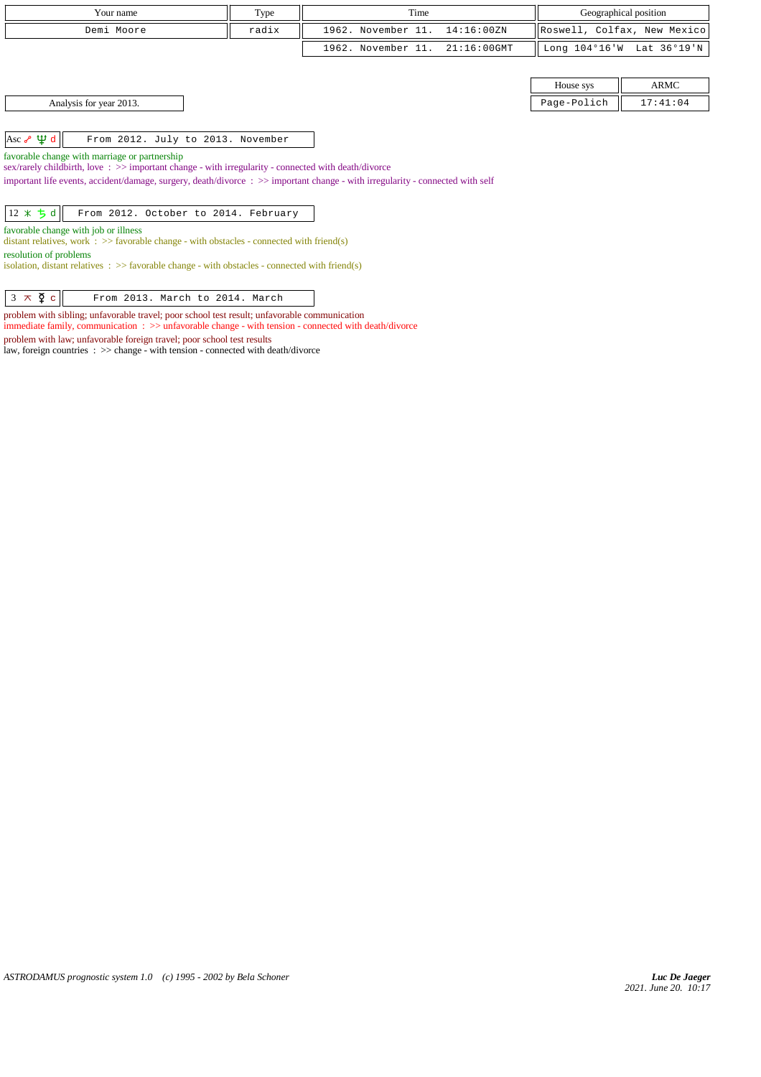| Your name               | Type  | Time                           | Geographical position |                             |
|-------------------------|-------|--------------------------------|-----------------------|-----------------------------|
| Demi Moore              | radix | 1962. November 11. 14:16:00ZN  |                       | Roswell, Colfax, New Mexico |
|                         |       | 1962. November 11. 21:16:00GMT |                       | Long 104°16'W Lat 36°19'N   |
|                         |       |                                |                       |                             |
|                         |       |                                | House sys             | <b>ARMC</b>                 |
| Analysis for year 2013. |       |                                | Page-Polich           | 17:41:04                    |

| 1100000000 | 1.11111 |
|------------|---------|
| lich       |         |

Asc  $\sqrt{\psi d}$  From 2012. July to 2013. November

favorable change with marriage or partnership

sex/rarely childbirth, love : >> important change - with irregularity - connected with death/divorce

important life events, accident/damage, surgery, death/divorce : >> important change - with irregularity - connected with self

|  |  |  |  |  |  | $\begin{vmatrix} 12 \times 5 d \end{vmatrix}$ From 2012. October to 2014. February |
|--|--|--|--|--|--|------------------------------------------------------------------------------------|
|--|--|--|--|--|--|------------------------------------------------------------------------------------|

favorable change with job or illness

distant relatives, work  $\therefore$  >> favorable change - with obstacles - connected with friend(s) resolution of problems

isolation, distant relatives :  $\gg$  favorable change - with obstacles - connected with friend(s)

 $\begin{vmatrix} 3 & \pi & \Phi \\ \end{vmatrix}$  From 2013. March to 2014. March

problem with sibling; unfavorable travel; poor school test result; unfavorable communication

immediate family, communication :  $\gg$  unfavorable change - with tension - connected with death/divorce

problem with law; unfavorable foreign travel; poor school test results

law, foreign countries : >> change - with tension - connected with death/divorce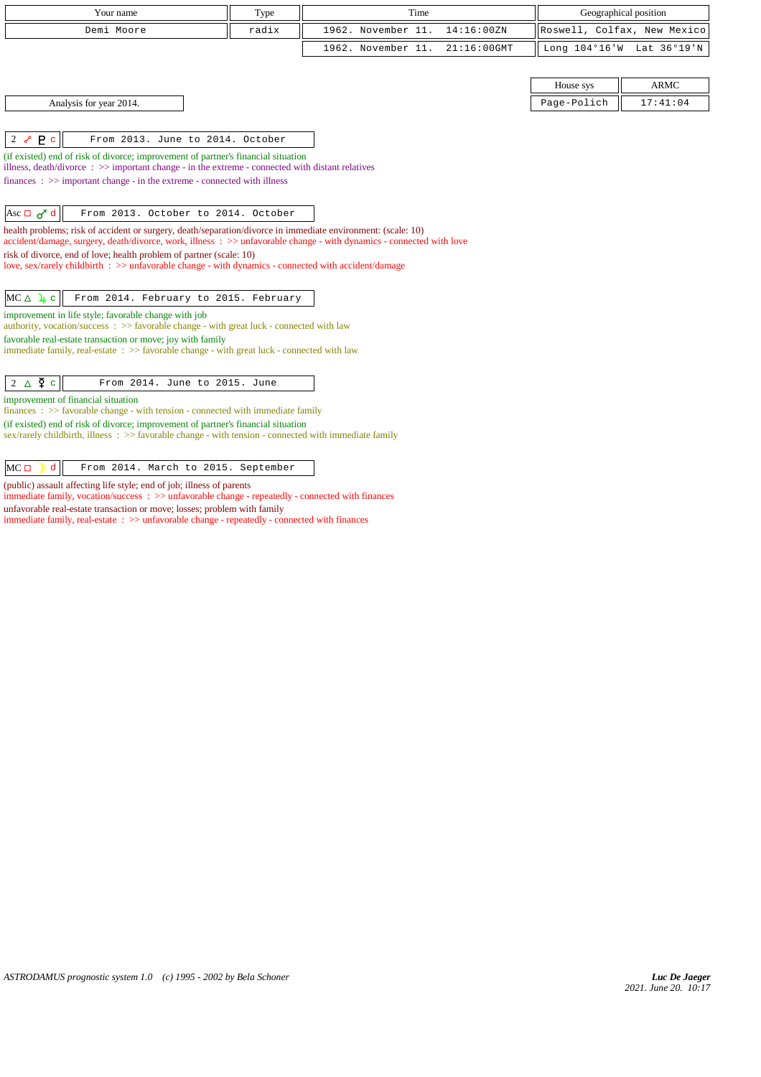| Your name                                                                                                                                                                                                                                                                                                                                                                                                                                                                                                                                                                                                                                                               | Type  | Time                                 | Geographical position       |             |
|-------------------------------------------------------------------------------------------------------------------------------------------------------------------------------------------------------------------------------------------------------------------------------------------------------------------------------------------------------------------------------------------------------------------------------------------------------------------------------------------------------------------------------------------------------------------------------------------------------------------------------------------------------------------------|-------|--------------------------------------|-----------------------------|-------------|
| Demi Moore                                                                                                                                                                                                                                                                                                                                                                                                                                                                                                                                                                                                                                                              | radix | 1962. November 11.<br>14:16:00 ZN    | Roswell, Colfax, New Mexico |             |
|                                                                                                                                                                                                                                                                                                                                                                                                                                                                                                                                                                                                                                                                         |       | 1962. November 11.<br>$21:16:00$ GMT | Long 104°16'W Lat 36°19'N   |             |
|                                                                                                                                                                                                                                                                                                                                                                                                                                                                                                                                                                                                                                                                         |       |                                      |                             |             |
|                                                                                                                                                                                                                                                                                                                                                                                                                                                                                                                                                                                                                                                                         |       |                                      | House sys                   | <b>ARMC</b> |
| Analysis for year 2014.                                                                                                                                                                                                                                                                                                                                                                                                                                                                                                                                                                                                                                                 |       |                                      | Page-Polich                 | 17:41:04    |
| P <sub>c</sub><br>$2\sigma$<br>From 2013. June to 2014. October<br>(if existed) end of risk of divorce; improvement of partner's financial situation<br>illness, death/divorce $\Rightarrow$ > important change - in the extreme - connected with distant relatives<br>$finances : \gg important change - in the extreme - connected with illness$<br>Asc $\Box$ $\sigma$ <sup>7</sup> d<br>From 2013. October to 2014. October<br>health problems; risk of accident or surgery, death/separation/divorce in immediate environment: (scale: 10)<br>accident/damage, surgery, death/divorce, work, illness : >> unfavorable change - with dynamics - connected with love |       |                                      |                             |             |
| risk of divorce, end of love; health problem of partner (scale: 10)<br>love, sex/rarely childbirth : >> unfavorable change - with dynamics - connected with accident/damage                                                                                                                                                                                                                                                                                                                                                                                                                                                                                             |       |                                      |                             |             |
| $MC \triangle \; 4 \; c$<br>From 2014. February to 2015. February<br>improvement in life style; favorable change with job<br>authority, vocation/success $\Rightarrow$ Savorable change - with great luck - connected with law<br>favorable real-estate transaction or move; joy with family<br>immediate family, real-estate $\Rightarrow$ favorable change - with great luck - connected with law                                                                                                                                                                                                                                                                     |       |                                      |                             |             |
| $2 \triangle \Phi$ c<br>From 2014. June to 2015. June<br>improvement of financial situation<br>$finances : \gg$ favorable change - with tension - connected with immediate family<br>(if existed) end of risk of divorce; improvement of partner's financial situation                                                                                                                                                                                                                                                                                                                                                                                                  |       |                                      |                             |             |
| sex/rarely childbirth, illness $\Rightarrow$ Savorable change - with tension - connected with immediate family<br>$MC \Box$<br>d<br>From 2014. March to 2015. September                                                                                                                                                                                                                                                                                                                                                                                                                                                                                                 |       |                                      |                             |             |

(public) assault affecting life style; end of job; illness of parents

immediate family, vocation/success :  $\gg$  unfavorable change - repeatedly - connected with finances unfavorable real-estate transaction or move; losses; problem with family immediate family, real-estate : >> unfavorable change - repeatedly - connected with finances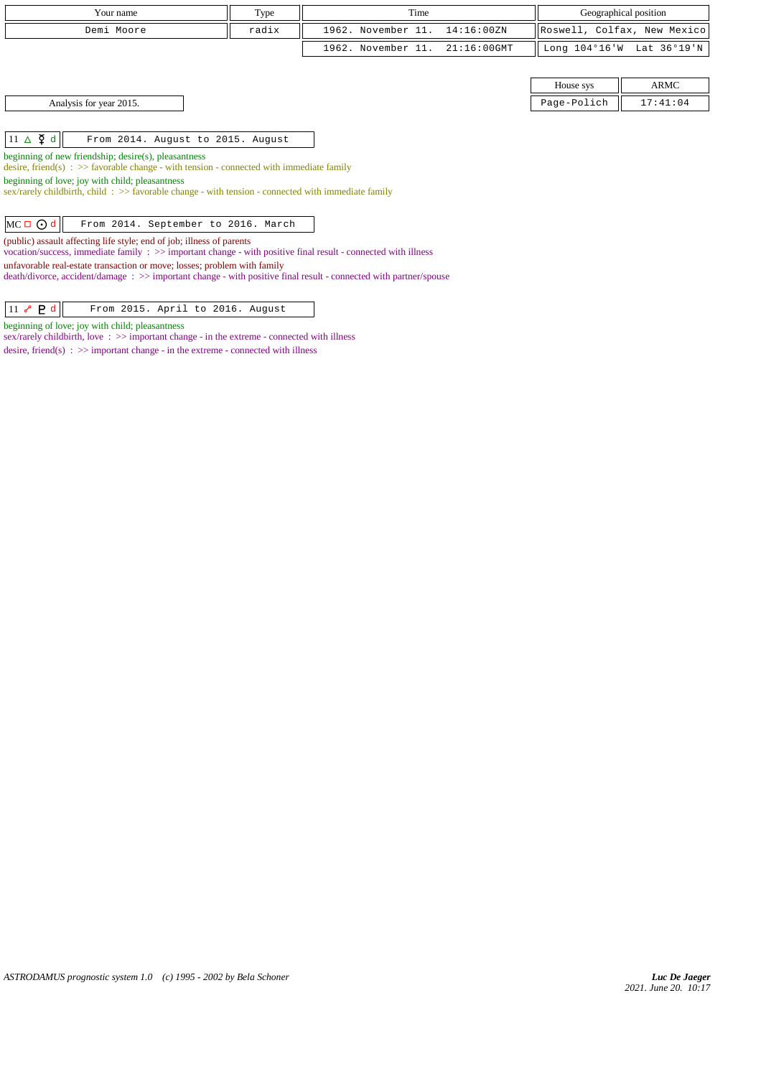| Your name                                                                                                                                                                                     | Type  | Time                                 |               | Geographical position       |  |  |
|-----------------------------------------------------------------------------------------------------------------------------------------------------------------------------------------------|-------|--------------------------------------|---------------|-----------------------------|--|--|
| Demi Moore                                                                                                                                                                                    | radix | 1962. November 11.<br>14:16:00ZN     |               | Roswell, Colfax, New Mexico |  |  |
|                                                                                                                                                                                               |       | 1962. November 11.<br>$21:16:00$ GMT | Long 104°16'W | Lat 36°19'N                 |  |  |
|                                                                                                                                                                                               |       |                                      |               |                             |  |  |
|                                                                                                                                                                                               |       |                                      | House sys     | <b>ARMC</b>                 |  |  |
| Analysis for year 2015.                                                                                                                                                                       |       |                                      | Page-Polich   | 17:41:04                    |  |  |
|                                                                                                                                                                                               |       |                                      |               |                             |  |  |
| $11 \triangle \n\Phi$ d<br>From 2014. August to 2015. August                                                                                                                                  |       |                                      |               |                             |  |  |
| beginning of new friendship; desire(s), pleasantness<br>desire, friend(s) : $\gg$ favorable change - with tension - connected with immediate family                                           |       |                                      |               |                             |  |  |
| beginning of love; joy with child; pleasantness<br>sex/rarely childbirth, child: >> favorable change - with tension - connected with immediate family                                         |       |                                      |               |                             |  |  |
| $MC \Box$ $O d$<br>From 2014. September to 2016. March                                                                                                                                        |       |                                      |               |                             |  |  |
| (public) assault affecting life style; end of job; illness of parents<br>vocation/success, immediate family : >> important change - with positive final result - connected with illness       |       |                                      |               |                             |  |  |
| unfavorable real-estate transaction or move; losses; problem with family<br>death/divorce, accident/damage : >> important change - with positive final result - connected with partner/spouse |       |                                      |               |                             |  |  |
| $11 \sim P d$<br>From 2015. April to 2016. August                                                                                                                                             |       |                                      |               |                             |  |  |

beginning of love; joy with child; pleasantness

sex/rarely childbirth, love :  $\gg$  important change - in the extreme - connected with illness desire, friend(s)  $\Rightarrow$  >> important change - in the extreme - connected with illness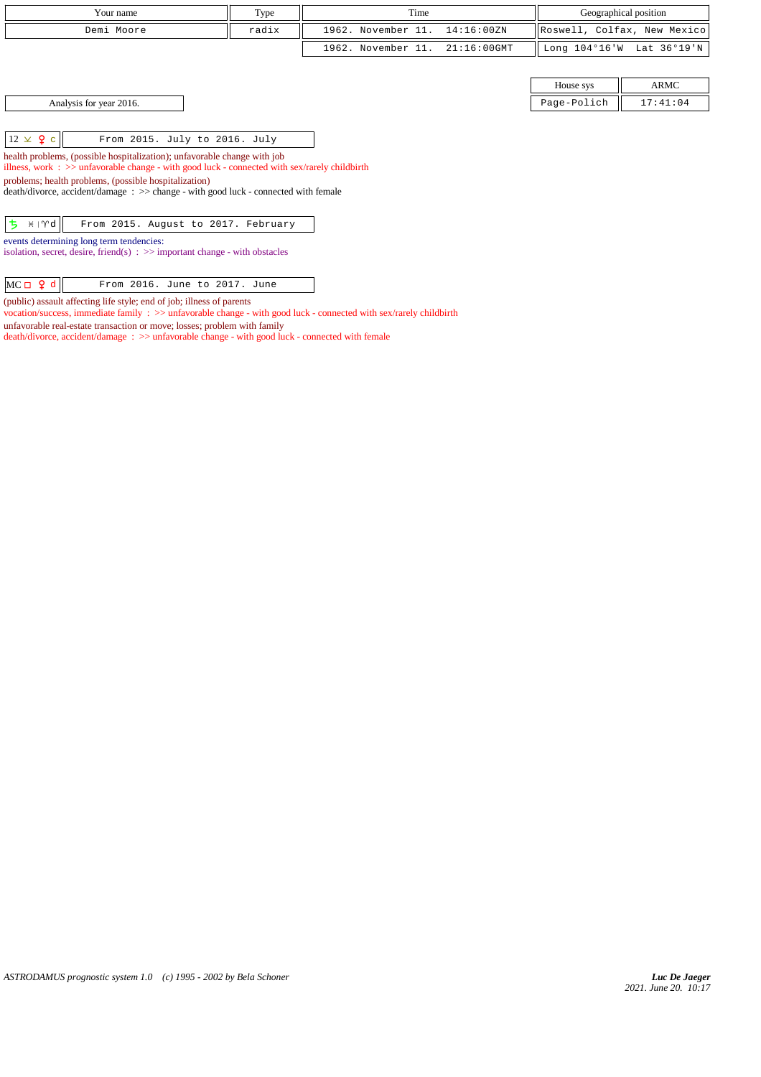| Your name                                                                                                                                                                    | Type  | Time               |                |             | Geographical position       |  |
|------------------------------------------------------------------------------------------------------------------------------------------------------------------------------|-------|--------------------|----------------|-------------|-----------------------------|--|
| Demi Moore                                                                                                                                                                   | radix | 1962. November 11. | 14:16:00ZN     |             | Roswell, Colfax, New Mexico |  |
|                                                                                                                                                                              |       | 1962. November 11. | $21:16:00$ GMT |             | Long 104°16'W Lat 36°19'N   |  |
|                                                                                                                                                                              |       |                    |                |             |                             |  |
|                                                                                                                                                                              |       |                    |                | House sys   | ARMC                        |  |
| Analysis for year 2016.                                                                                                                                                      |       |                    |                | Page-Polich | 17:41:04                    |  |
|                                                                                                                                                                              |       |                    |                |             |                             |  |
| $12 \times 9$ c<br>From 2015. July to 2016. July                                                                                                                             |       |                    |                |             |                             |  |
| health problems, (possible hospitalization); unfavorable change with job<br>illness, work : $\gg$ unfavorable change - with good luck - connected with sex/rarely childbirth |       |                    |                |             |                             |  |
| problems; health problems, (possible hospitalization)                                                                                                                        |       |                    |                |             |                             |  |
| death/divorce, accident/damage : >> change - with good luck - connected with female                                                                                          |       |                    |                |             |                             |  |
| $5$ $H Vd$<br>From 2015. August to 2017. February                                                                                                                            |       |                    |                |             |                             |  |
| events determining long term tendencies:<br>isolation, secret, desire, friend(s) $\Rightarrow$ important change - with obstacles                                             |       |                    |                |             |                             |  |
|                                                                                                                                                                              |       |                    |                |             |                             |  |
| $MC \Box 9 d$<br>From 2016. June to 2017. June                                                                                                                               |       |                    |                |             |                             |  |

*ASTRODAMUS prognostic system 1.0 (c) 1995 - 2002 by Bela Schoner*

(public) assault affecting life style; end of job; illness of parents

unfavorable real-estate transaction or move; losses; problem with family

vocation/success, immediate family : >> unfavorable change - with good luck - connected with sex/rarely childbirth

death/divorce, accident/damage : >> unfavorable change - with good luck - connected with female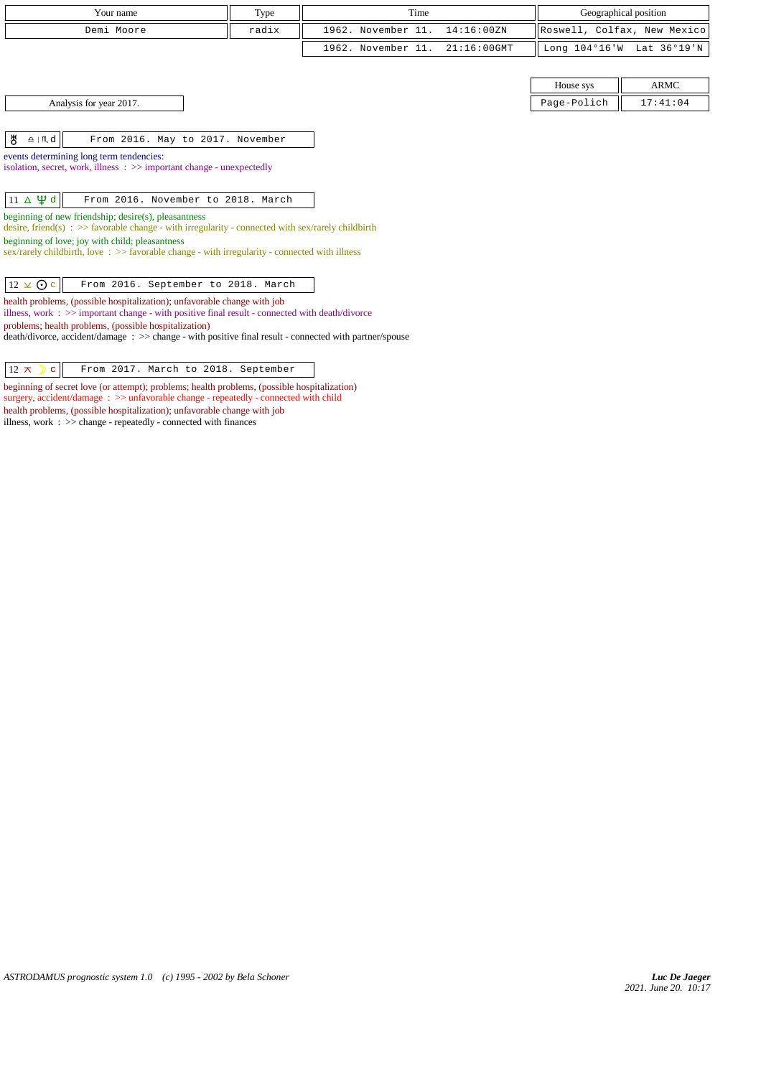| Your name                                                                                                                                                        | Type  | Time               |                | Geographical position |                             |
|------------------------------------------------------------------------------------------------------------------------------------------------------------------|-------|--------------------|----------------|-----------------------|-----------------------------|
| Demi Moore                                                                                                                                                       | radix | 1962. November 11. | 14:16:00 ZN    |                       | Roswell, Colfax, New Mexico |
|                                                                                                                                                                  |       | 1962. November 11. | $21:16:00$ GMT | Long 104°16'W         | Lat 36°19'N                 |
|                                                                                                                                                                  |       |                    |                |                       |                             |
|                                                                                                                                                                  |       |                    |                | House sys             | <b>ARMC</b>                 |
| Analysis for year 2017.                                                                                                                                          |       |                    |                | Page-Polich           | 17:41:04                    |
|                                                                                                                                                                  |       |                    |                |                       |                             |
| ₩<br>$\underline{\mathtt{a}}$   $\mathtt{M}$ d<br>From 2016. May to 2017. November                                                                               |       |                    |                |                       |                             |
| events determining long term tendencies:                                                                                                                         |       |                    |                |                       |                             |
| isolation, secret, work, illness : >> important change - unexpectedly                                                                                            |       |                    |                |                       |                             |
| $11 \Delta \Psi d$<br>From 2016. November to 2018. March                                                                                                         |       |                    |                |                       |                             |
| beginning of new friendship; desire(s), pleasantness                                                                                                             |       |                    |                |                       |                             |
| desire, friend(s) : $\gg$ favorable change - with irregularity - connected with sex/rarely childbirth                                                            |       |                    |                |                       |                             |
| beginning of love; joy with child; pleasantness<br>sex/rarely childbirth, love: >> favorable change - with irregularity - connected with illness                 |       |                    |                |                       |                             |
|                                                                                                                                                                  |       |                    |                |                       |                             |
| $12 \times 0c$<br>From 2016. September to 2018. March                                                                                                            |       |                    |                |                       |                             |
| health problems, (possible hospitalization); unfavorable change with job                                                                                         |       |                    |                |                       |                             |
| illness, work $\Rightarrow$ important change - with positive final result - connected with death/divorce                                                         |       |                    |                |                       |                             |
| problems; health problems, (possible hospitalization)<br>death/divorce, accident/damage : >> change - with positive final result - connected with partner/spouse |       |                    |                |                       |                             |
|                                                                                                                                                                  |       |                    |                |                       |                             |

 $\boxed{12 \times 0 \text{ c}}$  From 2017. March to 2018. September

beginning of secret love (or attempt); problems; health problems, (possible hospitalization) surgery, accident/damage : >> unfavorable change - repeatedly - connected with child health problems, (possible hospitalization); unfavorable change with job illness, work : >> change - repeatedly - connected with finances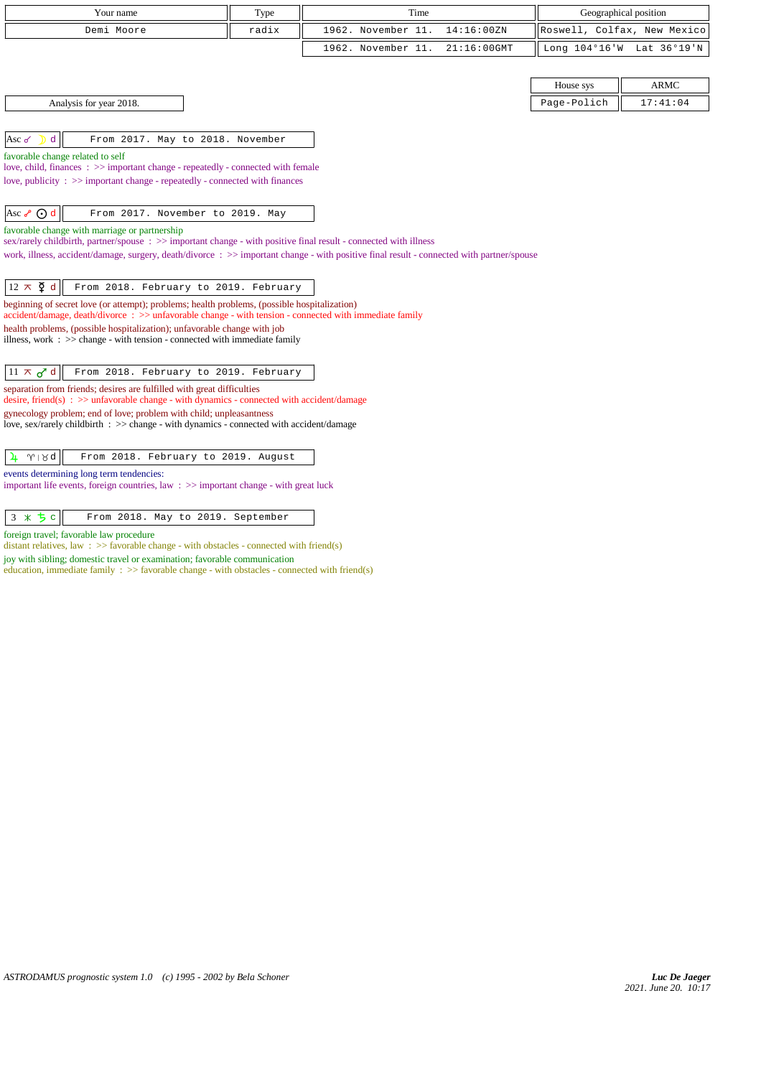| Your name                                                                                                                                                                     | Type  | Time                                                                                                                                     |             | Geographical position       |  |
|-------------------------------------------------------------------------------------------------------------------------------------------------------------------------------|-------|------------------------------------------------------------------------------------------------------------------------------------------|-------------|-----------------------------|--|
| Demi Moore                                                                                                                                                                    | radix | 1962. November 11.<br>14:16:00ZN                                                                                                         |             | Roswell, Colfax, New Mexico |  |
|                                                                                                                                                                               |       | 1962. November 11.<br>21:16:00GMT                                                                                                        |             | Long 104°16'W Lat 36°19'N   |  |
|                                                                                                                                                                               |       |                                                                                                                                          |             |                             |  |
|                                                                                                                                                                               |       |                                                                                                                                          | House sys   | <b>ARMC</b>                 |  |
| Analysis for year 2018.                                                                                                                                                       |       |                                                                                                                                          | Page-Polich | 17:41:04                    |  |
|                                                                                                                                                                               |       |                                                                                                                                          |             |                             |  |
| From 2017. May to 2018. November<br>d<br>Asc $\sigma$                                                                                                                         |       |                                                                                                                                          |             |                             |  |
| favorable change related to self                                                                                                                                              |       |                                                                                                                                          |             |                             |  |
| love, child, finances : >> important change - repeatedly - connected with female<br>love, publicity : $\gg$ important change - repeatedly - connected with finances           |       |                                                                                                                                          |             |                             |  |
|                                                                                                                                                                               |       |                                                                                                                                          |             |                             |  |
| Asc $\circ$ $\odot$ d<br>From 2017. November to 2019. May                                                                                                                     |       |                                                                                                                                          |             |                             |  |
| favorable change with marriage or partnership                                                                                                                                 |       |                                                                                                                                          |             |                             |  |
| sex/rarely childbirth, partner/spouse : >> important change - with positive final result - connected with illness                                                             |       |                                                                                                                                          |             |                             |  |
|                                                                                                                                                                               |       | work, illness, accident/damage, surgery, death/divorce: >> important change - with positive final result - connected with partner/spouse |             |                             |  |
| $12 \times \xi$ d<br>From 2018. February to 2019. February                                                                                                                    |       |                                                                                                                                          |             |                             |  |
| beginning of secret love (or attempt); problems; health problems, (possible hospitalization)                                                                                  |       |                                                                                                                                          |             |                             |  |
| accident/damage, death/divorce : >> unfavorable change - with tension - connected with immediate family                                                                       |       |                                                                                                                                          |             |                             |  |
| health problems, (possible hospitalization); unfavorable change with job<br>illness, work $\Rightarrow$ $\Rightarrow$ change - with tension - connected with immediate family |       |                                                                                                                                          |             |                             |  |
|                                                                                                                                                                               |       |                                                                                                                                          |             |                             |  |
| From 2018. February to 2019. February<br>$11 \times d$ d                                                                                                                      |       |                                                                                                                                          |             |                             |  |
| separation from friends; desires are fulfilled with great difficulties<br>desire, friend(s) : $\gg$ unfavorable change - with dynamics - connected with accident/damage       |       |                                                                                                                                          |             |                             |  |
| gynecology problem; end of love; problem with child; unpleasantness<br>love, sex/rarely childbirth : >> change - with dynamics - connected with accident/damage               |       |                                                                                                                                          |             |                             |  |
|                                                                                                                                                                               |       |                                                                                                                                          |             |                             |  |
| $\gamma \mid \gamma d$<br>From 2018. February to 2019. August                                                                                                                 |       |                                                                                                                                          |             |                             |  |
| events determining long term tendencies:<br>the compact of the first of the continuous control of the control of the control of the chi-                                      |       |                                                                                                                                          |             |                             |  |

important life events, foreign countries, law :  $\gg$  important change - with great luck

 $3 \times 5 c$  From 2018. May to 2019. September

foreign travel; favorable law procedure

distant relatives, law :  $\gg$  favorable change - with obstacles - connected with friend(s)

joy with sibling; domestic travel or examination; favorable communication education, immediate family :  $\gg$  favorable change - with obstacles - connected with friend(s)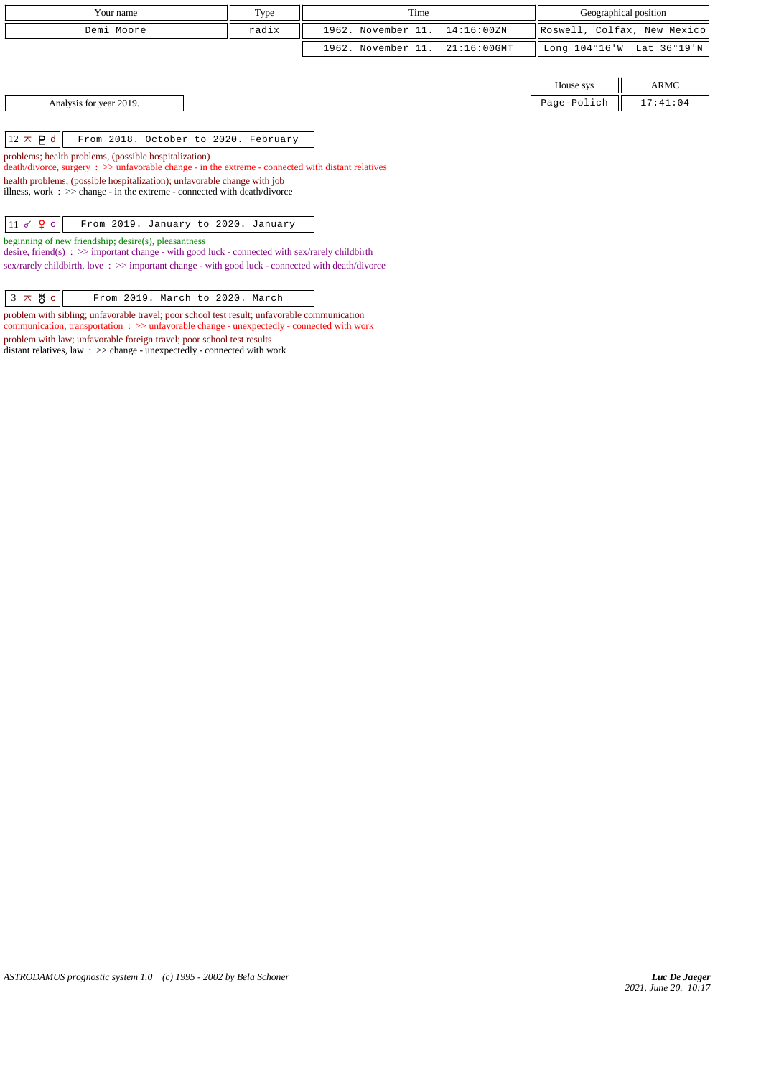| Your name                                                                                                                                                         | Type                                                                                               | Time               |                | Geographical position   |                             |  |
|-------------------------------------------------------------------------------------------------------------------------------------------------------------------|----------------------------------------------------------------------------------------------------|--------------------|----------------|-------------------------|-----------------------------|--|
| Demi Moore                                                                                                                                                        | radix                                                                                              | 1962. November 11. | 14:16:00ZN     |                         | Roswell, Colfax, New Mexico |  |
|                                                                                                                                                                   |                                                                                                    | 1962. November 11. | $21:16:00$ GMT | Long $104^{\circ}16$ 'W | Lat 36°19'N                 |  |
|                                                                                                                                                                   |                                                                                                    |                    |                |                         |                             |  |
|                                                                                                                                                                   |                                                                                                    |                    |                | House sys               | ARMC                        |  |
| Analysis for year 2019.                                                                                                                                           |                                                                                                    |                    |                | Page-Polich             | 17:41:04                    |  |
|                                                                                                                                                                   |                                                                                                    |                    |                |                         |                             |  |
| $12 \times P d$<br>From 2018. October to 2020. February                                                                                                           |                                                                                                    |                    |                |                         |                             |  |
| problems; health problems, (possible hospitalization)                                                                                                             | death/divorce, surgery : >> unfavorable change - in the extreme - connected with distant relatives |                    |                |                         |                             |  |
| health problems, (possible hospitalization); unfavorable change with job<br>illness, work $\Rightarrow$ >> change - in the extreme - connected with death/divorce |                                                                                                    |                    |                |                         |                             |  |
|                                                                                                                                                                   |                                                                                                    |                    |                |                         |                             |  |
| 11 $\sigma$ $\Omega$ c<br>From 2019. January to 2020. January                                                                                                     |                                                                                                    |                    |                |                         |                             |  |
| beginning of new friendship; desire(s), pleasantness                                                                                                              |                                                                                                    |                    |                |                         |                             |  |

desire, friend(s) :  $\gg$  important change - with good luck - connected with sex/rarely childbirth sex/rarely childbirth, love :  $\gg$  important change - with good luck - connected with death/divorce

problem with sibling; unfavorable travel; poor school test result; unfavorable communication communication, transportation : >> unfavorable change - unexpectedly - connected with work problem with law; unfavorable foreign travel; poor school test results distant relatives, law : >> change - unexpectedly - connected with work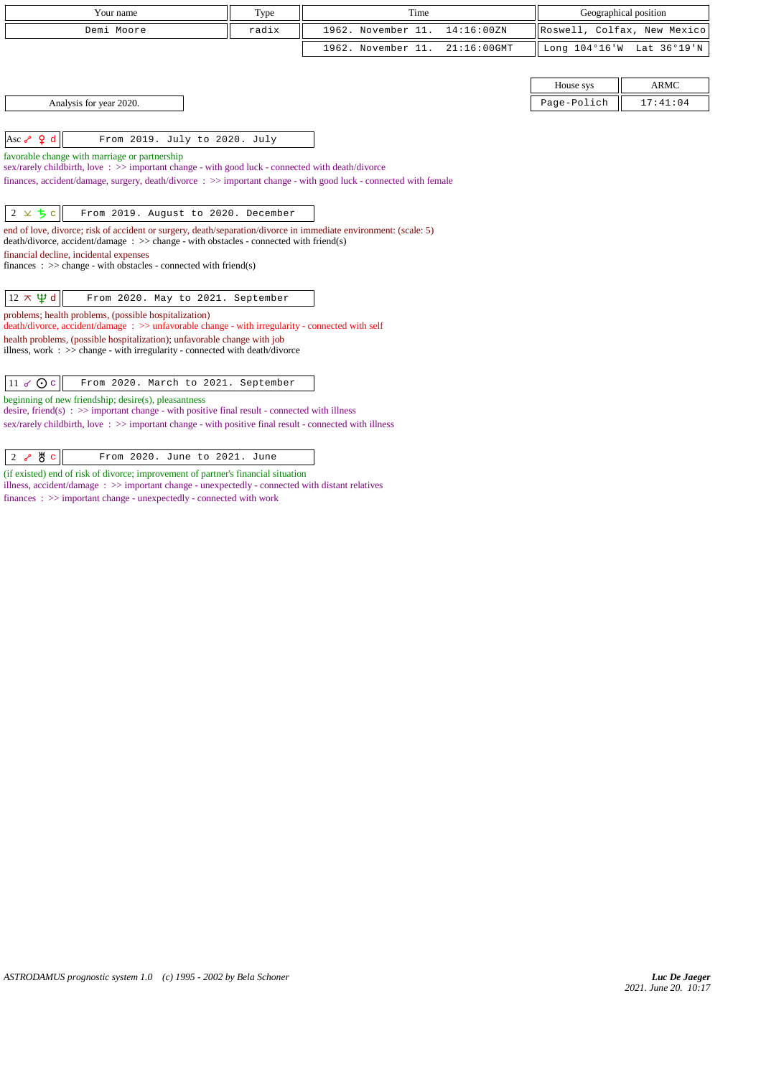| Your name                                                                                                                                                                                                           | Type  | Time                                 | Geographical position       |                           |
|---------------------------------------------------------------------------------------------------------------------------------------------------------------------------------------------------------------------|-------|--------------------------------------|-----------------------------|---------------------------|
| Demi Moore                                                                                                                                                                                                          | radix | 1962. November 11.<br>14:16:00ZN     | Roswell, Colfax, New Mexico |                           |
|                                                                                                                                                                                                                     |       | 1962. November 11.<br>$21:16:00$ GMT |                             | Long 104°16'W Lat 36°19'N |
|                                                                                                                                                                                                                     |       |                                      |                             |                           |
|                                                                                                                                                                                                                     |       |                                      | House sys                   | <b>ARMC</b>               |
| Analysis for year 2020.                                                                                                                                                                                             |       |                                      | Page-Polich                 | 17:41:04                  |
|                                                                                                                                                                                                                     |       |                                      |                             |                           |
| Asc $\sqrt{2}$ d<br>From 2019. July to 2020. July                                                                                                                                                                   |       |                                      |                             |                           |
| favorable change with marriage or partnership                                                                                                                                                                       |       |                                      |                             |                           |
| sex/rarely childbirth, love: >> important change - with good luck - connected with death/divorce<br>finances, accident/damage, surgery, death/divorce: >> important change - with good luck - connected with female |       |                                      |                             |                           |
|                                                                                                                                                                                                                     |       |                                      |                             |                           |
|                                                                                                                                                                                                                     |       |                                      |                             |                           |
| $2 \times 5c$<br>From 2019. August to 2020. December                                                                                                                                                                |       |                                      |                             |                           |
| end of love, divorce; risk of accident or surgery, death/separation/divorce in immediate environment: (scale: 5)<br>$death/divorce, accident/damage : >> change - with obstacles - connected with friend(s)$        |       |                                      |                             |                           |
| financial decline, incidental expenses                                                                                                                                                                              |       |                                      |                             |                           |
| finances : $\gg$ change - with obstacles - connected with friend(s)                                                                                                                                                 |       |                                      |                             |                           |
|                                                                                                                                                                                                                     |       |                                      |                             |                           |
| $12 \times \Psi d$<br>From 2020. May to 2021. September                                                                                                                                                             |       |                                      |                             |                           |
| problems; health problems, (possible hospitalization)<br>death/divorce, accident/damage: >> unfavorable change - with irregularity - connected with self                                                            |       |                                      |                             |                           |
|                                                                                                                                                                                                                     |       |                                      |                             |                           |
| health problems, (possible hospitalization); unfavorable change with job<br>illness, work : >> change - with irregularity - connected with death/divorce                                                            |       |                                      |                             |                           |
|                                                                                                                                                                                                                     |       |                                      |                             |                           |
| 11 $\sigma$ Oc<br>From 2020. March to 2021. September                                                                                                                                                               |       |                                      |                             |                           |
| beginning of new friendship; desire(s), pleasantness                                                                                                                                                                |       |                                      |                             |                           |
| $\alpha$ decire friend(e) $\rightarrow \infty$ important change - with positive final result - connected with illness                                                                                               |       |                                      |                             |                           |

desire, friend(s)  $\div$   $>$  important change - with positive final result - connected with illness sex/rarely childbirth, love : >> important change - with positive final result - connected with illness

 $\begin{array}{|c|c|c|c|c|}\n\hline\n2 & e & \texttt{g} & \texttt{From 2020. June to 2021. June}\n\end{array}$ 

(if existed) end of risk of divorce; improvement of partner's financial situation illness, accident/damage : >> important change - unexpectedly - connected with distant relatives finances : >> important change - unexpectedly - connected with work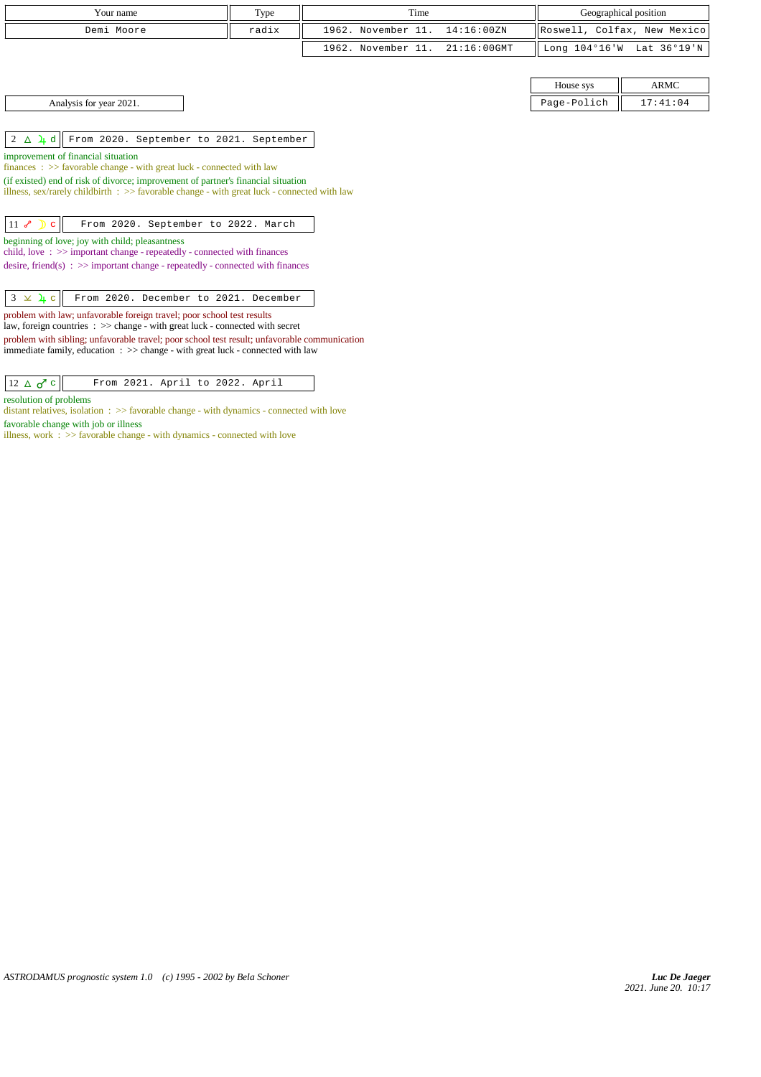| Your name  | Type  | Time                           |  | Geographical position                             |  |
|------------|-------|--------------------------------|--|---------------------------------------------------|--|
| Demi Moore | radix | 1962. November 11. 14:16:00ZN  |  | Roswell, Colfax, New Mexico                       |  |
|            |       | 1962. November 11. 21:16:00GMT |  | $\parallel$ Long 104°16'W Lat 36°19'N $\parallel$ |  |
|            |       |                                |  |                                                   |  |

Analysis for year 2021. 17:41:04 Page-Polich 17:41:04

2 d From 2020. September to 2021. September

improvement of financial situation

finances : >> favorable change - with great luck - connected with law (if existed) end of risk of divorce; improvement of partner's financial situation

illness, sex/rarely childbirth : >> favorable change - with great luck - connected with law

11 *S* D c From 2020. September to 2022. March

beginning of love; joy with child; pleasantness

child, love : >> important change - repeatedly - connected with finances

desire, friend(s) :  $\gg$  important change - repeatedly - connected with finances

problem with law; unfavorable foreign travel; poor school test results

law, foreign countries : >> change - with great luck - connected with secret

problem with sibling; unfavorable travel; poor school test result; unfavorable communication immediate family, education : >> change - with great luck - connected with law

resolution of problems

distant relatives, isolation : >> favorable change - with dynamics - connected with love favorable change with job or illness

illness, work  $\therefore$  >> favorable change - with dynamics - connected with love

House sys  $\parallel$  ARMC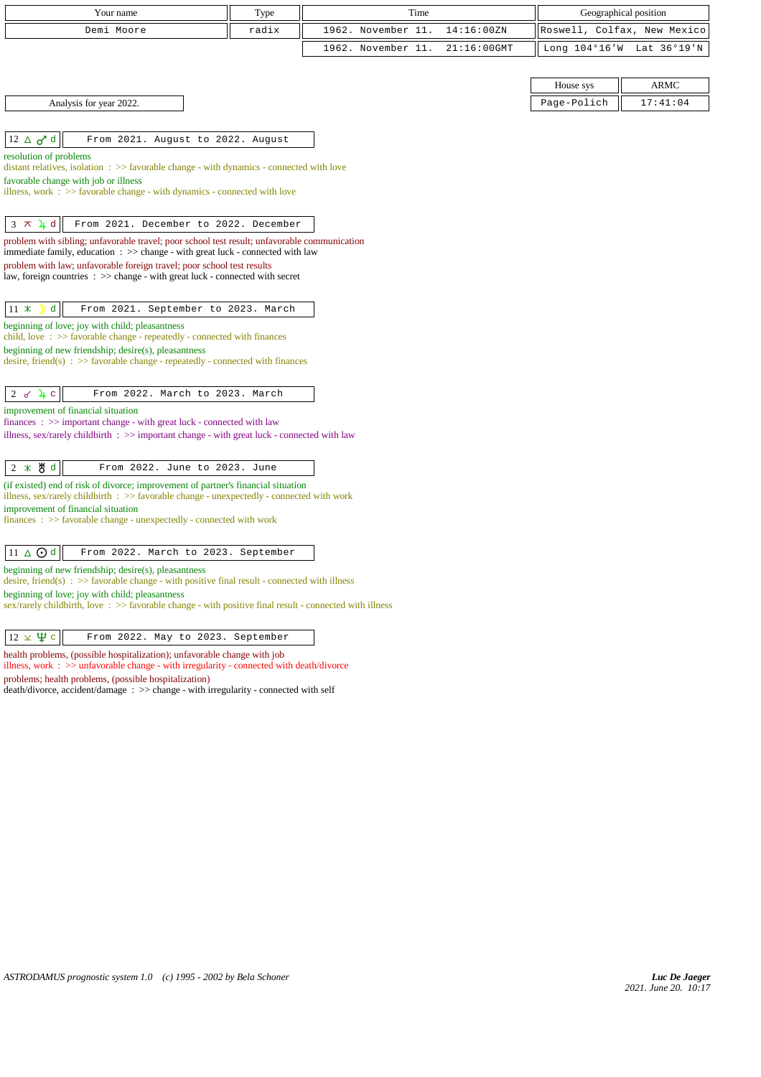| Your name                                                                                                                                                                                  | Type  | Time                                 | Geographical position       |             |
|--------------------------------------------------------------------------------------------------------------------------------------------------------------------------------------------|-------|--------------------------------------|-----------------------------|-------------|
| Demi Moore                                                                                                                                                                                 | radix | 1962. November 11.<br>14:16:00ZN     | Roswell, Colfax, New Mexico |             |
|                                                                                                                                                                                            |       | 1962. November 11.<br>$21:16:00$ GMT | Long 104°16'W Lat 36°19'N   |             |
|                                                                                                                                                                                            |       |                                      |                             |             |
|                                                                                                                                                                                            |       |                                      | House sys                   | <b>ARMC</b> |
| Analysis for year 2022.                                                                                                                                                                    |       |                                      | Page-Polich                 | 17:41:04    |
|                                                                                                                                                                                            |       |                                      |                             |             |
| $12 \triangle \sigma^d$ d<br>From 2021. August to 2022. August                                                                                                                             |       |                                      |                             |             |
| resolution of problems                                                                                                                                                                     |       |                                      |                             |             |
| distant relatives, isolation : >> favorable change - with dynamics - connected with love<br>favorable change with job or illness                                                           |       |                                      |                             |             |
| illness, work $\Rightarrow$ Savorable change - with dynamics - connected with love                                                                                                         |       |                                      |                             |             |
|                                                                                                                                                                                            |       |                                      |                             |             |
| $3 \times 1$ d<br>From 2021. December to 2022. December                                                                                                                                    |       |                                      |                             |             |
| problem with sibling; unfavorable travel; poor school test result; unfavorable communication<br>immediate family, education : >> change - with great luck - connected with law             |       |                                      |                             |             |
| problem with law; unfavorable foreign travel; poor school test results                                                                                                                     |       |                                      |                             |             |
| law, foreign countries : >> change - with great luck - connected with secret                                                                                                               |       |                                      |                             |             |
|                                                                                                                                                                                            |       |                                      |                             |             |
| d<br>$11 \times$<br>From 2021. September to 2023. March                                                                                                                                    |       |                                      |                             |             |
| beginning of love; joy with child; pleasantness<br>child, love: >> favorable change - repeatedly - connected with finances                                                                 |       |                                      |                             |             |
| beginning of new friendship; desire(s), pleasantness                                                                                                                                       |       |                                      |                             |             |
| desire, friend(s) : $\gg$ favorable change - repeatedly - connected with finances                                                                                                          |       |                                      |                             |             |
| $2 \times 4c$<br>From 2022. March to 2023. March                                                                                                                                           |       |                                      |                             |             |
| improvement of financial situation                                                                                                                                                         |       |                                      |                             |             |
| finances: >> important change - with great luck - connected with law                                                                                                                       |       |                                      |                             |             |
| illness, sex/rarely childbirth $\Rightarrow$ important change - with great luck - connected with law                                                                                       |       |                                      |                             |             |
| $2 * 8d$<br>From 2022. June to 2023. June                                                                                                                                                  |       |                                      |                             |             |
| (if existed) end of risk of divorce; improvement of partner's financial situation                                                                                                          |       |                                      |                             |             |
| illness, sex/rarely childbirth : $\gg$ favorable change - unexpectedly - connected with work                                                                                               |       |                                      |                             |             |
| improvement of financial situation<br>finances: >> favorable change - unexpectedly - connected with work                                                                                   |       |                                      |                             |             |
|                                                                                                                                                                                            |       |                                      |                             |             |
| $11 \triangle$ Od<br>From 2022. March to 2023. September                                                                                                                                   |       |                                      |                             |             |
| beginning of new friendship; desire(s), pleasantness                                                                                                                                       |       |                                      |                             |             |
| desire, friend(s) : $\gg$ favorable change - with positive final result - connected with illness<br>beginning of love; joy with child; pleasantness                                        |       |                                      |                             |             |
| $sex/rarely childbirth$ , love : $>>$ favorable change - with positive final result - connected with illness                                                                               |       |                                      |                             |             |
|                                                                                                                                                                                            |       |                                      |                             |             |
| $12 \times \Psi$ c<br>From 2022. May to 2023. September                                                                                                                                    |       |                                      |                             |             |
| health problems, (possible hospitalization); unfavorable change with job<br>illness, work $\therefore$ $\Rightarrow$ unfavorable change - with irregularity - connected with death/divorce |       |                                      |                             |             |
| problems; health problems, (possible hospitalization)                                                                                                                                      |       |                                      |                             |             |

death/divorce, accident/damage : >> change - with irregularity - connected with self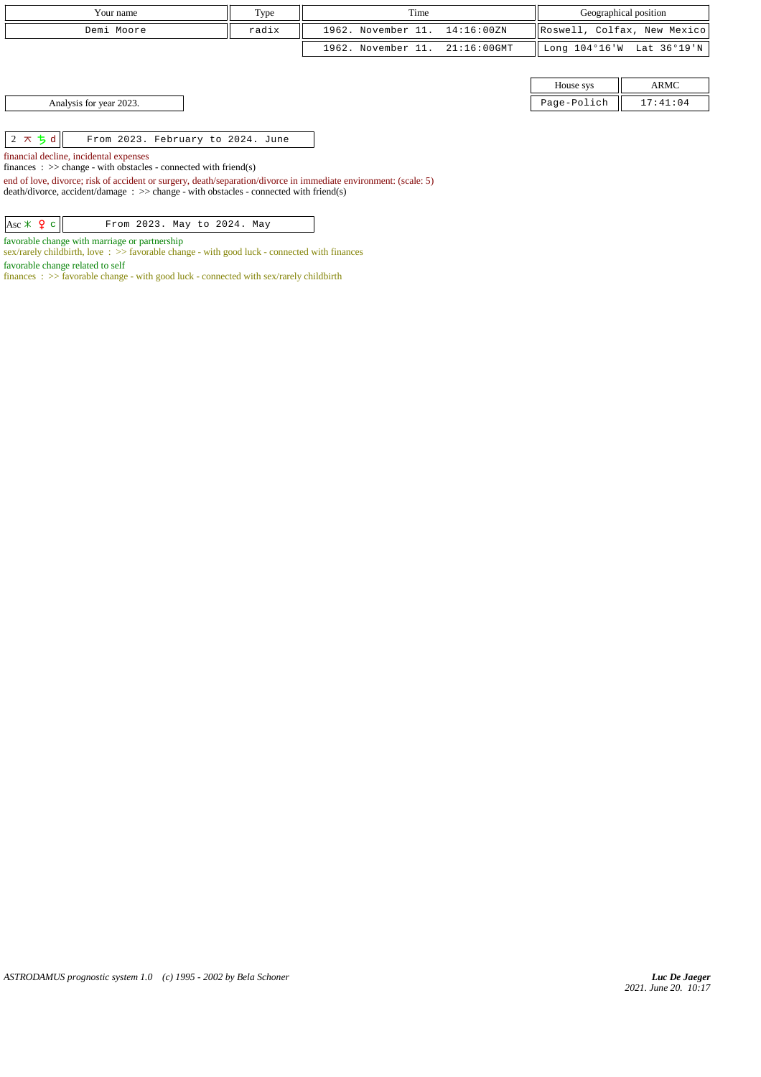| Your name  | Type  | Time                           |  |                             | Geographical position                       |
|------------|-------|--------------------------------|--|-----------------------------|---------------------------------------------|
| Demi Moore | radix | 1962. November 11. 14:16:00ZN  |  | Roswell, Colfax, New Mexico |                                             |
|            |       | 1962. November 11. 21:16:00GMT |  |                             | Long $104^{\circ}16'W$ Lat $36^{\circ}19'W$ |
|            |       |                                |  |                             |                                             |
|            |       |                                |  |                             | ADMO                                        |

| House sys | <b>ARMC</b> |  |  |
|-----------|-------------|--|--|
| ae-Polich | 17:41:04    |  |  |

Analysis for year 2023.

 $\begin{array}{|c|c|c|c|c|}\n\hline\n2 \times 5 \text{ d} & \text{From 2023. February to 2024. June}\n\end{array}$ 

financial decline, incidental expenses

finances : >> change - with obstacles - connected with friend(s)

end of love, divorce; risk of accident or surgery, death/separation/divorce in immediate environment: (scale: 5) death/divorce, accident/damage : >> change - with obstacles - connected with friend(s)

 $\begin{array}{|c|c|c|c|c|}\n\hline \end{array}$   $\begin{array}{|c|c|c|c|c|}\n\hline \text{From 2023. May to 2024. May}\n\end{array}$ 

favorable change with marriage or partnership

sex/rarely childbirth, love : >> favorable change - with good luck - connected with finances

favorable change related to self

finances :  $\gg$  favorable change - with good luck - connected with sex/rarely childbirth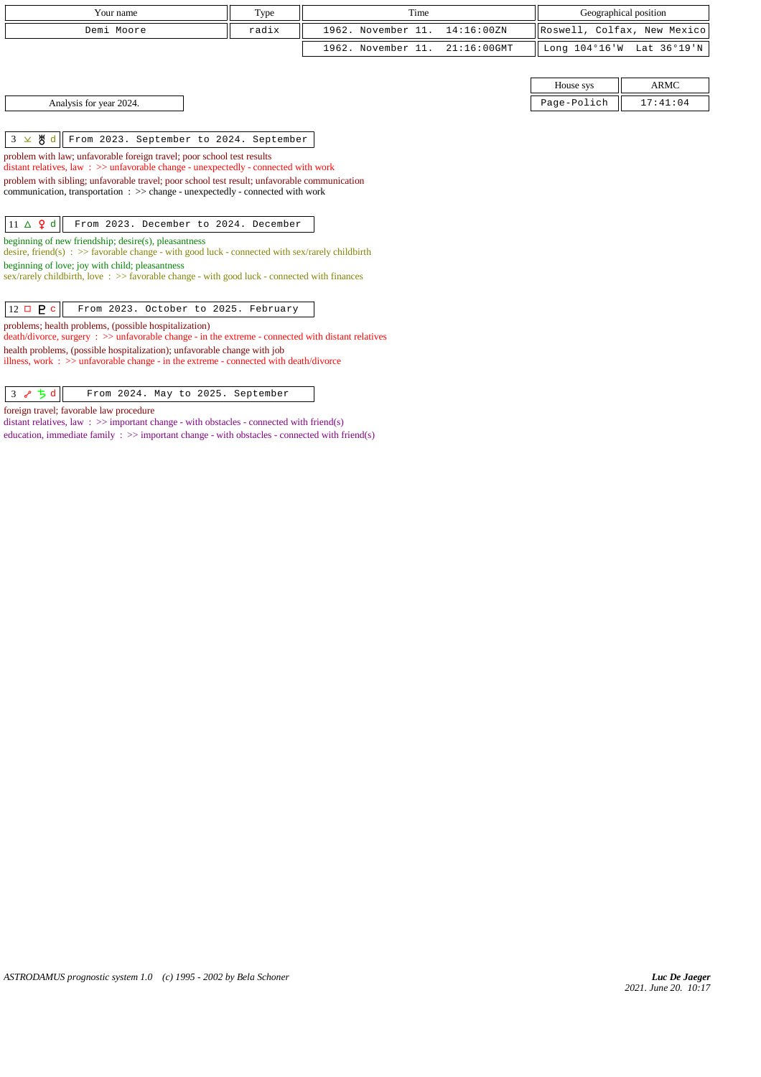| Your name                                                                                                                                                                      | Type                                                                                           | Time                                 |             | Geographical position       |  |  |
|--------------------------------------------------------------------------------------------------------------------------------------------------------------------------------|------------------------------------------------------------------------------------------------|--------------------------------------|-------------|-----------------------------|--|--|
| Demi Moore                                                                                                                                                                     | radix                                                                                          | 1962. November 11.<br>14:16:00ZN     |             | Roswell, Colfax, New Mexico |  |  |
|                                                                                                                                                                                |                                                                                                | 1962. November 11.<br>$21:16:00$ GMT |             | Long 104°16'W Lat 36°19'N   |  |  |
|                                                                                                                                                                                |                                                                                                |                                      |             |                             |  |  |
|                                                                                                                                                                                |                                                                                                |                                      | House sys   | ARMC                        |  |  |
| Analysis for year 2024.                                                                                                                                                        |                                                                                                |                                      | Page-Polich | 17:41:04                    |  |  |
|                                                                                                                                                                                |                                                                                                |                                      |             |                             |  |  |
| $3 \times 8 d$<br>From 2023. September to 2024. September                                                                                                                      |                                                                                                |                                      |             |                             |  |  |
|                                                                                                                                                                                | problem with law; unfavorable foreign travel; poor school test results                         |                                      |             |                             |  |  |
|                                                                                                                                                                                | distant relatives, law $\Rightarrow$ > unfavorable change - unexpectedly - connected with work |                                      |             |                             |  |  |
| problem with sibling; unfavorable travel; poor school test result; unfavorable communication<br>communication, transportation : >> change - unexpectedly - connected with work |                                                                                                |                                      |             |                             |  |  |
|                                                                                                                                                                                |                                                                                                |                                      |             |                             |  |  |
|                                                                                                                                                                                |                                                                                                |                                      |             |                             |  |  |

 $\begin{vmatrix} 11 & \Delta & 9 \end{vmatrix}$  From 2023. December to 2024. December

beginning of new friendship; desire(s), pleasantness

desire, friend(s) :  $\gg$  favorable change - with good luck - connected with sex/rarely childbirth beginning of love; joy with child; pleasantness

sex/rarely childbirth, love :  $\gg$  favorable change - with good luck - connected with finances

12 **P** c From 2023. October to 2025. February

problems; health problems, (possible hospitalization)

death/divorce, surgery : >> unfavorable change - in the extreme - connected with distant relatives health problems, (possible hospitalization); unfavorable change with job illness, work : >> unfavorable change - in the extreme - connected with death/divorce

 $\begin{array}{|c|c|c|c|c|}\n\hline\n3 & \text{if } 3 & \text{if } 3 & \text{if } 3 & \text{if } 3 & \text{if } 3 & \text{if } 3 & \text{if } 3 & \text{if } 3 & \text{if } 3 & \text{if } 3 & \text{if } 3 & \text{if } 3 & \text{if } 3 & \text{if } 3 & \text{if } 3 & \text{if } 3 & \text{if } 3 & \text{if } 3 & \text{if } 3 & \text{if } 3 & \text{if } 3 & \text{if } 3 & \text{if } 3 & \text{if } 3 & \text{if$ 

foreign travel; favorable law procedure

distant relatives, law :  $\gg$  important change - with obstacles - connected with friend(s) education, immediate family  $\Rightarrow$  >> important change - with obstacles - connected with friend(s)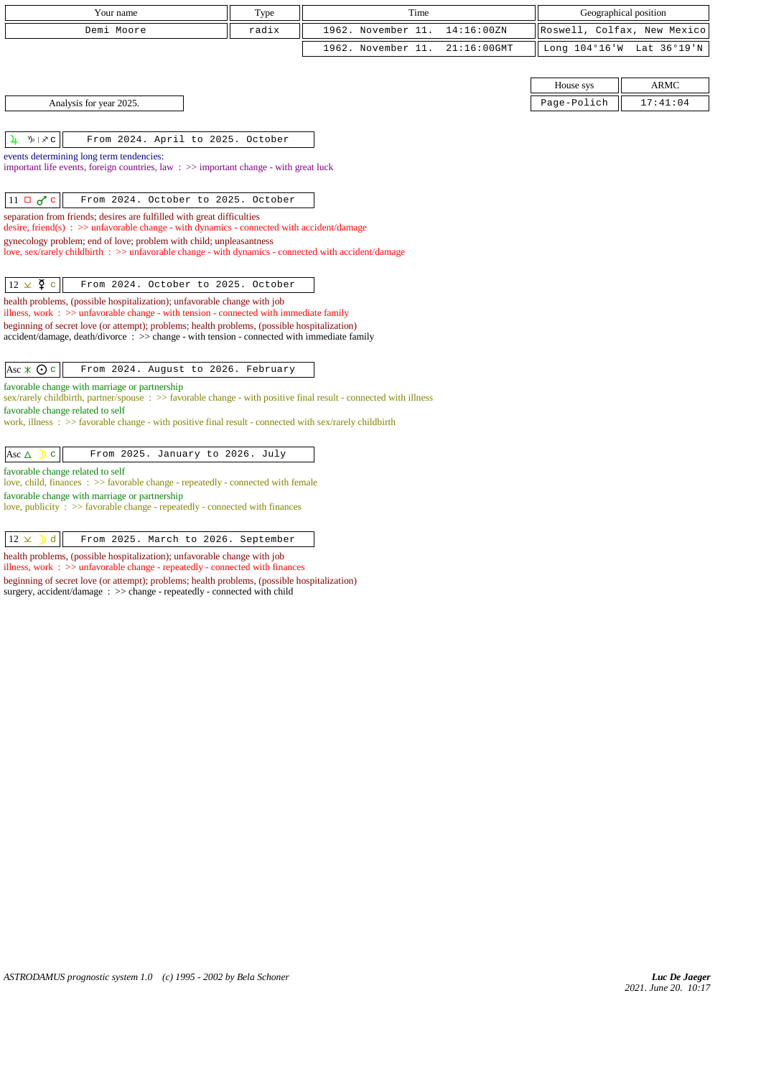| Your name                                                                                                                                                                     | Type  | Time                                 | Geographical position       |             |
|-------------------------------------------------------------------------------------------------------------------------------------------------------------------------------|-------|--------------------------------------|-----------------------------|-------------|
| Demi Moore                                                                                                                                                                    | radix | 1962. November 11.<br>14:16:00ZN     | Roswell, Colfax, New Mexico |             |
|                                                                                                                                                                               |       | 1962. November 11.<br>$21:16:00$ GMT | Long $104^{\circ}16$ 'W     | Lat 36°19'N |
|                                                                                                                                                                               |       |                                      |                             |             |
|                                                                                                                                                                               |       |                                      | House sys                   | <b>ARMC</b> |
| Analysis for year 2025.                                                                                                                                                       |       |                                      | Page-Polich                 | 17:41:04    |
|                                                                                                                                                                               |       |                                      |                             |             |
| From 2024. April to 2025. October<br><b>D</b>   ヌ C<br>4                                                                                                                      |       |                                      |                             |             |
| events determining long term tendencies:                                                                                                                                      |       |                                      |                             |             |
| important life events, foreign countries, law $\Rightarrow$ important change - with great luck                                                                                |       |                                      |                             |             |
|                                                                                                                                                                               |       |                                      |                             |             |
| $11 \Box \sigma$ <sup><math>\sigma</math></sup> c<br>From 2024. October to 2025. October                                                                                      |       |                                      |                             |             |
| separation from friends; desires are fulfilled with great difficulties<br>desire, friend(s) : $\gg$ unfavorable change - with dynamics - connected with accident/damage       |       |                                      |                             |             |
| gynecology problem; end of love; problem with child; unpleasantness                                                                                                           |       |                                      |                             |             |
| love, sex/rarely childbirth : >> unfavorable change - with dynamics - connected with accident/damage                                                                          |       |                                      |                             |             |
|                                                                                                                                                                               |       |                                      |                             |             |
| $12 \times \xi$ c<br>From 2024. October to 2025. October                                                                                                                      |       |                                      |                             |             |
| health problems, (possible hospitalization); unfavorable change with job<br>illness, work $\Rightarrow$ > unfavorable change - with tension - connected with immediate family |       |                                      |                             |             |
| beginning of secret love (or attempt); problems; health problems, (possible hospitalization)                                                                                  |       |                                      |                             |             |
| $accident/damage$ , $death/divorce : >> change - with tension - connected with immediate family$                                                                              |       |                                      |                             |             |
|                                                                                                                                                                               |       |                                      |                             |             |
| Asc $\ast$ $\odot$ c<br>From 2024. August to 2026. February                                                                                                                   |       |                                      |                             |             |
| favorable change with marriage or partnership<br>sex/rarely childbirth, partner/spouse : >> favorable change - with positive final result - connected with illness            |       |                                      |                             |             |
| favorable change related to self                                                                                                                                              |       |                                      |                             |             |
| work, illness : $\gg$ favorable change - with positive final result - connected with sex/rarely childbirth                                                                    |       |                                      |                             |             |
|                                                                                                                                                                               |       |                                      |                             |             |
| From 2025. January to 2026. July<br>Asc $\Delta$<br>$\mathbf{C}$                                                                                                              |       |                                      |                             |             |
| favorable change related to self                                                                                                                                              |       |                                      |                             |             |
| love, child, finances : >> favorable change - repeatedly - connected with female                                                                                              |       |                                      |                             |             |
| favorable change with marriage or partnership<br>love, publicity : >> favorable change - repeatedly - connected with finances                                                 |       |                                      |                             |             |

 $\boxed{12 \times$  d From 2025. March to 2026. September

health problems, (possible hospitalization); unfavorable change with job illness, work : >> unfavorable change - repeatedly - connected with finances beginning of secret love (or attempt); problems; health problems, (possible hospitalization) surgery, accident/damage : >> change - repeatedly - connected with child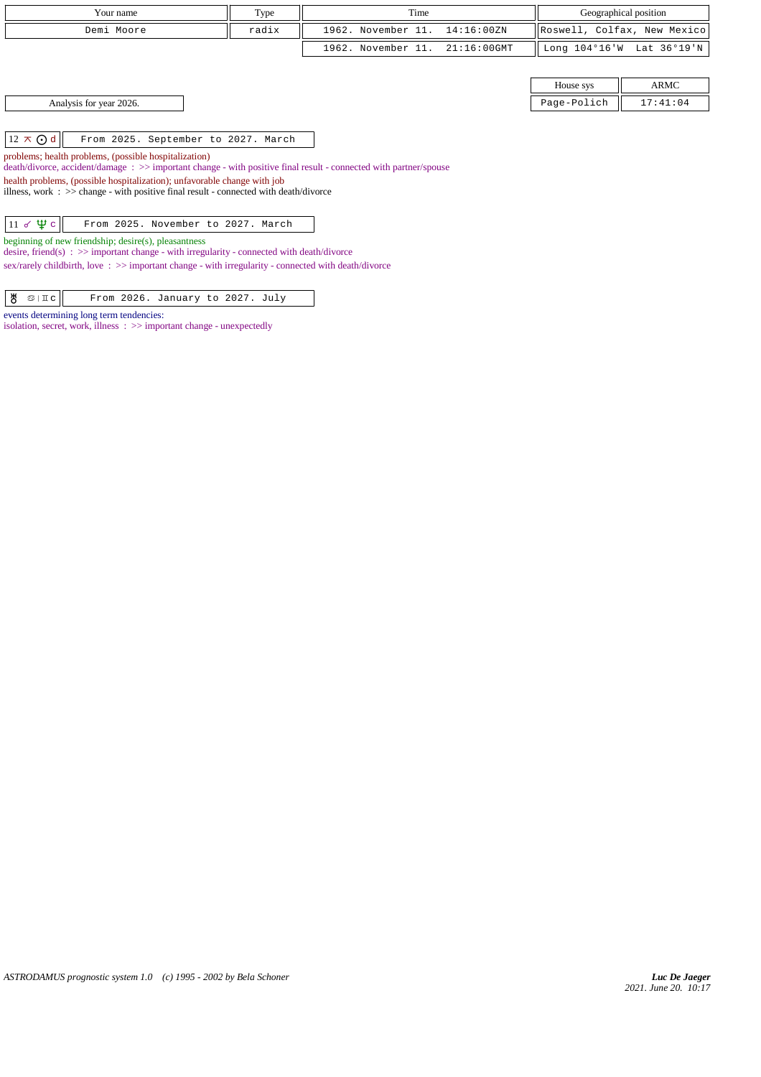| Your name                                                                                                                                                                                                                                                                                                                                                                                                   | Type  | Time                                 | Geographical position       |                           |  |  |
|-------------------------------------------------------------------------------------------------------------------------------------------------------------------------------------------------------------------------------------------------------------------------------------------------------------------------------------------------------------------------------------------------------------|-------|--------------------------------------|-----------------------------|---------------------------|--|--|
| Demi Moore                                                                                                                                                                                                                                                                                                                                                                                                  | radix | 1962. November 11.<br>14:16:00ZN     | Roswell, Colfax, New Mexico |                           |  |  |
|                                                                                                                                                                                                                                                                                                                                                                                                             |       | 1962. November 11.<br>$21:16:00$ GMT |                             | Long 104°16'W Lat 36°19'N |  |  |
|                                                                                                                                                                                                                                                                                                                                                                                                             |       |                                      |                             |                           |  |  |
|                                                                                                                                                                                                                                                                                                                                                                                                             |       |                                      | House sys                   | ARMC                      |  |  |
| Analysis for year 2026.                                                                                                                                                                                                                                                                                                                                                                                     |       |                                      | Page-Polich                 | 17:41:04                  |  |  |
|                                                                                                                                                                                                                                                                                                                                                                                                             |       |                                      |                             |                           |  |  |
| $12 \times Qd$<br>From 2025. September to 2027. March<br>problems; health problems, (possible hospitalization)<br>death/divorce, accident/damage : >> important change - with positive final result - connected with partner/spouse<br>health problems, (possible hospitalization); unfavorable change with job<br>illness, work : $\gg$ change - with positive final result - connected with death/divorce |       |                                      |                             |                           |  |  |
| $11 \times \Psi c$<br>From 2025. November to 2027. March<br>beginning of new friendship; desire(s), pleasantness<br>desire, friend(s) : $\gg$ important change - with irregularity - connected with death/divorce<br>sex/rarely childbirth, love: >> important change - with irregularity - connected with death/divorce                                                                                    |       |                                      |                             |                           |  |  |

| $\frac{18}{9}$ $\frac{11}{10}$<br>From 2026. January to 2027. July |  |
|--------------------------------------------------------------------|--|
|--------------------------------------------------------------------|--|

events determining long term tendencies:

isolation, secret, work, illness : >> important change - unexpectedly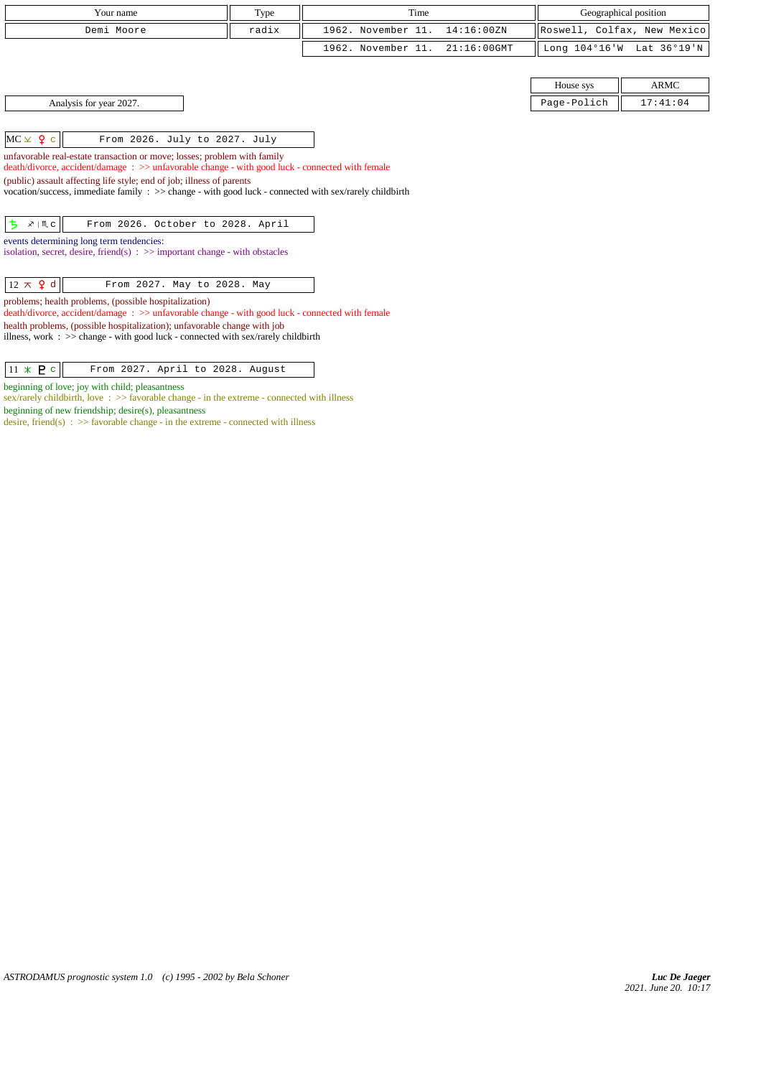| Your name                                                                                                                                                                                  | Type  | Time               |                | Geographical position       |                           |
|--------------------------------------------------------------------------------------------------------------------------------------------------------------------------------------------|-------|--------------------|----------------|-----------------------------|---------------------------|
| Demi Moore                                                                                                                                                                                 | radix | 1962. November 11. | 14:16:00ZN     | Roswell, Colfax, New Mexico |                           |
|                                                                                                                                                                                            |       | 1962. November 11. | $21:16:00$ GMT |                             | Long 104°16'W Lat 36°19'N |
|                                                                                                                                                                                            |       |                    |                |                             |                           |
|                                                                                                                                                                                            |       |                    |                | House sys                   | <b>ARMC</b>               |
| Analysis for year 2027.                                                                                                                                                                    |       |                    |                | Page-Polich                 | 17:41:04                  |
|                                                                                                                                                                                            |       |                    |                |                             |                           |
| $MC \times 9$ c<br>From 2026. July to 2027. July                                                                                                                                           |       |                    |                |                             |                           |
| unfavorable real-estate transaction or move; losses; problem with family<br>death/divorce, accident/damage: >> unfavorable change - with good luck - connected with female                 |       |                    |                |                             |                           |
| (public) assault affecting life style; end of job; illness of parents<br>vocation/success, immediate family $\Rightarrow$ > change - with good luck - connected with sex/rarely childbirth |       |                    |                |                             |                           |
| $x \mid M$ c<br>From 2026. October to 2028. April<br>ち                                                                                                                                     |       |                    |                |                             |                           |
| events determining long term tendencies:<br>isolation, secret, desire, friend(s) $\Rightarrow$ important change - with obstacles                                                           |       |                    |                |                             |                           |
| $12 \times$ 9 d<br>From 2027. May to 2028. May                                                                                                                                             |       |                    |                |                             |                           |
| problems; health problems, (possible hospitalization)<br>death/divorce, accident/damage: >> unfavorable change - with good luck - connected with female                                    |       |                    |                |                             |                           |
| health problems, (possible hospitalization); unfavorable change with job<br>illness, work : $\gg$ change - with good luck - connected with sex/rarely childbirth                           |       |                    |                |                             |                           |

 $\boxed{11 \times P c}$  From 2027. April to 2028. August

sex/rarely childbirth, love :  $\gg$  favorable change - in the extreme - connected with illness

desire, friend(s)  $\Rightarrow$  5 favorable change - in the extreme - connected with illness

beginning of love; joy with child; pleasantness

beginning of new friendship; desire(s), pleasantness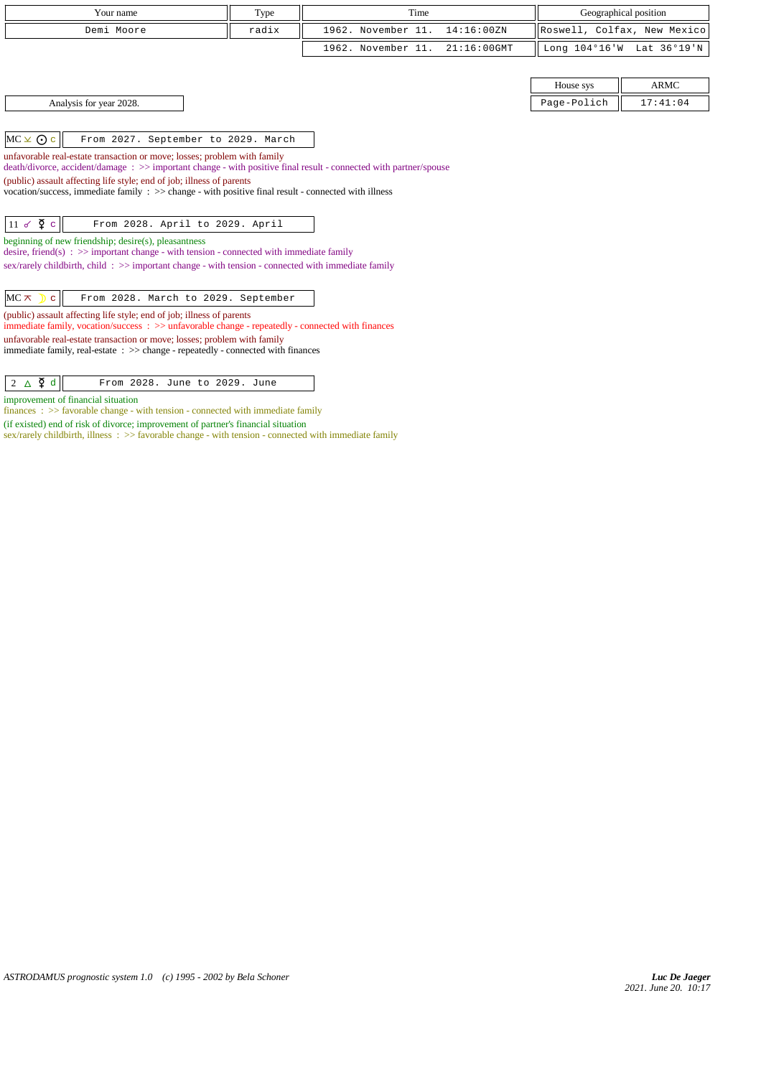| Your name                                                                                                                                                                                    | Type  | Time                                 |                             | Geographical position |
|----------------------------------------------------------------------------------------------------------------------------------------------------------------------------------------------|-------|--------------------------------------|-----------------------------|-----------------------|
| Demi Moore                                                                                                                                                                                   | radix | 1962. November 11.<br>14:16:00ZN     | Roswell, Colfax, New Mexico |                       |
|                                                                                                                                                                                              |       | 1962. November 11.<br>$21:16:00$ GMT | Long 104°16'W               | Lat 36°19'N           |
|                                                                                                                                                                                              |       |                                      |                             |                       |
|                                                                                                                                                                                              |       |                                      | House sys                   | <b>ARMC</b>           |
| Analysis for year 2028.                                                                                                                                                                      |       |                                      | Page-Polich                 | 17:41:04              |
|                                                                                                                                                                                              |       |                                      |                             |                       |
| $MC \times 0c$<br>From 2027. September to 2029. March                                                                                                                                        |       |                                      |                             |                       |
| unfavorable real-estate transaction or move; losses; problem with family<br>death/divorce, accident/damage: >> important change - with positive final result - connected with partner/spouse |       |                                      |                             |                       |
| (public) assault affecting life style; end of job; illness of parents                                                                                                                        |       |                                      |                             |                       |
| vocation/success, immediate family $\Rightarrow$ change - with positive final result - connected with illness                                                                                |       |                                      |                             |                       |
|                                                                                                                                                                                              |       |                                      |                             |                       |
| $11 \times \overline{2}$ c<br>From 2028. April to 2029. April                                                                                                                                |       |                                      |                             |                       |
| beginning of new friendship; desire(s), pleasantness                                                                                                                                         |       |                                      |                             |                       |
| desire, friend(s) : $\gg$ important change - with tension - connected with immediate family                                                                                                  |       |                                      |                             |                       |
| sex/rarely childbirth, child: $\gg$ important change - with tension - connected with immediate family                                                                                        |       |                                      |                             |                       |
|                                                                                                                                                                                              |       |                                      |                             |                       |
| $MC \times$ $c$<br>From 2028. March to 2029. September                                                                                                                                       |       |                                      |                             |                       |
| (public) assault affecting life style; end of job; illness of parents<br>immediate family, vocation/success $\Rightarrow$ unfavorable change - repeatedly - connected with finances          |       |                                      |                             |                       |
| unfavorable real-estate transaction or move; losses; problem with family                                                                                                                     |       |                                      |                             |                       |

immediate family, real-estate : >> change - repeatedly - connected with finances

improvement of financial situation

finances : >> favorable change - with tension - connected with immediate family

(if existed) end of risk of divorce; improvement of partner's financial situation

sex/rarely childbirth, illness :  $>>$  favorable change - with tension - connected with immediate family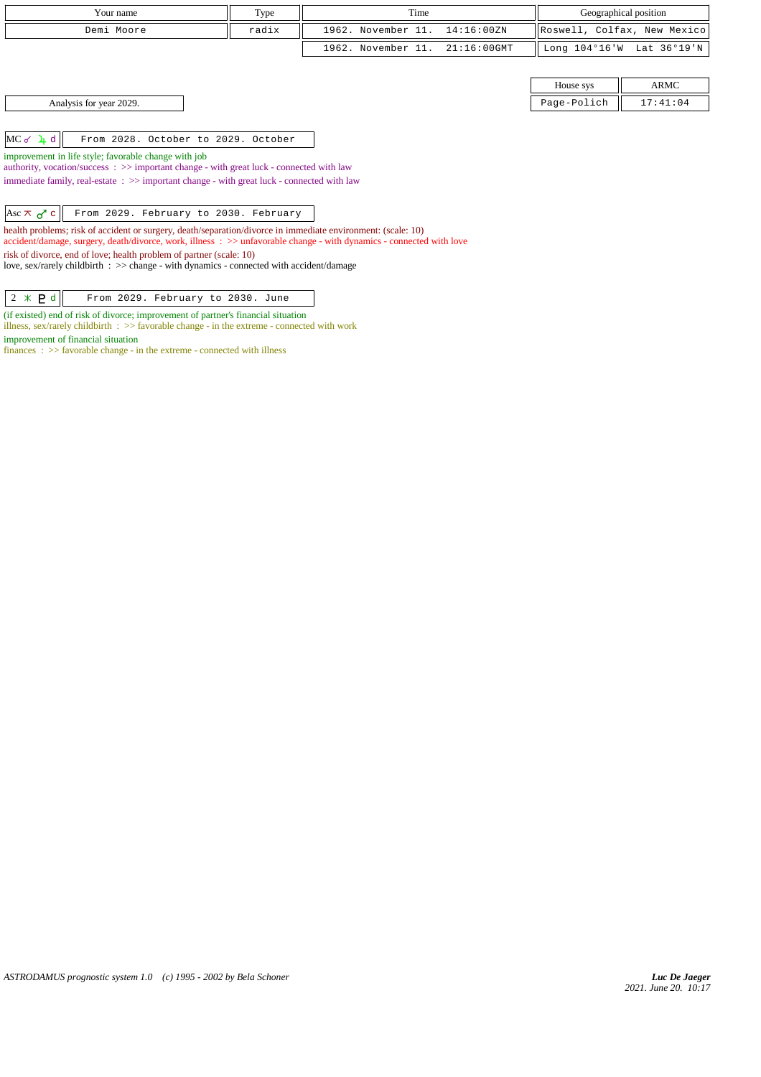| Type                                                 | Time                                                                                                       | Geographical position                                                                                                                                                                                                                                                                                                                                                                                                                                                                                                                                                                |                             |  |  |  |
|------------------------------------------------------|------------------------------------------------------------------------------------------------------------|--------------------------------------------------------------------------------------------------------------------------------------------------------------------------------------------------------------------------------------------------------------------------------------------------------------------------------------------------------------------------------------------------------------------------------------------------------------------------------------------------------------------------------------------------------------------------------------|-----------------------------|--|--|--|
| radix                                                | 1962. November 11.<br>14:16:00ZN                                                                           |                                                                                                                                                                                                                                                                                                                                                                                                                                                                                                                                                                                      | Roswell, Colfax, New Mexico |  |  |  |
|                                                      | 1962. November 11.<br>$21:16:00$ GMT                                                                       |                                                                                                                                                                                                                                                                                                                                                                                                                                                                                                                                                                                      | Long 104°16'W Lat 36°19'N   |  |  |  |
|                                                      |                                                                                                            |                                                                                                                                                                                                                                                                                                                                                                                                                                                                                                                                                                                      |                             |  |  |  |
|                                                      |                                                                                                            | House sys                                                                                                                                                                                                                                                                                                                                                                                                                                                                                                                                                                            | ARMC                        |  |  |  |
|                                                      |                                                                                                            | Page-Polich                                                                                                                                                                                                                                                                                                                                                                                                                                                                                                                                                                          | 17:41:04                    |  |  |  |
|                                                      |                                                                                                            |                                                                                                                                                                                                                                                                                                                                                                                                                                                                                                                                                                                      |                             |  |  |  |
|                                                      |                                                                                                            |                                                                                                                                                                                                                                                                                                                                                                                                                                                                                                                                                                                      |                             |  |  |  |
| improvement in life style; favorable change with job |                                                                                                            |                                                                                                                                                                                                                                                                                                                                                                                                                                                                                                                                                                                      |                             |  |  |  |
|                                                      |                                                                                                            |                                                                                                                                                                                                                                                                                                                                                                                                                                                                                                                                                                                      |                             |  |  |  |
|                                                      |                                                                                                            |                                                                                                                                                                                                                                                                                                                                                                                                                                                                                                                                                                                      |                             |  |  |  |
|                                                      |                                                                                                            |                                                                                                                                                                                                                                                                                                                                                                                                                                                                                                                                                                                      |                             |  |  |  |
|                                                      |                                                                                                            |                                                                                                                                                                                                                                                                                                                                                                                                                                                                                                                                                                                      |                             |  |  |  |
|                                                      |                                                                                                            |                                                                                                                                                                                                                                                                                                                                                                                                                                                                                                                                                                                      |                             |  |  |  |
|                                                      |                                                                                                            |                                                                                                                                                                                                                                                                                                                                                                                                                                                                                                                                                                                      |                             |  |  |  |
|                                                      | From 2028. October to 2029. October<br>risk of divorce, end of love; health problem of partner (scale: 10) | authority, vocation/success: >> important change - with great luck - connected with law<br>immediate family, real-estate $\Rightarrow$ important change - with great luck - connected with law<br>From 2029. February to 2030. February<br>health problems; risk of accident or surgery, death/separation/divorce in immediate environment: (scale: 10)<br>accident/damage, surgery, death/divorce, work, illness : >> unfavorable change - with dynamics - connected with love<br>love, sex/rarely childbirth $\Rightarrow$ change - with dynamics - connected with accident/damage |                             |  |  |  |

(if existed) end of risk of divorce; improvement of partner's financial situation illness, sex/rarely childbirth : >> favorable change - in the extreme - connected with work

improvement of financial situation

finances :  $\gg$  favorable change - in the extreme - connected with illness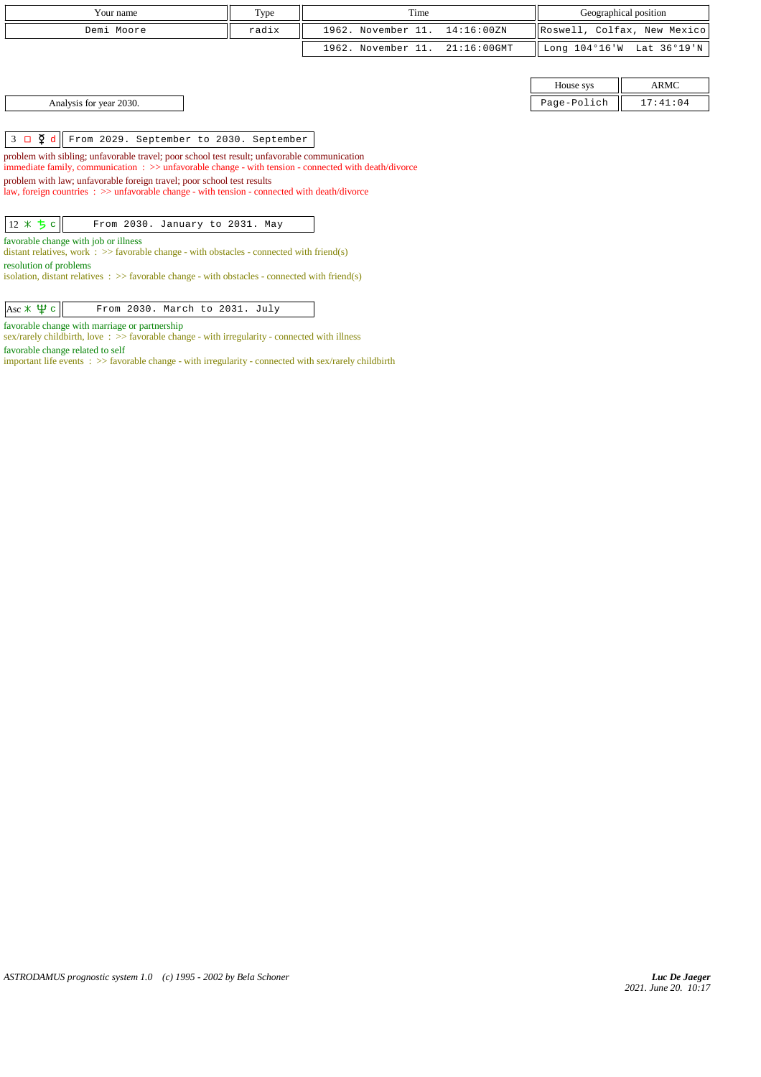| Your name  | Type  | Time                           |  | Geographical position       |  |
|------------|-------|--------------------------------|--|-----------------------------|--|
| Demi Moore | radix | 1962. November 11. 14:16:00ZN  |  | Roswell, Colfax, New Mexico |  |
|            |       | 1962. November 11. 21:16:00GMT |  | Long 104°16'W Lat 36°19'N   |  |

Analysis for year 2030.

3 d From 2029. September to 2030. September

problem with sibling; unfavorable travel; poor school test result; unfavorable communication immediate family, communication : >> unfavorable change - with tension - connected with death/divorce problem with law; unfavorable foreign travel; poor school test results

law, foreign countries : >> unfavorable change - with tension - connected with death/divorce

 $\boxed{12 \times 5 c}$  From 2030. January to 2031. May

favorable change with job or illness

distant relatives, work  $\therefore$  >> favorable change - with obstacles - connected with friend(s) resolution of problems

isolation, distant relatives :  $\gg$  favorable change - with obstacles - connected with friend(s)

 $\left|\text{Asc} \times \text{ }\right|$  From 2030. March to 2031. July

favorable change with marriage or partnership

sex/rarely childbirth, love :  $\gg$  favorable change - with irregularity - connected with illness favorable change related to self

important life events : >> favorable change - with irregularity - connected with sex/rarely childbirth

| House sys   | $\triangle$ R MC |
|-------------|------------------|
| Page-Polich | 17:41:04         |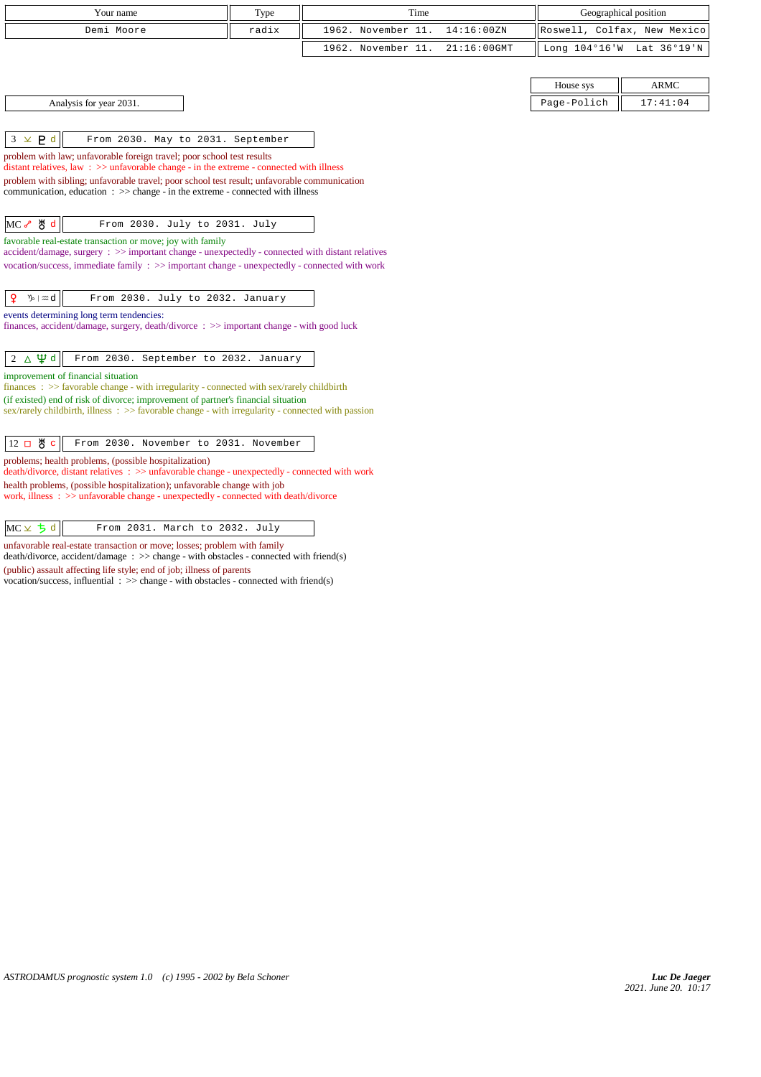| Your name                                                                                                                                                                         | Type  | Time               |                |                                                      |                           |
|-----------------------------------------------------------------------------------------------------------------------------------------------------------------------------------|-------|--------------------|----------------|------------------------------------------------------|---------------------------|
| Demi Moore                                                                                                                                                                        | radix | 1962. November 11. | 14:16:00ZN     | Geographical position<br>Roswell, Colfax, New Mexico |                           |
|                                                                                                                                                                                   |       |                    |                |                                                      |                           |
|                                                                                                                                                                                   |       | 1962. November 11. | $21:16:00$ GMT |                                                      | Long 104°16'W Lat 36°19'N |
|                                                                                                                                                                                   |       |                    |                |                                                      |                           |
|                                                                                                                                                                                   |       |                    |                | House sys                                            | <b>ARMC</b>               |
| Analysis for year 2031.                                                                                                                                                           |       |                    |                | Page-Polich                                          | 17:41:04                  |
|                                                                                                                                                                                   |       |                    |                |                                                      |                           |
| $3 \times P d$<br>From 2030. May to 2031. September                                                                                                                               |       |                    |                |                                                      |                           |
| problem with law; unfavorable foreign travel; poor school test results<br>distant relatives, law $\Rightarrow$ >> unfavorable change - in the extreme - connected with illness    |       |                    |                |                                                      |                           |
| problem with sibling; unfavorable travel; poor school test result; unfavorable communication                                                                                      |       |                    |                |                                                      |                           |
| communication, education $\Rightarrow$ >> change - in the extreme - connected with illness                                                                                        |       |                    |                |                                                      |                           |
| MC & y d<br>From 2030. July to 2031. July                                                                                                                                         |       |                    |                |                                                      |                           |
| favorable real-estate transaction or move; joy with family                                                                                                                        |       |                    |                |                                                      |                           |
| $accident/damage$ , surgery : $\gg$ important change - unexpectedly - connected with distant relatives                                                                            |       |                    |                |                                                      |                           |
| vocation/success, immediate family : >> important change - unexpectedly - connected with work                                                                                     |       |                    |                |                                                      |                           |
|                                                                                                                                                                                   |       |                    |                |                                                      |                           |
| ₽<br>$\n  y$ $\infty$ $d$<br>From 2030. July to 2032. January                                                                                                                     |       |                    |                |                                                      |                           |
| events determining long term tendencies:<br>finances, accident/damage, surgery, death/divorce : >> important change - with good luck                                              |       |                    |                |                                                      |                           |
|                                                                                                                                                                                   |       |                    |                |                                                      |                           |
| $2 \Delta \Psi d$<br>From 2030. September to 2032. January                                                                                                                        |       |                    |                |                                                      |                           |
| improvement of financial situation                                                                                                                                                |       |                    |                |                                                      |                           |
| finances : $\gg$ favorable change - with irregularity - connected with sex/rarely childbirth<br>(if existed) end of risk of divorce; improvement of partner's financial situation |       |                    |                |                                                      |                           |
| sex/rarely childbirth, illness : >> favorable change - with irregularity - connected with passion                                                                                 |       |                    |                |                                                      |                           |
|                                                                                                                                                                                   |       |                    |                |                                                      |                           |
| 12 口 5 c<br>From 2030. November to 2031. November                                                                                                                                 |       |                    |                |                                                      |                           |
| problems; health problems, (possible hospitalization)<br>death/divorce, distant relatives : >> unfavorable change - unexpectedly - connected with work                            |       |                    |                |                                                      |                           |
| health problems, (possible hospitalization); unfavorable change with job                                                                                                          |       |                    |                |                                                      |                           |
| work, illness : >> unfavorable change - unexpectedly - connected with death/divorce                                                                                               |       |                    |                |                                                      |                           |
|                                                                                                                                                                                   |       |                    |                |                                                      |                           |
| $MC \times 5d$<br>From 2031. March to 2032. July                                                                                                                                  |       |                    |                |                                                      |                           |

unfavorable real-estate transaction or move; losses; problem with family death/divorce, accident/damage : >> change - with obstacles - connected with friend(s)

(public) assault affecting life style; end of job; illness of parents

vocation/success, influential : >> change - with obstacles - connected with friend(s)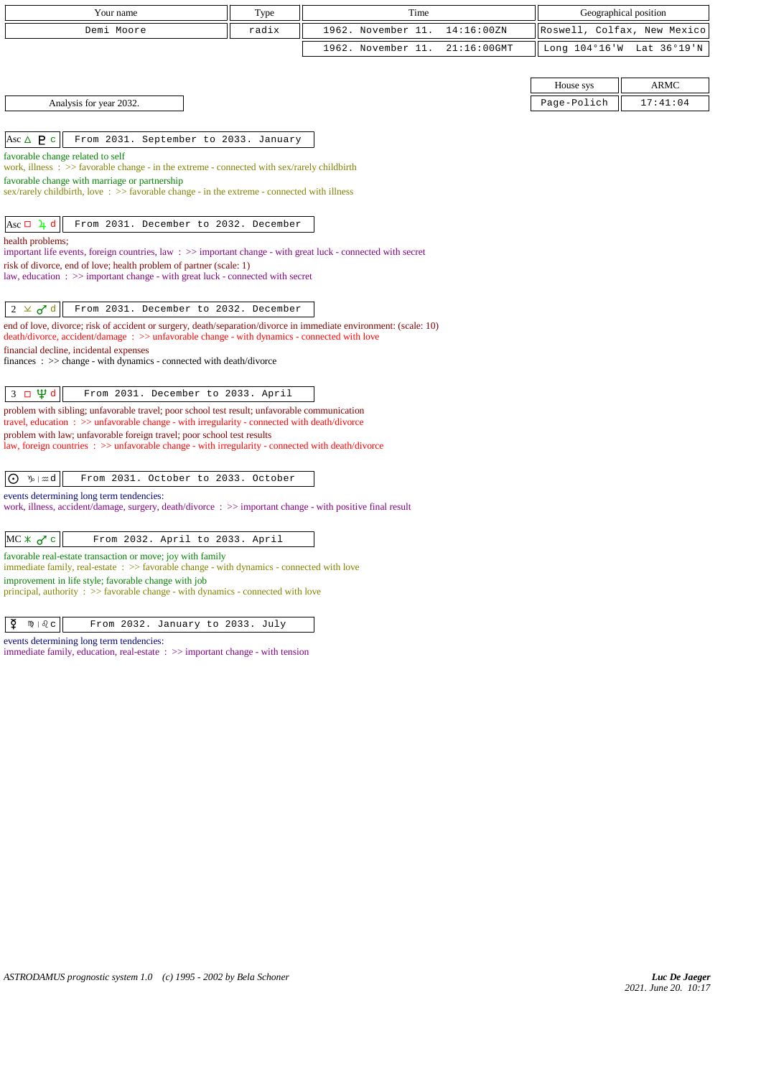| Your name                                                                                                                                                                                                         | Type  | Time                              | Geographical position       |             |
|-------------------------------------------------------------------------------------------------------------------------------------------------------------------------------------------------------------------|-------|-----------------------------------|-----------------------------|-------------|
| Demi Moore                                                                                                                                                                                                        | radix | 1962. November 11.<br>14:16:00ZN  | Roswell, Colfax, New Mexico |             |
|                                                                                                                                                                                                                   |       | 1962. November 11.<br>21:16:00GMT | Long $104^{\circ}16$ 'W     | Lat 36°19'N |
|                                                                                                                                                                                                                   |       |                                   |                             |             |
|                                                                                                                                                                                                                   |       |                                   | House sys                   | <b>ARMC</b> |
| Analysis for year 2032.                                                                                                                                                                                           |       |                                   | Page-Polich                 | 17:41:04    |
|                                                                                                                                                                                                                   |       |                                   |                             |             |
| Asc $\triangle$ <b>P</b> c<br>From 2031. September to 2033. January                                                                                                                                               |       |                                   |                             |             |
| favorable change related to self<br>work, illness : $\gg$ favorable change - in the extreme - connected with sex/rarely childbirth                                                                                |       |                                   |                             |             |
| favorable change with marriage or partnership                                                                                                                                                                     |       |                                   |                             |             |
| sex/rarely childbirth, love $\Rightarrow$ favorable change - in the extreme - connected with illness                                                                                                              |       |                                   |                             |             |
| $\text{Asc} \Box$ 4 d<br>From 2031. December to 2032. December                                                                                                                                                    |       |                                   |                             |             |
| health problems;                                                                                                                                                                                                  |       |                                   |                             |             |
| important life events, foreign countries, law : >> important change - with great luck - connected with secret                                                                                                     |       |                                   |                             |             |
| risk of divorce, end of love; health problem of partner (scale: 1)<br>law, education $\Rightarrow$ important change - with great luck - connected with secret                                                     |       |                                   |                             |             |
|                                                                                                                                                                                                                   |       |                                   |                             |             |
| From 2031. December to 2032. December<br>$2 \times d^d$                                                                                                                                                           |       |                                   |                             |             |
| end of love, divorce; risk of accident or surgery, death/separation/divorce in immediate environment: (scale: 10)<br>death/divorce, accident/damage : >> unfavorable change - with dynamics - connected with love |       |                                   |                             |             |
| financial decline, incidental expenses                                                                                                                                                                            |       |                                   |                             |             |
| $finances : \gg change - with dynamics - connected with death/divorce$                                                                                                                                            |       |                                   |                             |             |
| $3 \Box \Psi d$<br>From 2031. December to 2033. April                                                                                                                                                             |       |                                   |                             |             |
| problem with sibling; unfavorable travel; poor school test result; unfavorable communication                                                                                                                      |       |                                   |                             |             |
| travel, education $\Rightarrow$ >> unfavorable change - with irregularity - connected with death/divorce                                                                                                          |       |                                   |                             |             |
| problem with law; unfavorable foreign travel; poor school test results<br>law, foreign countries $\Rightarrow$ > unfavorable change - with irregularity - connected with death/divorce                            |       |                                   |                             |             |
|                                                                                                                                                                                                                   |       |                                   |                             |             |
| From 2031. October to 2033. October<br>$\odot$<br>$\n  y$ $\infty$ $d$                                                                                                                                            |       |                                   |                             |             |
| events determining long term tendencies:                                                                                                                                                                          |       |                                   |                             |             |
| work, illness, accident/damage, surgery, death/divorce: >> important change - with positive final result                                                                                                          |       |                                   |                             |             |
| $MC * 0' c$<br>From 2032. April to 2033. April                                                                                                                                                                    |       |                                   |                             |             |
| favorable real-estate transaction or move; joy with family                                                                                                                                                        |       |                                   |                             |             |
| immediate family, real-estate $\Rightarrow$ favorable change - with dynamics - connected with love                                                                                                                |       |                                   |                             |             |
| improvement in life style; favorable change with job<br>principal, authority $\Rightarrow$ Savorable change - with dynamics - connected with love                                                                 |       |                                   |                             |             |
|                                                                                                                                                                                                                   |       |                                   |                             |             |
| ₫<br>$m \mid \delta$ $c$<br>From 2032. January to 2033. July                                                                                                                                                      |       |                                   |                             |             |

events determining long term tendencies: immediate family, education, real-estate :  $\gg$  important change - with tension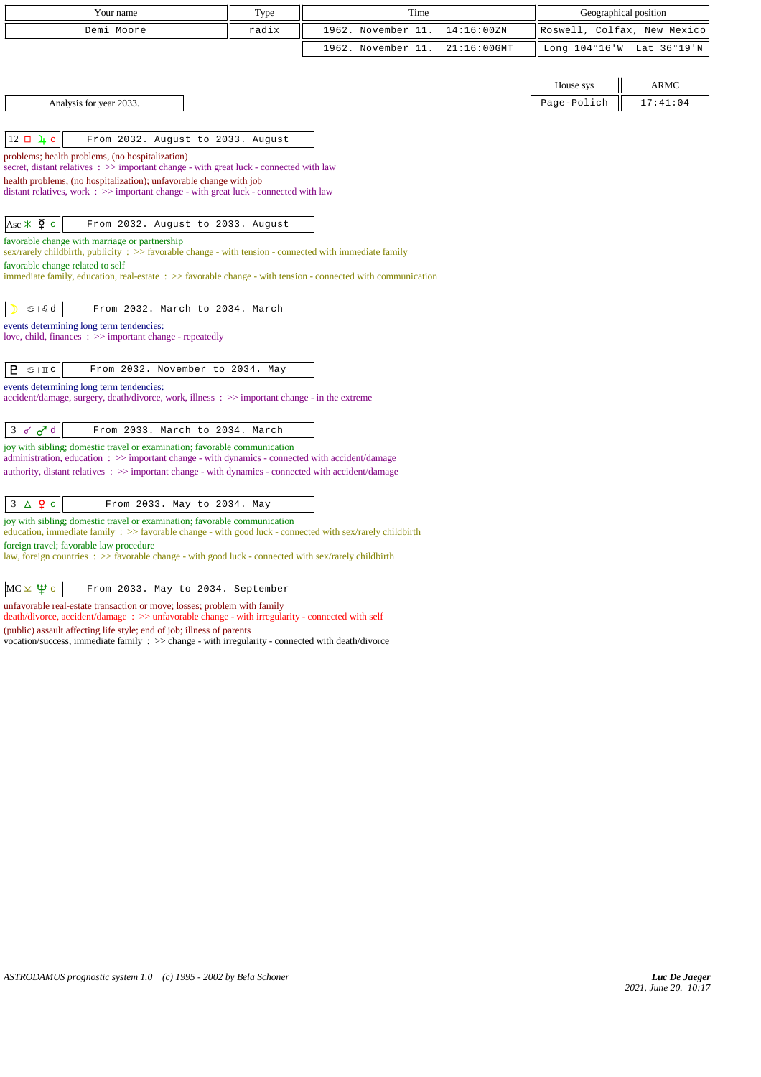| Your name                                                                                                                                                                              | Type  | Time                                 |               | Geographical position       |
|----------------------------------------------------------------------------------------------------------------------------------------------------------------------------------------|-------|--------------------------------------|---------------|-----------------------------|
| Demi Moore                                                                                                                                                                             | radix | 1962. November 11.<br>14:16:00ZN     |               | Roswell, Colfax, New Mexico |
|                                                                                                                                                                                        |       | 1962. November 11.<br>$21:16:00$ GMT | Long 104°16'W | Lat 36°19'N                 |
|                                                                                                                                                                                        |       |                                      |               |                             |
|                                                                                                                                                                                        |       |                                      | House sys     | <b>ARMC</b>                 |
| Analysis for year 2033.                                                                                                                                                                |       |                                      | Page-Polich   | 17:41:04                    |
|                                                                                                                                                                                        |       |                                      |               |                             |
| $12 \square \square$ e<br>From 2032. August to 2033. August                                                                                                                            |       |                                      |               |                             |
| problems; health problems, (no hospitalization)<br>secret, distant relatives : >> important change - with great luck - connected with law                                              |       |                                      |               |                             |
| health problems, (no hospitalization); unfavorable change with job                                                                                                                     |       |                                      |               |                             |
| distant relatives, work $\Rightarrow$ > important change - with great luck - connected with law                                                                                        |       |                                      |               |                             |
|                                                                                                                                                                                        |       |                                      |               |                             |
| Asc $\angle$ $\frac{6}{5}$ c<br>From 2032. August to 2033. August<br>favorable change with marriage or partnership                                                                     |       |                                      |               |                             |
| sex/rarely childbirth, publicity : >> favorable change - with tension - connected with immediate family                                                                                |       |                                      |               |                             |
| favorable change related to self                                                                                                                                                       |       |                                      |               |                             |
| immediate family, education, real-estate : >> favorable change - with tension - connected with communication                                                                           |       |                                      |               |                             |
| $\circledcirc$   $\circledcirc$ d<br>From 2032. March to 2034. March                                                                                                                   |       |                                      |               |                             |
| events determining long term tendencies:                                                                                                                                               |       |                                      |               |                             |
| love, child, finances $\Rightarrow$ important change - repeatedly                                                                                                                      |       |                                      |               |                             |
| P<br>$\mathfrak{S} \mid \mathbb{I}$ C<br>From 2032. November to 2034. May                                                                                                              |       |                                      |               |                             |
| events determining long term tendencies:                                                                                                                                               |       |                                      |               |                             |
| accident/damage, surgery, death/divorce, work, illness: >> important change - in the extreme                                                                                           |       |                                      |               |                             |
|                                                                                                                                                                                        |       |                                      |               |                             |
| $3 \times d d$<br>From 2033. March to 2034. March                                                                                                                                      |       |                                      |               |                             |
| joy with sibling; domestic travel or examination; favorable communication<br>administration, education: >> important change - with dynamics - connected with accident/damage           |       |                                      |               |                             |
| authority, distant relatives : >> important change - with dynamics - connected with accident/damage                                                                                    |       |                                      |               |                             |
|                                                                                                                                                                                        |       |                                      |               |                             |
| $\Delta$ 9 c<br>3<br>From 2033. May to 2034. May                                                                                                                                       |       |                                      |               |                             |
| joy with sibling; domestic travel or examination; favorable communication<br>education, immediate family : >> favorable change - with good luck - connected with sex/rarely childbirth |       |                                      |               |                             |

foreign travel; favorable law procedure

law, foreign countries : >> favorable change - with good luck - connected with sex/rarely childbirth

 $MC \times \Psi c$  From 2033. May to 2034. September

unfavorable real-estate transaction or move; losses; problem with family

death/divorce, accident/damage : >> unfavorable change - with irregularity - connected with self

(public) assault affecting life style; end of job; illness of parents

vocation/success, immediate family : >> change - with irregularity - connected with death/divorce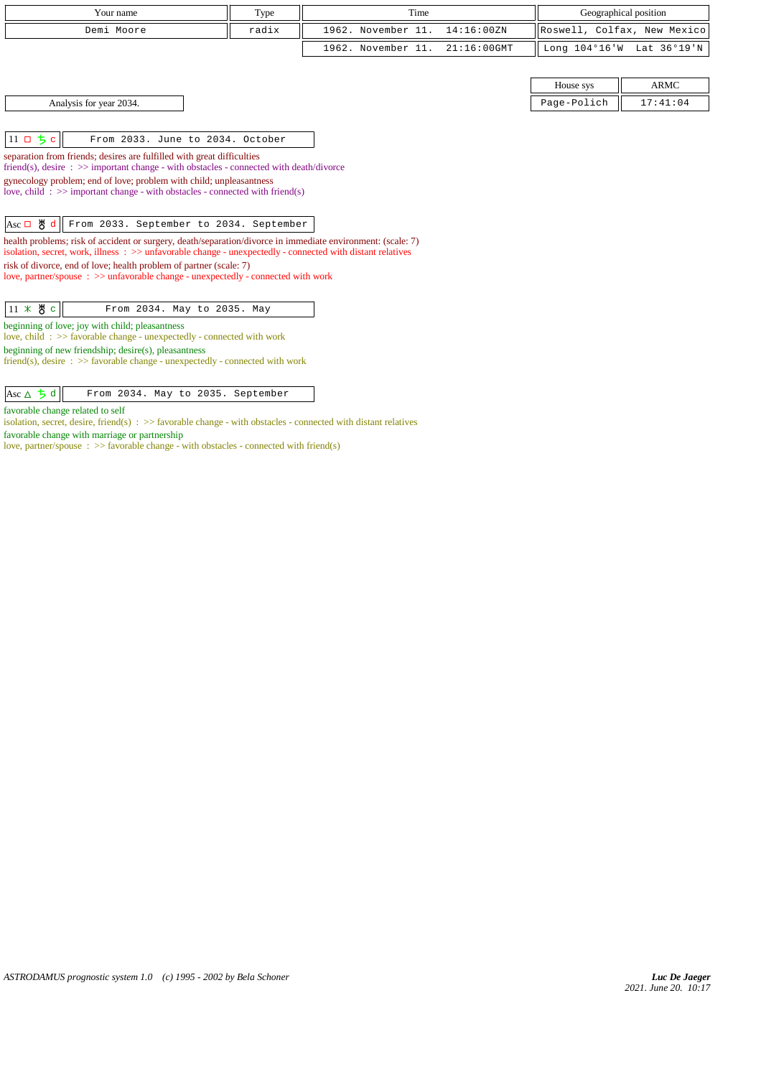| Your name                                                                                                                                                                                                                                                                                                                                                                                                                                                                                                                                                                                                                                                                                                                                                                                                       | Type  | Time               |                |                         | Geographical position       |
|-----------------------------------------------------------------------------------------------------------------------------------------------------------------------------------------------------------------------------------------------------------------------------------------------------------------------------------------------------------------------------------------------------------------------------------------------------------------------------------------------------------------------------------------------------------------------------------------------------------------------------------------------------------------------------------------------------------------------------------------------------------------------------------------------------------------|-------|--------------------|----------------|-------------------------|-----------------------------|
| Demi Moore                                                                                                                                                                                                                                                                                                                                                                                                                                                                                                                                                                                                                                                                                                                                                                                                      | radix | 1962. November 11. | 14:16:00ZN     |                         | Roswell, Colfax, New Mexico |
|                                                                                                                                                                                                                                                                                                                                                                                                                                                                                                                                                                                                                                                                                                                                                                                                                 |       | 1962. November 11. | $21:16:00$ GMT | Long $104^{\circ}16$ 'W | Lat 36°19'N                 |
|                                                                                                                                                                                                                                                                                                                                                                                                                                                                                                                                                                                                                                                                                                                                                                                                                 |       |                    |                |                         |                             |
|                                                                                                                                                                                                                                                                                                                                                                                                                                                                                                                                                                                                                                                                                                                                                                                                                 |       |                    |                | House sys               | <b>ARMC</b>                 |
| Analysis for year 2034.                                                                                                                                                                                                                                                                                                                                                                                                                                                                                                                                                                                                                                                                                                                                                                                         |       |                    |                | Page-Polich             | 17:41:04                    |
|                                                                                                                                                                                                                                                                                                                                                                                                                                                                                                                                                                                                                                                                                                                                                                                                                 |       |                    |                |                         |                             |
| $11$ ロ ち c<br>From 2033. June to 2034. October                                                                                                                                                                                                                                                                                                                                                                                                                                                                                                                                                                                                                                                                                                                                                                  |       |                    |                |                         |                             |
| separation from friends; desires are fulfilled with great difficulties<br>friend(s), desire : >> important change - with obstacles - connected with death/divorce<br>gynecology problem; end of love; problem with child; unpleasantness<br>love, child: $\gg$ important change - with obstacles - connected with friend(s)<br>$Asc \Box$ $\bigcup$ d<br>From 2033. September to 2034. September<br>health problems; risk of accident or surgery, death/separation/divorce in immediate environment: (scale: 7)<br>isolation, secret, work, illness $\Rightarrow$ $\Rightarrow$ unfavorable change - unexpectedly - connected with distant relatives<br>risk of divorce, end of love; health problem of partner (scale: 7)<br>love, partner/spouse : >> unfavorable change - unexpectedly - connected with work |       |                    |                |                         |                             |
| $11 \times 8$ c<br>From 2034. May to 2035. May<br>beginning of love; joy with child; pleasantness<br>love, child: >> favorable change - unexpectedly - connected with work<br>beginning of new friendship; desire(s), pleasantness<br>friend(s), desire : $\gg$ favorable change - unexpectedly - connected with work                                                                                                                                                                                                                                                                                                                                                                                                                                                                                           |       |                    |                |                         |                             |

 $\begin{array}{|c|c|c|c|c|}\n \hline \text{Asc } \Delta & \frac{1}{2} \text{ d} & \text{From 2034. May to 2035. September}\n\hline \end{array}$ 

favorable change related to self

isolation, secret, desire, friend(s) : >> favorable change - with obstacles - connected with distant relatives

favorable change with marriage or partnership

love, partner/spouse : >> favorable change - with obstacles - connected with friend(s)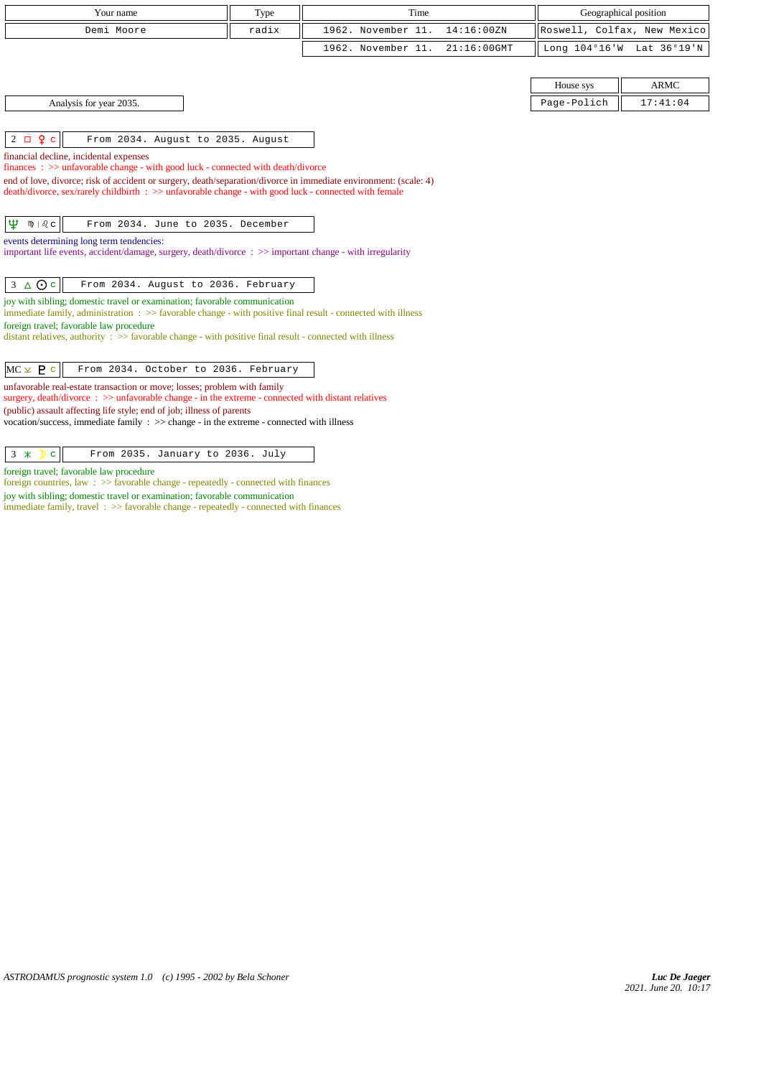| Your name                                                                                                                                                                      | Type  | Time               |             |             | Geographical position       |
|--------------------------------------------------------------------------------------------------------------------------------------------------------------------------------|-------|--------------------|-------------|-------------|-----------------------------|
| Demi Moore                                                                                                                                                                     | radix | 1962. November 11. | 14:16:00ZN  |             | Roswell, Colfax, New Mexico |
|                                                                                                                                                                                |       | 1962. November 11. | 21:16:00GMT |             | Long 104°16'W Lat 36°19'N   |
|                                                                                                                                                                                |       |                    |             |             |                             |
|                                                                                                                                                                                |       |                    |             | House sys   | <b>ARMC</b>                 |
| Analysis for year 2035.                                                                                                                                                        |       |                    |             | Page-Polich | 17:41:04                    |
|                                                                                                                                                                                |       |                    |             |             |                             |
| $2 \Box$ $9 \Box$<br>From 2034. August to 2035. August                                                                                                                         |       |                    |             |             |                             |
| financial decline, incidental expenses<br>finances: >> unfavorable change - with good luck - connected with death/divorce                                                      |       |                    |             |             |                             |
| end of love, divorce; risk of accident or surgery, death/separation/divorce in immediate environment: (scale: 4)                                                               |       |                    |             |             |                             |
| death/divorce, sex/rarely childbirth : >> unfavorable change - with good luck - connected with female                                                                          |       |                    |             |             |                             |
|                                                                                                                                                                                |       |                    |             |             |                             |
| Ψ<br>$m + \delta$ $c$<br>From 2034. June to 2035. December                                                                                                                     |       |                    |             |             |                             |
| events determining long term tendencies:<br>important life events, accident/damage, surgery, death/divorce: >> important change - with irregularity                            |       |                    |             |             |                             |
|                                                                                                                                                                                |       |                    |             |             |                             |
| $3 \triangle$ Oc<br>From 2034. August to 2036. February                                                                                                                        |       |                    |             |             |                             |
| joy with sibling; domestic travel or examination; favorable communication                                                                                                      |       |                    |             |             |                             |
| immediate family, administration : >> favorable change - with positive final result - connected with illness<br>foreign travel; favorable law procedure                        |       |                    |             |             |                             |
| distant relatives, authority $\therefore$ >> favorable change - with positive final result - connected with illness                                                            |       |                    |             |             |                             |
|                                                                                                                                                                                |       |                    |             |             |                             |
| $MC \times P$ c<br>From 2034. October to 2036. February                                                                                                                        |       |                    |             |             |                             |
| unfavorable real-estate transaction or move; losses; problem with family<br>surgery, death/divorce : >> unfavorable change - in the extreme - connected with distant relatives |       |                    |             |             |                             |
| (public) assault affecting life style; end of job; illness of parents                                                                                                          |       |                    |             |             |                             |
| vocation/success, immediate family $\Rightarrow$ $\Rightarrow$ change - in the extreme - connected with illness                                                                |       |                    |             |             |                             |
|                                                                                                                                                                                |       |                    |             |             |                             |
| $3 \times$<br>$\mathbf{C}$<br>From 2035. January to 2036. July                                                                                                                 |       |                    |             |             |                             |

foreign travel; favorable law procedure foreign countries, law : >> favorable change - repeatedly - connected with finances

joy with sibling; domestic travel or examination; favorable communication

immediate family, travel :  $\gg$  favorable change - repeatedly - connected with finances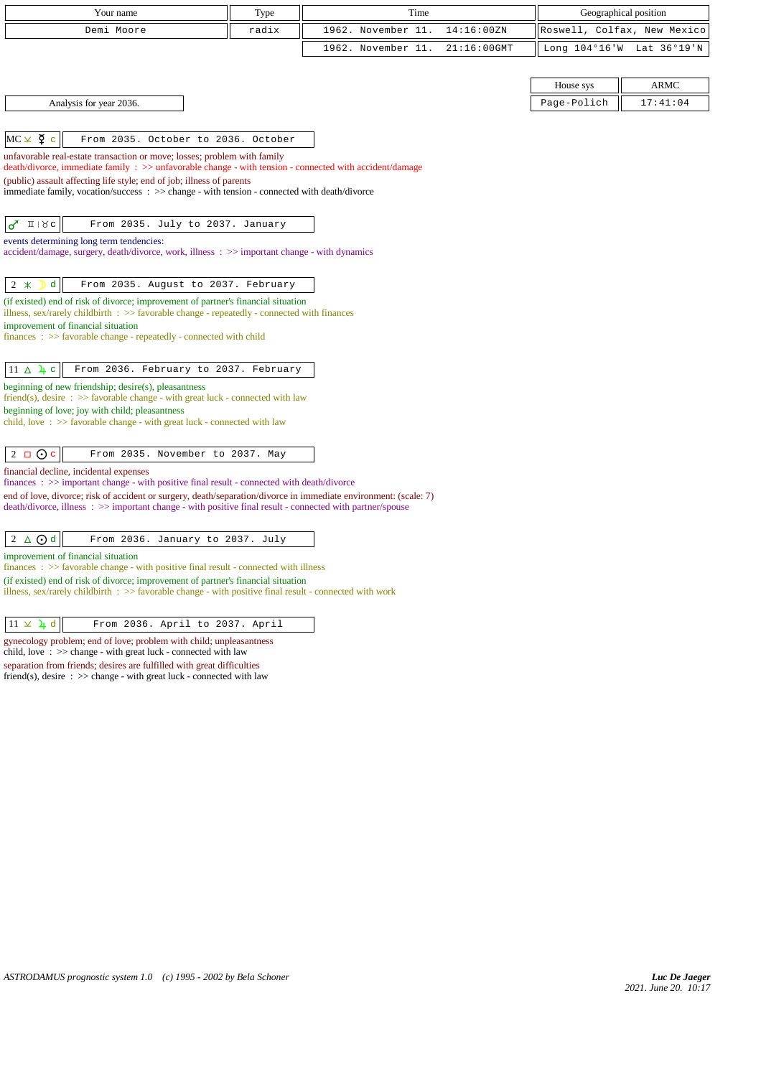| Your name                                                                                                                                                                                               | Type  | Time               |                |             | Geographical position       |
|---------------------------------------------------------------------------------------------------------------------------------------------------------------------------------------------------------|-------|--------------------|----------------|-------------|-----------------------------|
| Demi Moore                                                                                                                                                                                              | radix | 1962. November 11. | 14:16:00ZN     |             | Roswell, Colfax, New Mexico |
|                                                                                                                                                                                                         |       | 1962. November 11. | $21:16:00$ GMT |             | Long 104°16'W Lat 36°19'N   |
|                                                                                                                                                                                                         |       |                    |                |             |                             |
|                                                                                                                                                                                                         |       |                    |                | House sys   | <b>ARMC</b>                 |
| Analysis for year 2036.                                                                                                                                                                                 |       |                    |                | Page-Polich | 17:41:04                    |
|                                                                                                                                                                                                         |       |                    |                |             |                             |
| $MC \times \Sigma$ c<br>From 2035. October to 2036. October                                                                                                                                             |       |                    |                |             |                             |
| unfavorable real-estate transaction or move; losses; problem with family<br>$death/divorce, immediate family : >> unfavorable change - with tension - connected with accident/damage$                   |       |                    |                |             |                             |
| (public) assault affecting life style; end of job; illness of parents                                                                                                                                   |       |                    |                |             |                             |
| immediate family, vocation/success : >> change - with tension - connected with death/divorce                                                                                                            |       |                    |                |             |                             |
| $\sigma$<br>$\pi$   $\chi$ c<br>From 2035. July to 2037. January                                                                                                                                        |       |                    |                |             |                             |
| events determining long term tendencies:                                                                                                                                                                |       |                    |                |             |                             |
| accident/damage, surgery, death/divorce, work, illness: $\gg$ important change - with dynamics                                                                                                          |       |                    |                |             |                             |
|                                                                                                                                                                                                         |       |                    |                |             |                             |
| d<br>$2 *$<br>From 2035. August to 2037. February                                                                                                                                                       |       |                    |                |             |                             |
| (if existed) end of risk of divorce; improvement of partner's financial situation<br>illness, sex/rarely childbirth $\Rightarrow$ favorable change - repeatedly - connected with finances               |       |                    |                |             |                             |
| improvement of financial situation                                                                                                                                                                      |       |                    |                |             |                             |
| $finances : \gg$ favorable change - repeatedly - connected with child                                                                                                                                   |       |                    |                |             |                             |
| $11 \Delta \mu c$<br>From 2036. February to 2037. February                                                                                                                                              |       |                    |                |             |                             |
| beginning of new friendship; desire(s), pleasantness                                                                                                                                                    |       |                    |                |             |                             |
| friend(s), desire $\Rightarrow$ Savorable change - with great luck - connected with law<br>beginning of love; joy with child; pleasantness                                                              |       |                    |                |             |                             |
| child, love $\Rightarrow$ 5 favorable change - with great luck - connected with law                                                                                                                     |       |                    |                |             |                             |
|                                                                                                                                                                                                         |       |                    |                |             |                             |
| $2 \Box$ O c<br>From 2035. November to 2037. May                                                                                                                                                        |       |                    |                |             |                             |
| financial decline, incidental expenses<br>finances : >> important change - with positive final result - connected with death/divorce                                                                    |       |                    |                |             |                             |
| end of love, divorce; risk of accident or surgery, death/separation/divorce in immediate environment: (scale: 7)                                                                                        |       |                    |                |             |                             |
| death/divorce, illness: >> important change - with positive final result - connected with partner/spouse                                                                                                |       |                    |                |             |                             |
| $2 \triangle$ $\odot$ d<br>From 2036. January to 2037. July                                                                                                                                             |       |                    |                |             |                             |
| improvement of financial situation                                                                                                                                                                      |       |                    |                |             |                             |
| $finances: >> favorable change - with positive final result - connected with illness$                                                                                                                   |       |                    |                |             |                             |
| (if existed) end of risk of divorce; improvement of partner's financial situation<br>illness, sex/rarely childbirth $\Rightarrow$ 5 favorable change - with positive final result - connected with work |       |                    |                |             |                             |
|                                                                                                                                                                                                         |       |                    |                |             |                             |
| $11 \times \lambda d$<br>From 2036. April to 2037. April                                                                                                                                                |       |                    |                |             |                             |

gynecology problem; end of love; problem with child; unpleasantness child, love : >> change - with great luck - connected with law separation from friends; desires are fulfilled with great difficulties

friend(s), desire : >> change - with great luck - connected with law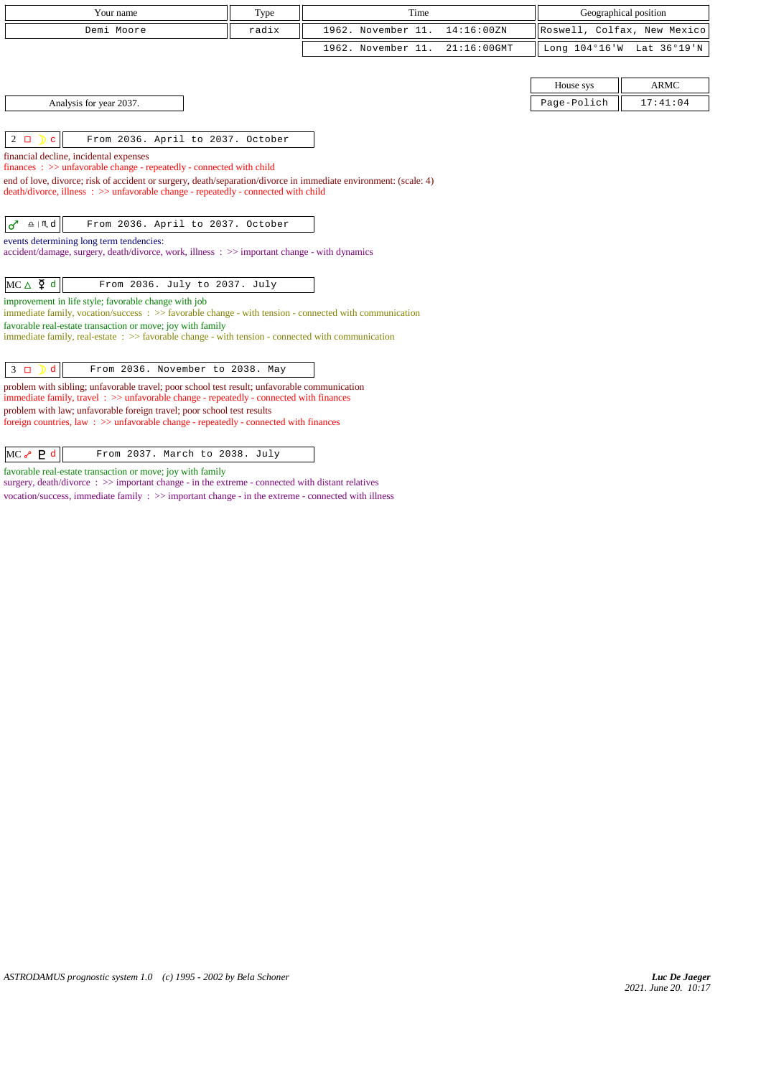| Your name                                                                                                                                                                                 | Type  | Time<br>Geographical position |             |                             |                           |
|-------------------------------------------------------------------------------------------------------------------------------------------------------------------------------------------|-------|-------------------------------|-------------|-----------------------------|---------------------------|
| Demi Moore                                                                                                                                                                                | radix | 1962. November 11.            | 14:16:00ZN  | Roswell, Colfax, New Mexico |                           |
|                                                                                                                                                                                           |       | 1962. November 11.            | 21:16:00GMT |                             | Long 104°16'W Lat 36°19'N |
|                                                                                                                                                                                           |       |                               |             |                             |                           |
|                                                                                                                                                                                           |       |                               |             | House sys                   | <b>ARMC</b>               |
| Analysis for year 2037.                                                                                                                                                                   |       |                               |             | Page-Polich                 | 17:41:04                  |
|                                                                                                                                                                                           |       |                               |             |                             |                           |
| From 2036. April to 2037. October<br>$2\Box$<br>$\mathbf C$                                                                                                                               |       |                               |             |                             |                           |
| financial decline, incidental expenses<br>$finances : \gg$ unfavorable change - repeatedly - connected with child                                                                         |       |                               |             |                             |                           |
| end of love, divorce; risk of accident or surgery, death/separation/divorce in immediate environment: (scale: 4)                                                                          |       |                               |             |                             |                           |
| death/divorce, illness: >> unfavorable change - repeatedly - connected with child                                                                                                         |       |                               |             |                             |                           |
|                                                                                                                                                                                           |       |                               |             |                             |                           |
| $\underline{\circ}$   $M$ d<br>♂<br>From 2036. April to 2037. October                                                                                                                     |       |                               |             |                             |                           |
| events determining long term tendencies:<br>accident/damage, surgery, death/divorce, work, illness: >> important change - with dynamics                                                   |       |                               |             |                             |                           |
|                                                                                                                                                                                           |       |                               |             |                             |                           |
| $MC \triangle \n\Phi d$<br>From 2036. July to 2037. July                                                                                                                                  |       |                               |             |                             |                           |
| improvement in life style; favorable change with job                                                                                                                                      |       |                               |             |                             |                           |
| immediate family, vocation/success $\therefore$ >> favorable change - with tension - connected with communication<br>favorable real-estate transaction or move; joy with family           |       |                               |             |                             |                           |
| immediate family, real-estate : >> favorable change - with tension - connected with communication                                                                                         |       |                               |             |                             |                           |
|                                                                                                                                                                                           |       |                               |             |                             |                           |
| $\mathbf d$<br>From 2036. November to 2038. May<br>$3\Box$                                                                                                                                |       |                               |             |                             |                           |
| problem with sibling; unfavorable travel; poor school test result; unfavorable communication<br>immediate family, travel: $\gg$ unfavorable change - repeatedly - connected with finances |       |                               |             |                             |                           |
| problem with law; unfavorable foreign travel; poor school test results                                                                                                                    |       |                               |             |                             |                           |
| foreign countries, law : $\gg$ unfavorable change - repeatedly - connected with finances                                                                                                  |       |                               |             |                             |                           |
|                                                                                                                                                                                           |       |                               |             |                             |                           |
| $MC \rightarrow P d$<br>From 2037. March to 2038. July                                                                                                                                    |       |                               |             |                             |                           |
| favorable real-estate transaction or move; joy with family                                                                                                                                |       |                               |             |                             |                           |

surgery, death/divorce :  $\gg$  important change - in the extreme - connected with distant relatives vocation/success, immediate family : >> important change - in the extreme - connected with illness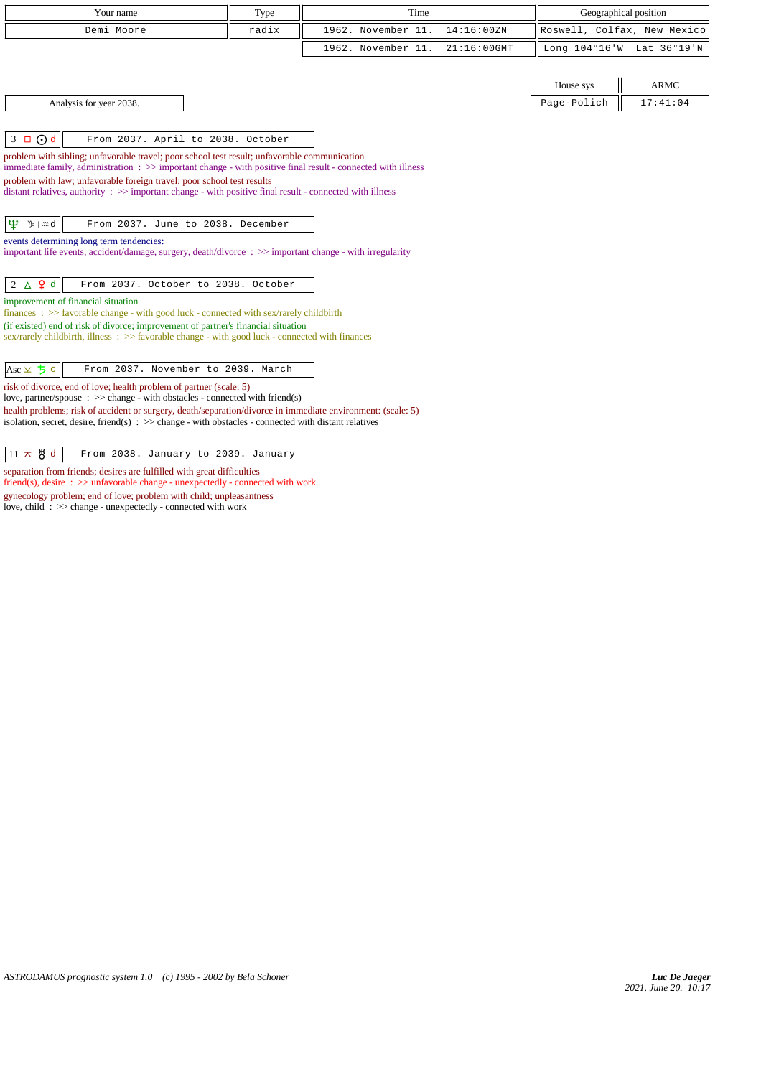| Your name                                                                                                                                                                                                                                                                                                                                                                                                                                                                           | Type  | Time               |             |                             | Geographical position     |
|-------------------------------------------------------------------------------------------------------------------------------------------------------------------------------------------------------------------------------------------------------------------------------------------------------------------------------------------------------------------------------------------------------------------------------------------------------------------------------------|-------|--------------------|-------------|-----------------------------|---------------------------|
| Demi Moore                                                                                                                                                                                                                                                                                                                                                                                                                                                                          | radix | 1962. November 11. | 14:16:00ZN  | Roswell, Colfax, New Mexico |                           |
|                                                                                                                                                                                                                                                                                                                                                                                                                                                                                     |       | 1962. November 11. | 21:16:00GMT |                             | Long 104°16'W Lat 36°19'N |
|                                                                                                                                                                                                                                                                                                                                                                                                                                                                                     |       |                    |             |                             |                           |
|                                                                                                                                                                                                                                                                                                                                                                                                                                                                                     |       |                    |             | House sys                   | <b>ARMC</b>               |
| Analysis for year 2038.                                                                                                                                                                                                                                                                                                                                                                                                                                                             |       |                    |             | Page-Polich                 | 17:41:04                  |
| $3 \Box$ $\odot$ d<br>From 2037. April to 2038. October<br>problem with sibling; unfavorable travel; poor school test result; unfavorable communication<br>immediate family, administration $\Rightarrow$ > important change - with positive final result - connected with illness<br>problem with law; unfavorable foreign travel; poor school test results<br>distant relatives, authority $\therefore$ >> important change - with positive final result - connected with illness |       |                    |             |                             |                           |
| Ψ<br>ზ⊢ <i>∷</i> ∷d<br>From 2037. June to 2038. December<br>events determining long term tendencies:<br>important life events, accident/damage, surgery, death/divorce : >> important change - with irregularity                                                                                                                                                                                                                                                                    |       |                    |             |                             |                           |
| $2 \triangle \mathbf{Q} d$<br>From 2037. October to 2038. October<br>improvement of financial situation                                                                                                                                                                                                                                                                                                                                                                             |       |                    |             |                             |                           |
| finances : $\gg$ favorable change - with good luck - connected with sex/rarely childbirth                                                                                                                                                                                                                                                                                                                                                                                           |       |                    |             |                             |                           |
| (if existed) end of risk of divorce; improvement of partner's financial situation<br>sex/rarely childbirth, illness: >> favorable change - with good luck - connected with finances                                                                                                                                                                                                                                                                                                 |       |                    |             |                             |                           |
| $Asc \times 5c$<br>From 2037. November to 2039. March                                                                                                                                                                                                                                                                                                                                                                                                                               |       |                    |             |                             |                           |
| risk of divorce, end of love; health problem of partner (scale: 5)<br>love, partner/spouse : $\gg$ change - with obstacles - connected with friend(s)                                                                                                                                                                                                                                                                                                                               |       |                    |             |                             |                           |
| health problems; risk of accident or surgery, death/separation/divorce in immediate environment: (scale: 5)<br>isolation, secret, desire, friend(s) $\Rightarrow$ > $\Rightarrow$ change - with obstacles - connected with distant relatives                                                                                                                                                                                                                                        |       |                    |             |                             |                           |
| $11 \times$ 5 d<br>From 2038. January to 2039. January                                                                                                                                                                                                                                                                                                                                                                                                                              |       |                    |             |                             |                           |

separation from friends; desires are fulfilled with great difficulties friend(s), desire :  $\gg$  unfavorable change - unexpectedly - connected with work gynecology problem; end of love; problem with child; unpleasantness love, child : >> change - unexpectedly - connected with work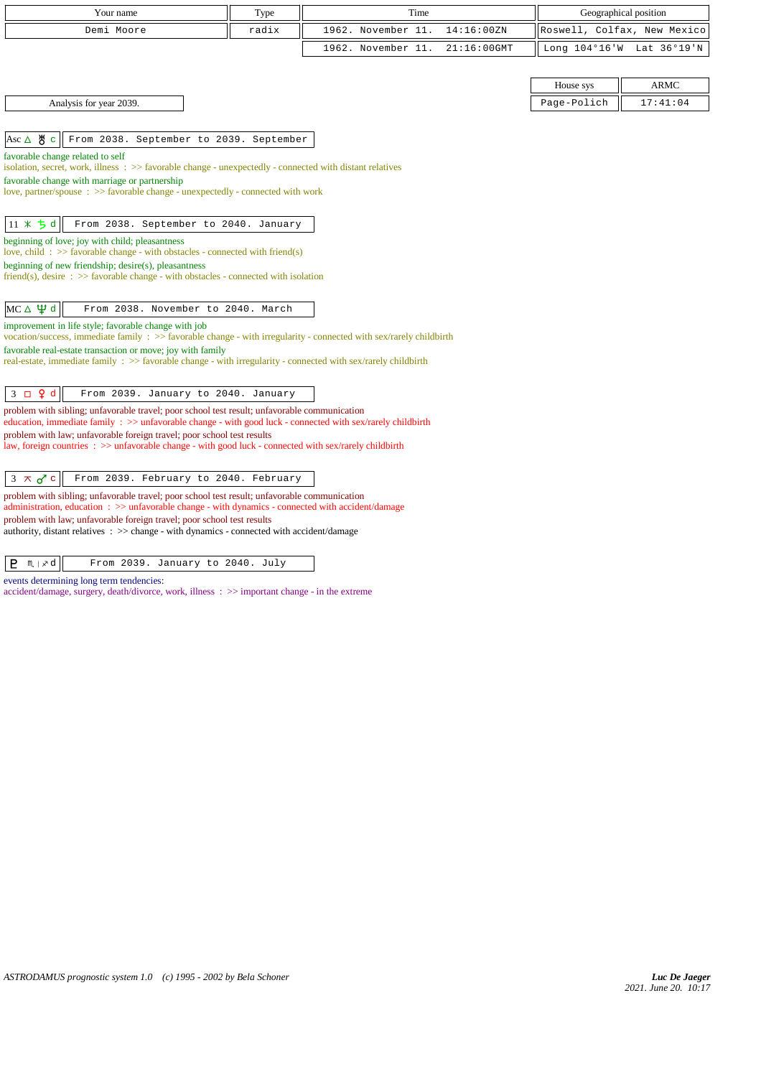| Your name                                                                                                                                                                                                     | Type  | Time                                 |             | Geographical position       |
|---------------------------------------------------------------------------------------------------------------------------------------------------------------------------------------------------------------|-------|--------------------------------------|-------------|-----------------------------|
| Demi Moore                                                                                                                                                                                                    | radix | 1962. November 11.<br>14:16:00ZN     |             | Roswell, Colfax, New Mexico |
|                                                                                                                                                                                                               |       | 1962. November 11.<br>$21:16:00$ GMT |             | Long 104°16'W Lat 36°19'N   |
|                                                                                                                                                                                                               |       |                                      |             |                             |
|                                                                                                                                                                                                               |       |                                      | House sys   | <b>ARMC</b>                 |
| Analysis for year 2039.                                                                                                                                                                                       |       |                                      | Page-Polich | 17:41:04                    |
|                                                                                                                                                                                                               |       |                                      |             |                             |
| Asc $\triangle$ $\frac{14}{10}$ c<br>From 2038. September to 2039. September                                                                                                                                  |       |                                      |             |                             |
| favorable change related to self<br>isolation, secret, work, illness : >> favorable change - unexpectedly - connected with distant relatives                                                                  |       |                                      |             |                             |
| favorable change with marriage or partnership                                                                                                                                                                 |       |                                      |             |                             |
| love, partner/spouse: >> favorable change - unexpectedly - connected with work                                                                                                                                |       |                                      |             |                             |
| $11 * 5d$<br>From 2038. September to 2040. January                                                                                                                                                            |       |                                      |             |                             |
| beginning of love; joy with child; pleasantness                                                                                                                                                               |       |                                      |             |                             |
| love, child: $\gg$ favorable change - with obstacles - connected with friend(s)                                                                                                                               |       |                                      |             |                             |
| beginning of new friendship; desire(s), pleasantness<br>friend(s), desire $\Rightarrow$ S favorable change - with obstacles - connected with isolation                                                        |       |                                      |             |                             |
|                                                                                                                                                                                                               |       |                                      |             |                             |
| $MC \triangle \Psi d$<br>From 2038. November to 2040. March                                                                                                                                                   |       |                                      |             |                             |
| improvement in life style; favorable change with job<br>vocation/success, immediate family : >> favorable change - with irregularity - connected with sex/rarely childbirth                                   |       |                                      |             |                             |
| favorable real-estate transaction or move; joy with family                                                                                                                                                    |       |                                      |             |                             |
| real-estate, immediate family : >> favorable change - with irregularity - connected with sex/rarely childbirth                                                                                                |       |                                      |             |                             |
| $3 \Box 9 d$<br>From 2039. January to 2040. January                                                                                                                                                           |       |                                      |             |                             |
| problem with sibling; unfavorable travel; poor school test result; unfavorable communication                                                                                                                  |       |                                      |             |                             |
| education, immediate family : >> unfavorable change - with good luck - connected with sex/rarely childbirth<br>problem with law; unfavorable foreign travel; poor school test results                         |       |                                      |             |                             |
| law, foreign countries : $\gg$ unfavorable change - with good luck - connected with sex/rarely childbirth                                                                                                     |       |                                      |             |                             |
|                                                                                                                                                                                                               |       |                                      |             |                             |
| From 2039. February to 2040. February<br>$3 \times d$ c                                                                                                                                                       |       |                                      |             |                             |
| problem with sibling; unfavorable travel; poor school test result; unfavorable communication<br>administration, education $\Rightarrow$ > unfavorable change - with dynamics - connected with accident/damage |       |                                      |             |                             |
| problem with law; unfavorable foreign travel; poor school test results                                                                                                                                        |       |                                      |             |                             |
| authority, distant relatives : >> change - with dynamics - connected with accident/damage                                                                                                                     |       |                                      |             |                             |

 $\boxed{\mathsf{P}$   $\mathsf{M}$   $\boxed{\times \mathsf{d}}$   $\boxed{\phantom{\mathsf{P}}$  From 2039. January to 2040. July

events determining long term tendencies:

accident/damage, surgery, death/divorce, work, illness : >> important change - in the extreme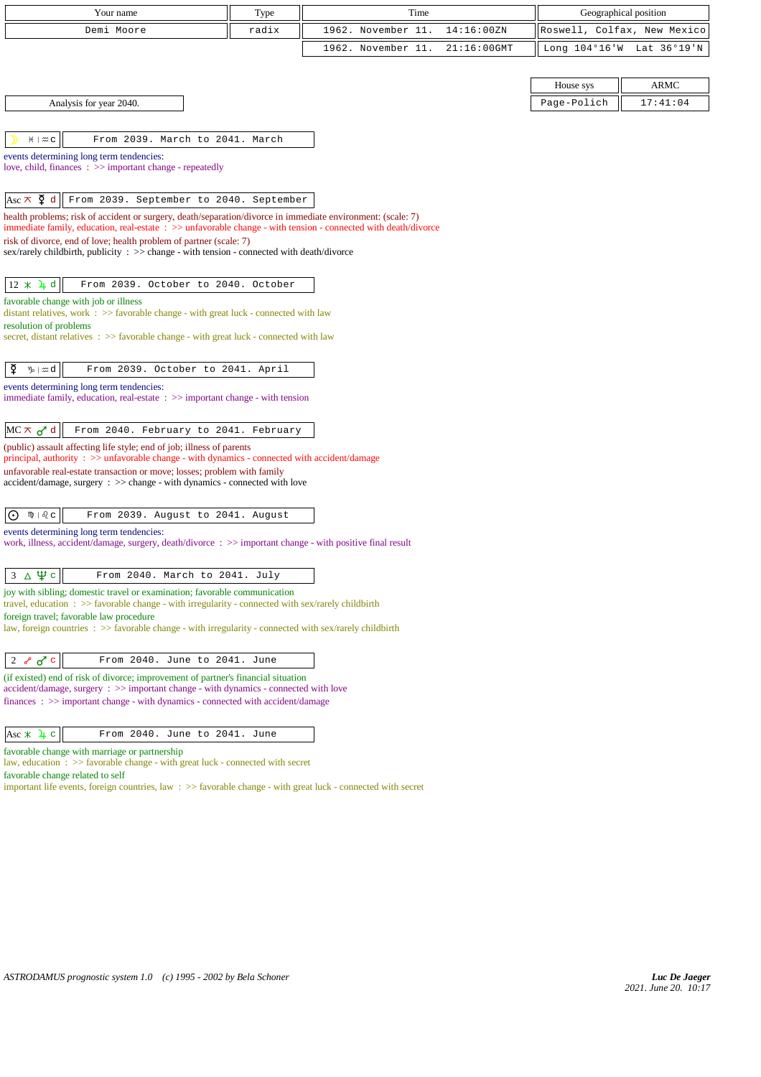| Your name                                                                                                                                                                                  | Type  | Time               |             |             | Geographical position       |
|--------------------------------------------------------------------------------------------------------------------------------------------------------------------------------------------|-------|--------------------|-------------|-------------|-----------------------------|
| Demi Moore                                                                                                                                                                                 | radix | 1962. November 11. | 14:16:00ZN  |             | Roswell, Colfax, New Mexico |
|                                                                                                                                                                                            |       | 1962. November 11. | 21:16:00GMT |             | Long 104°16'W Lat 36°19'N   |
|                                                                                                                                                                                            |       |                    |             |             |                             |
|                                                                                                                                                                                            |       |                    |             | House sys   | <b>ARMC</b>                 |
| Analysis for year 2040.                                                                                                                                                                    |       |                    |             | Page-Polich | 17:41:04                    |
|                                                                                                                                                                                            |       |                    |             |             |                             |
| From 2039. March to 2041. March<br>$H \mid \mathfrak{m} \subset$                                                                                                                           |       |                    |             |             |                             |
| events determining long term tendencies:<br>love, child, finances : >> important change - repeatedly                                                                                       |       |                    |             |             |                             |
|                                                                                                                                                                                            |       |                    |             |             |                             |
| Asc $\pi$ $\Phi$ d<br>From 2039. September to 2040. September                                                                                                                              |       |                    |             |             |                             |
| health problems; risk of accident or surgery, death/separation/divorce in immediate environment: (scale: 7)                                                                                |       |                    |             |             |                             |
| immediate family, education, real-estate : >> unfavorable change - with tension - connected with death/divorce<br>risk of divorce, end of love; health problem of partner (scale: 7)       |       |                    |             |             |                             |
| sex/rarely childbirth, publicity : $\gg$ change - with tension - connected with death/divorce                                                                                              |       |                    |             |             |                             |
|                                                                                                                                                                                            |       |                    |             |             |                             |
| $12 * 4d$<br>From 2039. October to 2040. October                                                                                                                                           |       |                    |             |             |                             |
| favorable change with job or illness<br>distant relatives, work $\Rightarrow$ S favorable change - with great luck - connected with law                                                    |       |                    |             |             |                             |
| resolution of problems                                                                                                                                                                     |       |                    |             |             |                             |
| secret, distant relatives : >> favorable change - with great luck - connected with law                                                                                                     |       |                    |             |             |                             |
| ₽<br>$\mathcal{V}_{\mathcal{D}} \mid \mathfrak{A}$ d<br>From 2039. October to 2041. April                                                                                                  |       |                    |             |             |                             |
| events determining long term tendencies:                                                                                                                                                   |       |                    |             |             |                             |
| immediate family, education, real-estate $\Rightarrow$ important change - with tension                                                                                                     |       |                    |             |             |                             |
|                                                                                                                                                                                            |       |                    |             |             |                             |
| From 2040. February to 2041. February<br>$MC \times d$                                                                                                                                     |       |                    |             |             |                             |
| (public) assault affecting life style; end of job; illness of parents<br>principal, authority : >> unfavorable change - with dynamics - connected with accident/damage                     |       |                    |             |             |                             |
| unfavorable real-estate transaction or move; losses; problem with family                                                                                                                   |       |                    |             |             |                             |
| $accident/damage$ , surgery : $\gg$ change - with dynamics - connected with love                                                                                                           |       |                    |             |             |                             |
| $m + \delta$ $c$<br>From 2039. August to 2041. August<br>$\odot$                                                                                                                           |       |                    |             |             |                             |
| events determining long term tendencies:                                                                                                                                                   |       |                    |             |             |                             |
| work, illness, accident/damage, surgery, death/divorce : >> important change - with positive final result                                                                                  |       |                    |             |             |                             |
|                                                                                                                                                                                            |       |                    |             |             |                             |
| $3 \triangle \Psi c$<br>From 2040. March to 2041. July                                                                                                                                     |       |                    |             |             |                             |
| joy with sibling; domestic travel or examination; favorable communication<br>travel, education $\Rightarrow$ > favorable change - with irregularity - connected with sex/rarely childbirth |       |                    |             |             |                             |
| foreign travel; favorable law procedure                                                                                                                                                    |       |                    |             |             |                             |
| law, foreign countries $\Rightarrow$ Savorable change - with irregularity - connected with sex/rarely childbirth                                                                           |       |                    |             |             |                             |
| 2 $\delta$ o <sup>r</sup> c<br>From 2040. June to 2041. June                                                                                                                               |       |                    |             |             |                             |
| (if existed) end of risk of divorce; improvement of partner's financial situation                                                                                                          |       |                    |             |             |                             |
| $accident/damage$ , surgery : $\gg$ important change - with dynamics - connected with love<br>$finances: \gg important change - with dynamics - connected with accident/damage$            |       |                    |             |             |                             |
|                                                                                                                                                                                            |       |                    |             |             |                             |
| From 2040. June to 2041. June<br>Asc $\angle$ 4 c                                                                                                                                          |       |                    |             |             |                             |
| favorable change with marriage or partnership                                                                                                                                              |       |                    |             |             |                             |

law, education : >> favorable change - with great luck - connected with secret

favorable change related to self

important life events, foreign countries, law  $\;\;>>$  favorable change - with great luck - connected with secret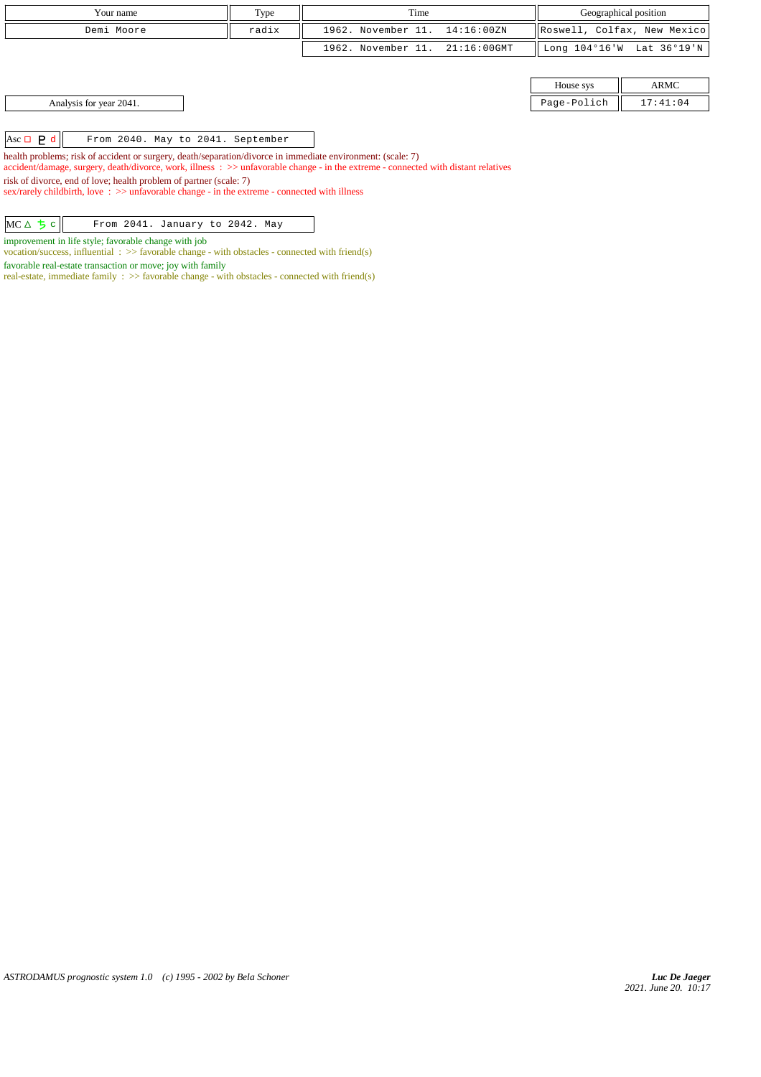| Your name  | Type  | Time                           |  | Geographical position       |  |
|------------|-------|--------------------------------|--|-----------------------------|--|
| Demi Moore | radix | 1962. November 11. 14:16:00ZN  |  | Roswell, Colfax, New Mexico |  |
|            |       | 1962. November 11. 21:16:00GMT |  | Long 104°16'W Lat 36°19'N   |  |
|            |       |                                |  |                             |  |

| House sys   |          |  |  |
|-------------|----------|--|--|
| Page-Polich | 17:41:04 |  |  |

Analysis for year 2041.

Asc d From 2040. May to 2041. September

health problems; risk of accident or surgery, death/separation/divorce in immediate environment: (scale: 7)

accident/damage, surgery, death/divorce, work, illness : >> unfavorable change - in the extreme - connected with distant relatives

risk of divorce, end of love; health problem of partner (scale: 7)

sex/rarely childbirth, love : >> unfavorable change - in the extreme - connected with illness

| $MC \Delta$ $5 c$ $\sigma$ From 2041. January to 2042. May |
|------------------------------------------------------------|
|------------------------------------------------------------|

improvement in life style; favorable change with job

vocation/success, influential : >> favorable change - with obstacles - connected with friend(s)

favorable real-estate transaction or move; joy with family

real-estate, immediate family :  $\gg$  favorable change - with obstacles - connected with friend(s)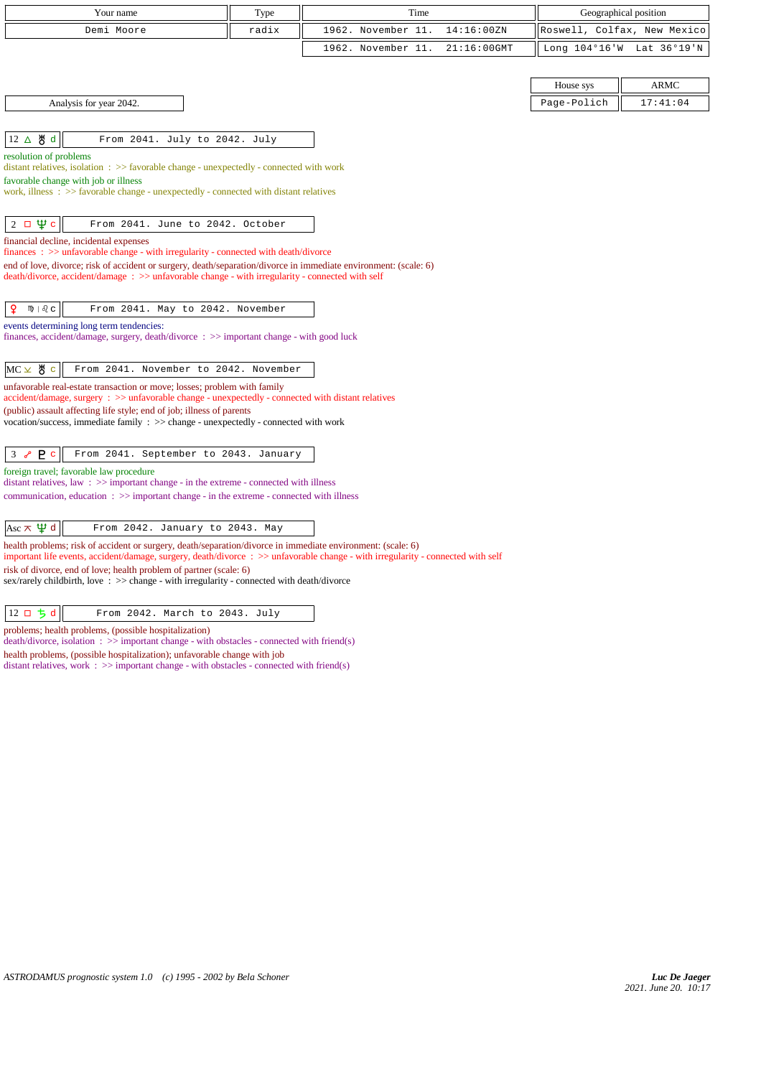| Your name                                                                                                                                                                                                                                       | Type                                                                                                 | Time               |                | Geographical position       |                           |  |
|-------------------------------------------------------------------------------------------------------------------------------------------------------------------------------------------------------------------------------------------------|------------------------------------------------------------------------------------------------------|--------------------|----------------|-----------------------------|---------------------------|--|
| Demi Moore                                                                                                                                                                                                                                      | radix                                                                                                | 1962. November 11. | 14:16:00ZN     | Roswell, Colfax, New Mexico |                           |  |
|                                                                                                                                                                                                                                                 |                                                                                                      | 1962. November 11. | $21:16:00$ GMT |                             | Long 104°16'W Lat 36°19'N |  |
|                                                                                                                                                                                                                                                 |                                                                                                      |                    |                |                             |                           |  |
|                                                                                                                                                                                                                                                 |                                                                                                      |                    |                | House sys                   | <b>ARMC</b>               |  |
| Analysis for year 2042.                                                                                                                                                                                                                         |                                                                                                      |                    |                | Page-Polich                 | 17:41:04                  |  |
|                                                                                                                                                                                                                                                 |                                                                                                      |                    |                |                             |                           |  |
| 12 ∆ 5 d<br>From 2041. July to 2042. July                                                                                                                                                                                                       |                                                                                                      |                    |                |                             |                           |  |
| resolution of problems<br>distant relatives, isolation : >> favorable change - unexpectedly - connected with work                                                                                                                               |                                                                                                      |                    |                |                             |                           |  |
| favorable change with job or illness                                                                                                                                                                                                            |                                                                                                      |                    |                |                             |                           |  |
| work, illness : >> favorable change - unexpectedly - connected with distant relatives                                                                                                                                                           |                                                                                                      |                    |                |                             |                           |  |
| $2 \Box \Psi c$<br>From 2041. June to 2042. October                                                                                                                                                                                             |                                                                                                      |                    |                |                             |                           |  |
| financial decline, incidental expenses                                                                                                                                                                                                          |                                                                                                      |                    |                |                             |                           |  |
| $finances : \gg$ unfavorable change - with irregularity - connected with death/divorce<br>end of love, divorce; risk of accident or surgery, death/separation/divorce in immediate environment: (scale: 6)                                      |                                                                                                      |                    |                |                             |                           |  |
| death/divorce, accident/damage: >> unfavorable change - with irregularity - connected with self                                                                                                                                                 |                                                                                                      |                    |                |                             |                           |  |
|                                                                                                                                                                                                                                                 |                                                                                                      |                    |                |                             |                           |  |
| $\mathsf{P}$<br>$mp \mid \delta$ $c$<br>From 2041. May to 2042. November                                                                                                                                                                        |                                                                                                      |                    |                |                             |                           |  |
| events determining long term tendencies:<br>finances, accident/damage, surgery, death/divorce : >> important change - with good luck                                                                                                            |                                                                                                      |                    |                |                             |                           |  |
|                                                                                                                                                                                                                                                 |                                                                                                      |                    |                |                             |                           |  |
| $MC \times$ 5 $\degree$<br>From 2041. November to 2042. November                                                                                                                                                                                |                                                                                                      |                    |                |                             |                           |  |
| unfavorable real-estate transaction or move; losses; problem with family                                                                                                                                                                        |                                                                                                      |                    |                |                             |                           |  |
| accident/damage, surgery : >> unfavorable change - unexpectedly - connected with distant relatives<br>(public) assault affecting life style; end of job; illness of parents                                                                     |                                                                                                      |                    |                |                             |                           |  |
| vocation/success, immediate family : >> change - unexpectedly - connected with work                                                                                                                                                             |                                                                                                      |                    |                |                             |                           |  |
|                                                                                                                                                                                                                                                 |                                                                                                      |                    |                |                             |                           |  |
| P <sub>c</sub><br>From 2041. September to 2043. January<br>3 <sub>o</sub>                                                                                                                                                                       |                                                                                                      |                    |                |                             |                           |  |
| foreign travel; favorable law procedure<br>distant relatives, law: >> important change - in the extreme - connected with illness                                                                                                                |                                                                                                      |                    |                |                             |                           |  |
|                                                                                                                                                                                                                                                 | communication, education $\Rightarrow$ >> important change - in the extreme - connected with illness |                    |                |                             |                           |  |
|                                                                                                                                                                                                                                                 |                                                                                                      |                    |                |                             |                           |  |
| Asc $\pi \Psi d$<br>From 2042. January to 2043. May                                                                                                                                                                                             |                                                                                                      |                    |                |                             |                           |  |
| health problems; risk of accident or surgery, death/separation/divorce in immediate environment: (scale: 6)<br>important life events, accident/damage, surgery, death/divorce : >> unfavorable change - with irregularity - connected with self |                                                                                                      |                    |                |                             |                           |  |
| risk of divorce, end of love; health problem of partner (scale: 6)                                                                                                                                                                              |                                                                                                      |                    |                |                             |                           |  |

sex/rarely childbirth, love :  $\gg$  change - with irregularity - connected with death/divorce

| $ 12 \Box 5 d $<br>From 2042. March to 2043. July |  |
|---------------------------------------------------|--|
|---------------------------------------------------|--|

problems; health problems, (possible hospitalization)

death/divorce, isolation : >> important change - with obstacles - connected with friend(s)

health problems, (possible hospitalization); unfavorable change with job

distant relatives, work : >> important change - with obstacles - connected with friend(s)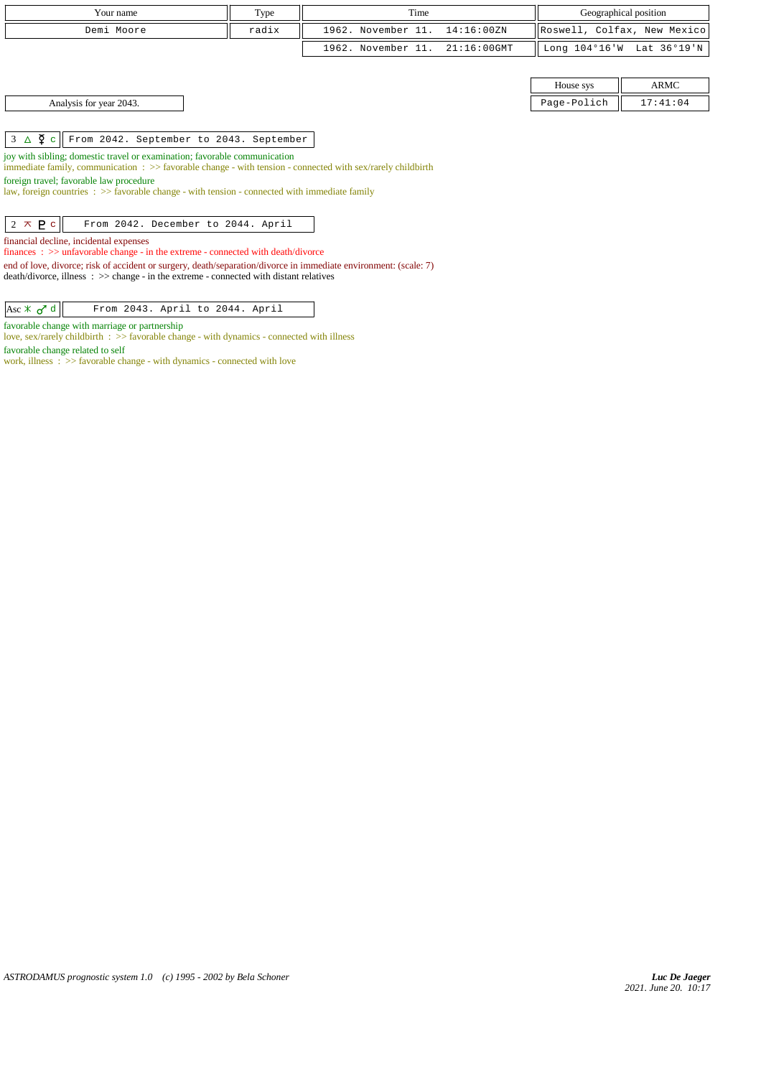| Your name                                                                                                                                                                                                    | Type  | Time                                 |             | Geographical position       |  |  |
|--------------------------------------------------------------------------------------------------------------------------------------------------------------------------------------------------------------|-------|--------------------------------------|-------------|-----------------------------|--|--|
| Demi Moore                                                                                                                                                                                                   | radix | 1962. November 11.<br>14:16:00ZN     |             | Roswell, Colfax, New Mexico |  |  |
|                                                                                                                                                                                                              |       | 1962. November 11.<br>$21:16:00$ GMT |             | Long 104°16'W Lat 36°19'N   |  |  |
|                                                                                                                                                                                                              |       |                                      |             |                             |  |  |
|                                                                                                                                                                                                              |       |                                      | House sys   | <b>ARMC</b>                 |  |  |
| Analysis for year 2043.                                                                                                                                                                                      |       |                                      | Page-Polich | 17:41:04                    |  |  |
|                                                                                                                                                                                                              |       |                                      |             |                             |  |  |
| $3 \Delta \Sigma$ c<br>From 2042. September to 2043. September                                                                                                                                               |       |                                      |             |                             |  |  |
| joy with sibling; domestic travel or examination; favorable communication                                                                                                                                    |       |                                      |             |                             |  |  |
| immediate family, communication $\Rightarrow$ Savorable change - with tension - connected with sex/rarely childbirth<br>foreign travel; favorable law procedure                                              |       |                                      |             |                             |  |  |
| law, foreign countries $\Rightarrow$ favorable change - with tension - connected with immediate family                                                                                                       |       |                                      |             |                             |  |  |
|                                                                                                                                                                                                              |       |                                      |             |                             |  |  |
| $2 \times P c$<br>From 2042. December to 2044. April                                                                                                                                                         |       |                                      |             |                             |  |  |
| financial decline, incidental expenses                                                                                                                                                                       |       |                                      |             |                             |  |  |
| finances : $\gg$ unfavorable change - in the extreme - connected with death/divorce                                                                                                                          |       |                                      |             |                             |  |  |
| end of love, divorce; risk of accident or surgery, death/separation/divorce in immediate environment: (scale: 7)<br>$death/divorce, illness : >> change - in the extreme - connected with distant relatives$ |       |                                      |             |                             |  |  |
|                                                                                                                                                                                                              |       |                                      |             |                             |  |  |
| Asc $\angle$ $\sim$ d<br>From 2043. April to 2044. April                                                                                                                                                     |       |                                      |             |                             |  |  |

favorable change with marriage or partnership

favorable change related to self

love, sex/rarely childbirth : >> favorable change - with dynamics - connected with illness

work, illness : >> favorable change - with dynamics - connected with love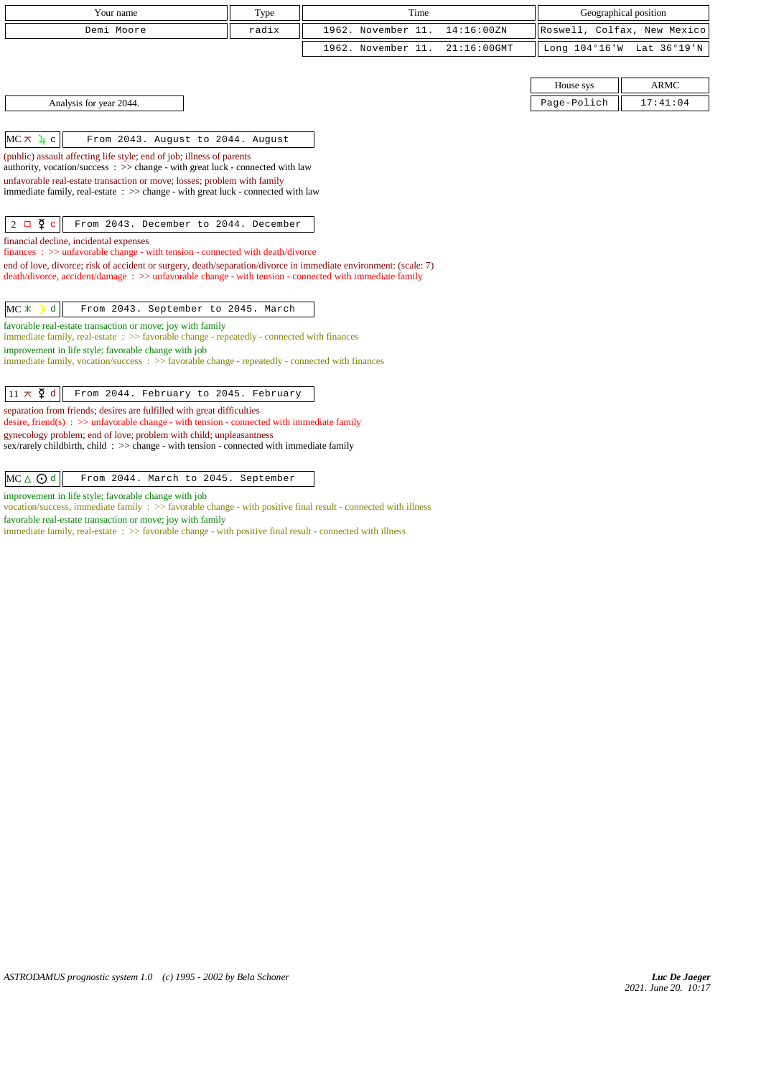| Your name                                                                                                                                                               | Type  | Time               |                | Geographical position       |             |
|-------------------------------------------------------------------------------------------------------------------------------------------------------------------------|-------|--------------------|----------------|-----------------------------|-------------|
| Demi Moore                                                                                                                                                              | radix | 1962. November 11. | 14:16:00ZN     | Roswell, Colfax, New Mexico |             |
|                                                                                                                                                                         |       | 1962. November 11. | $21:16:00$ GMT | Long 104°16'W Lat 36°19'N   |             |
|                                                                                                                                                                         |       |                    |                |                             |             |
|                                                                                                                                                                         |       |                    |                | House sys                   | <b>ARMC</b> |
| Analysis for year 2044.                                                                                                                                                 |       |                    |                | Page-Polich                 | 17:41:04    |
|                                                                                                                                                                         |       |                    |                |                             |             |
| $MC \times 4c$<br>From 2043. August to 2044. August                                                                                                                     |       |                    |                |                             |             |
| (public) assault affecting life style; end of job; illness of parents<br>authority, vocation/success : >> change - with great luck - connected with law                 |       |                    |                |                             |             |
| unfavorable real-estate transaction or move; losses; problem with family<br>immediate family, real-estate : >> change - with great luck - connected with law            |       |                    |                |                             |             |
|                                                                                                                                                                         |       |                    |                |                             |             |
| $2 \Box \Phi c$<br>From 2043. December to 2044. December                                                                                                                |       |                    |                |                             |             |
| financial decline, incidental expenses<br>finances : $\gg$ unfavorable change - with tension - connected with death/divorce                                             |       |                    |                |                             |             |
| end of love, divorce; risk of accident or surgery, death/separation/divorce in immediate environment: (scale: 7)                                                        |       |                    |                |                             |             |
| death/divorce, accident/damage : >> unfavorable change - with tension - connected with immediate family                                                                 |       |                    |                |                             |             |
| $MC$ $*$<br>From 2043. September to 2045. March<br>d                                                                                                                    |       |                    |                |                             |             |
| favorable real-estate transaction or move; joy with family<br>immediate family, real-estate: >> favorable change - repeatedly - connected with finances                 |       |                    |                |                             |             |
| improvement in life style; favorable change with job                                                                                                                    |       |                    |                |                             |             |
| immediate family, vocation/success $\Rightarrow$ Savorable change - repeatedly - connected with finances                                                                |       |                    |                |                             |             |
|                                                                                                                                                                         |       |                    |                |                             |             |
| $11 \pi \xi d$<br>From 2044. February to 2045. February                                                                                                                 |       |                    |                |                             |             |
| separation from friends; desires are fulfilled with great difficulties<br>desire, friend(s) : $\gg$ unfavorable change - with tension - connected with immediate family |       |                    |                |                             |             |
| gynecology problem; end of love; problem with child; unpleasantness<br>sex/rarely child birth, child: $\gg$ change - with tension - connected with immediate family     |       |                    |                |                             |             |
|                                                                                                                                                                         |       |                    |                |                             |             |
| $MC \triangle$ $\odot$ d<br>From 2044. March to 2045. September                                                                                                         |       |                    |                |                             |             |

improvement in life style; favorable change with job

favorable real-estate transaction or move; joy with family

vocation/success, immediate family : >> favorable change - with positive final result - connected with illness

immediate family, real-estate : >> favorable change - with positive final result - connected with illness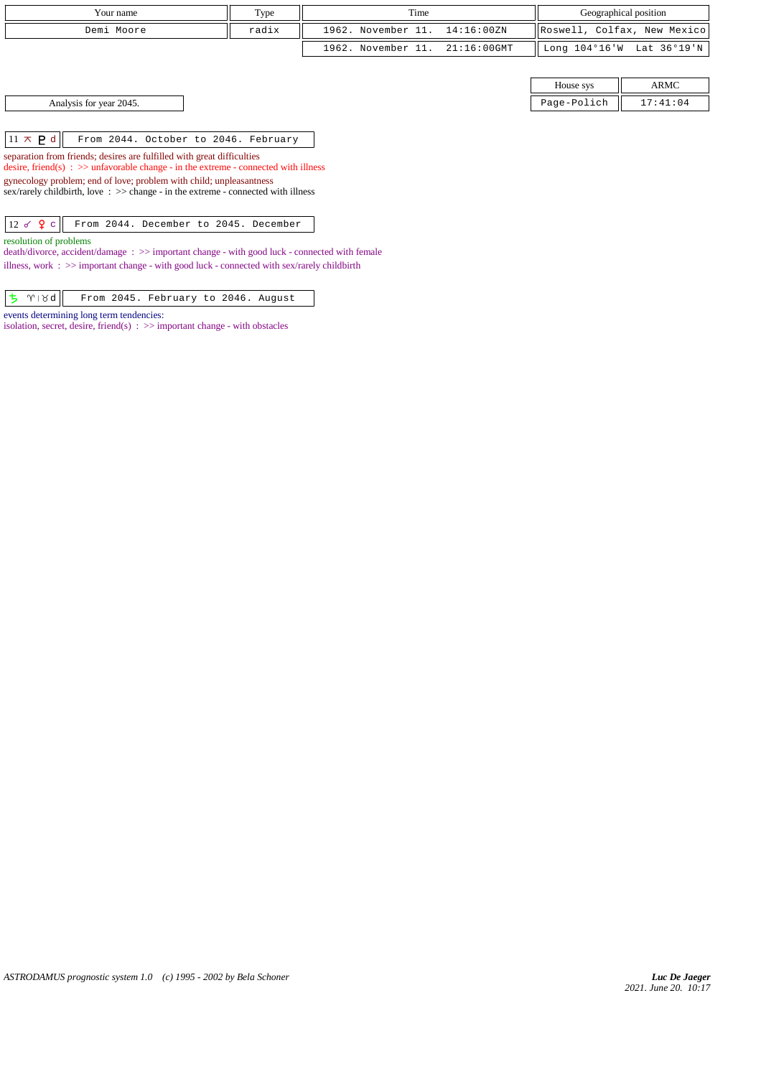| Your name               | Type  | Time                           |             | Geographical position       |
|-------------------------|-------|--------------------------------|-------------|-----------------------------|
| Demi Moore              | radix | 1962. November 11. 14:16:00ZN  |             | Roswell, Colfax, New Mexico |
|                         |       | 1962. November 11. 21:16:00GMT |             | Long 104°16'W Lat 36°19'N   |
|                         |       |                                |             |                             |
|                         |       |                                | House sys   | ARMC                        |
| Analysis for year 2045. |       |                                | Page-Polich | 17:41:04                    |
|                         |       |                                |             |                             |

 $\boxed{11 \times P d}$  From 2044. October to 2046. February

separation from friends; desires are fulfilled with great difficulties desire, friend(s) : >> unfavorable change - in the extreme - connected with illness gynecology problem; end of love; problem with child; unpleasantness sex/rarely childbirth, love :  $\gg$  change - in the extreme - connected with illness

12 c From 2044. December to 2045. December

resolution of problems

death/divorce, accident/damage : >> important change - with good luck - connected with female illness, work :  $\gg$  important change - with good luck - connected with sex/rarely childbirth

|  |  | $\boxed{5}$ $\boxed{\gamma}$   8d   From 2045. February to 2046. August |  |  |
|--|--|-------------------------------------------------------------------------|--|--|

events determining long term tendencies:

isolation, secret, desire, friend(s)  $\Rightarrow$  important change - with obstacles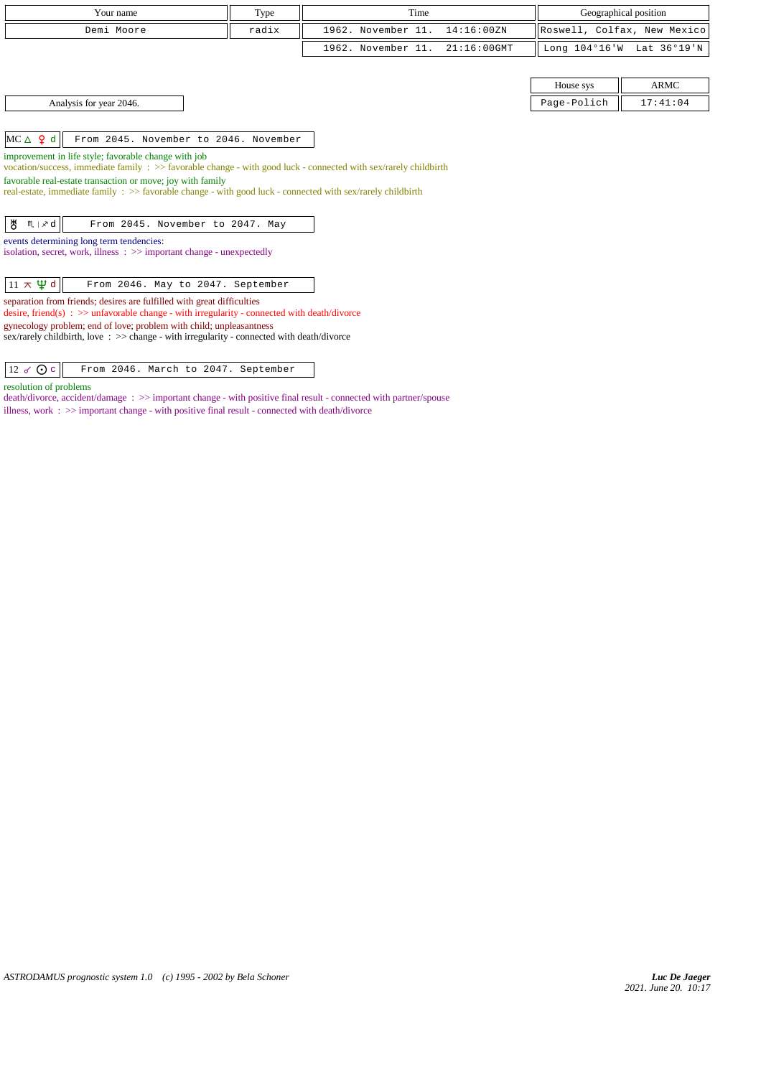| Your name                                                                                                                                                                 |                                                                                                                                                                           | Type | Time                             |                | Geographical position       |                           |  |  |  |  |
|---------------------------------------------------------------------------------------------------------------------------------------------------------------------------|---------------------------------------------------------------------------------------------------------------------------------------------------------------------------|------|----------------------------------|----------------|-----------------------------|---------------------------|--|--|--|--|
|                                                                                                                                                                           |                                                                                                                                                                           |      | 1962. November 11.<br>14:16:00ZN |                |                             |                           |  |  |  |  |
| radix<br>Demi Moore                                                                                                                                                       |                                                                                                                                                                           |      |                                  |                | Roswell, Colfax, New Mexico |                           |  |  |  |  |
|                                                                                                                                                                           |                                                                                                                                                                           |      | 1962. November 11.               | $21:16:00$ GMT |                             | Long 104°16'W Lat 36°19'N |  |  |  |  |
|                                                                                                                                                                           |                                                                                                                                                                           |      |                                  |                |                             |                           |  |  |  |  |
|                                                                                                                                                                           |                                                                                                                                                                           |      |                                  |                | House sys                   | <b>ARMC</b>               |  |  |  |  |
|                                                                                                                                                                           | Analysis for year 2046.                                                                                                                                                   |      |                                  |                | Page-Polich                 | 17:41:04                  |  |  |  |  |
|                                                                                                                                                                           |                                                                                                                                                                           |      |                                  |                |                             |                           |  |  |  |  |
| $MC \triangle \varphi d$                                                                                                                                                  | From 2045. November to 2046. November                                                                                                                                     |      |                                  |                |                             |                           |  |  |  |  |
|                                                                                                                                                                           | improvement in life style; favorable change with job<br>vocation/success, immediate family : >> favorable change - with good luck - connected with sex/rarely childbirth  |      |                                  |                |                             |                           |  |  |  |  |
|                                                                                                                                                                           | favorable real-estate transaction or move; joy with family<br>real-estate, immediate family : >> favorable change - with good luck - connected with sex/rarely childbirth |      |                                  |                |                             |                           |  |  |  |  |
|                                                                                                                                                                           |                                                                                                                                                                           |      |                                  |                |                             |                           |  |  |  |  |
| ზ<br>$M \mid x d$                                                                                                                                                         | From 2045. November to 2047. May                                                                                                                                          |      |                                  |                |                             |                           |  |  |  |  |
|                                                                                                                                                                           | events determining long term tendencies:                                                                                                                                  |      |                                  |                |                             |                           |  |  |  |  |
|                                                                                                                                                                           | isolation, secret, work, illness : >> important change - unexpectedly                                                                                                     |      |                                  |                |                             |                           |  |  |  |  |
|                                                                                                                                                                           |                                                                                                                                                                           |      |                                  |                |                             |                           |  |  |  |  |
| $11 \times \Psi d$                                                                                                                                                        | From 2046. May to 2047. September                                                                                                                                         |      |                                  |                |                             |                           |  |  |  |  |
| separation from friends; desires are fulfilled with great difficulties<br>desire, friend(s) : $\gg$ unfavorable change - with irregularity - connected with death/divorce |                                                                                                                                                                           |      |                                  |                |                             |                           |  |  |  |  |
| gynecology problem; end of love; problem with child; unpleasantness                                                                                                       |                                                                                                                                                                           |      |                                  |                |                             |                           |  |  |  |  |
|                                                                                                                                                                           | sex/rarely childbirth, love: $\gg$ change - with irregularity - connected with death/divorce                                                                              |      |                                  |                |                             |                           |  |  |  |  |
|                                                                                                                                                                           |                                                                                                                                                                           |      |                                  |                |                             |                           |  |  |  |  |

resolution of problems

death/divorce, accident/damage : >> important change - with positive final result - connected with partner/spouse illness, work :  $>>$  important change - with positive final result - connected with death/divorce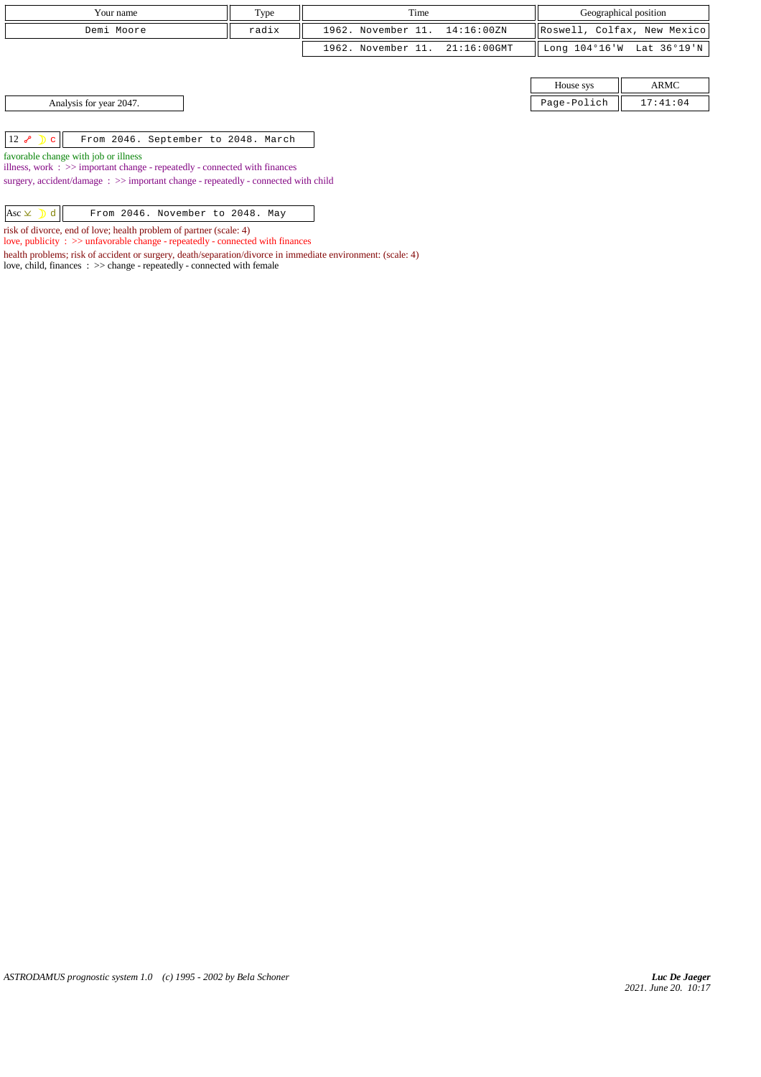| Your name                                                                          | Type  | Time                           | Geographical position |             |                             |
|------------------------------------------------------------------------------------|-------|--------------------------------|-----------------------|-------------|-----------------------------|
| Demi Moore                                                                         | radix | 1962. November 11. 14:16:00ZN  |                       |             | Roswell, Colfax, New Mexico |
|                                                                                    |       | 1962. November 11. 21:16:00GMT |                       |             | Long 104°16'W Lat 36°19'N   |
|                                                                                    |       |                                |                       |             |                             |
|                                                                                    |       |                                |                       | House sys   | ARMC                        |
| Analysis for year 2047.                                                            |       |                                |                       | Page-Polich | 17:41:04                    |
|                                                                                    |       |                                |                       |             |                             |
| $12 \rightarrow \mathbb{D}$<br>From 2046. September to 2048. March<br>$\mathbf{C}$ |       |                                |                       |             |                             |
| favorable change with job or illness                                               |       |                                |                       |             |                             |

*ASTRODAMUS prognostic system 1.0 (c) 1995 - 2002 by Bela Schoner*

illness, work : >> important change - repeatedly - connected with finances surgery, accident/damage  $\;\; >>$  important change - repeatedly - connected with child

 $\begin{array}{|c|c|c|c|c|}\n \hline \text{Asc } \times & \text{and} & \text{From 2046. November to 2048. May} \end{array}$ risk of divorce, end of love; health problem of partner (scale: 4) love, publicity : >> unfavorable change - repeatedly - connected with finances

love, child, finances : >> change - repeatedly - connected with female

health problems; risk of accident or surgery, death/separation/divorce in immediate environment: (scale: 4)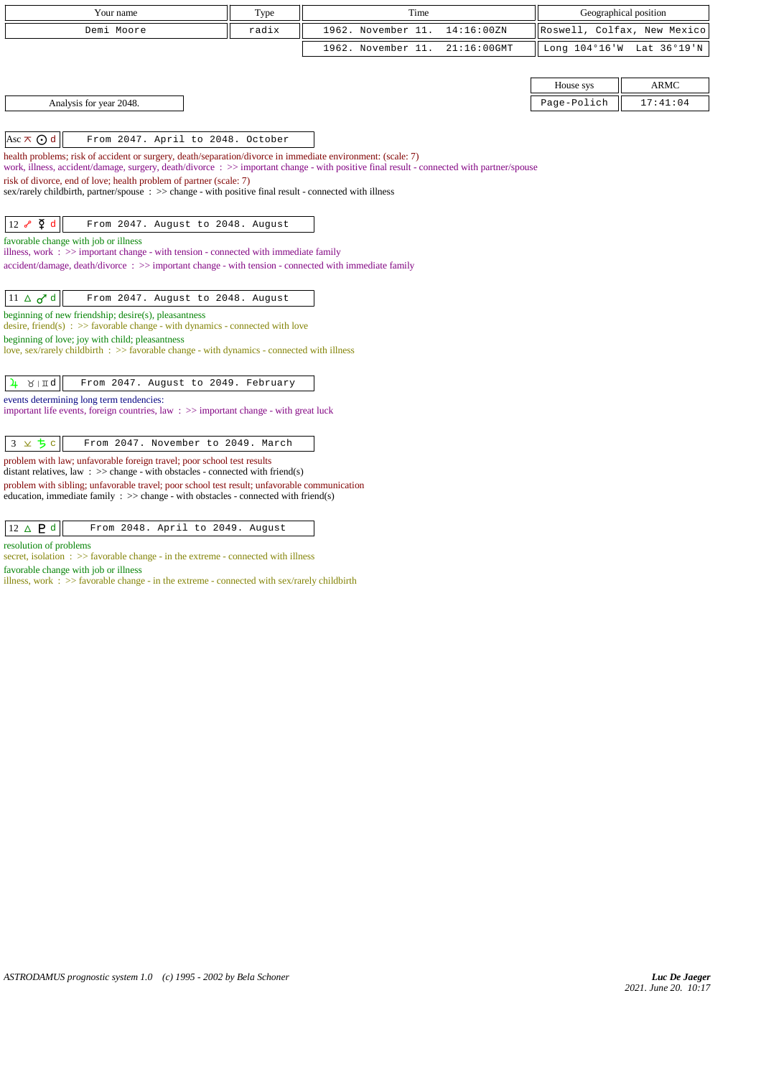| Your name<br>Type                                                                                                                                                                                                                                       |                                                                                                                                                             | Time |                    |             | Geographical position       |                           |  |  |
|---------------------------------------------------------------------------------------------------------------------------------------------------------------------------------------------------------------------------------------------------------|-------------------------------------------------------------------------------------------------------------------------------------------------------------|------|--------------------|-------------|-----------------------------|---------------------------|--|--|
| Demi Moore<br>radix                                                                                                                                                                                                                                     |                                                                                                                                                             |      | 1962. November 11. | 14:16:00ZN  | Roswell, Colfax, New Mexico |                           |  |  |
|                                                                                                                                                                                                                                                         |                                                                                                                                                             |      | 1962. November 11. | 21:16:00GMT |                             | Long 104°16'W Lat 36°19'N |  |  |
|                                                                                                                                                                                                                                                         |                                                                                                                                                             |      |                    |             |                             |                           |  |  |
|                                                                                                                                                                                                                                                         |                                                                                                                                                             |      |                    |             | House sys                   | <b>ARMC</b>               |  |  |
| Analysis for year 2048.                                                                                                                                                                                                                                 |                                                                                                                                                             |      |                    |             | Page-Polich                 | 17:41:04                  |  |  |
|                                                                                                                                                                                                                                                         |                                                                                                                                                             |      |                    |             |                             |                           |  |  |
| Asc $\overline{\wedge}$ $\overline{\odot}$ d<br>From 2047. April to 2048. October                                                                                                                                                                       |                                                                                                                                                             |      |                    |             |                             |                           |  |  |
| health problems; risk of accident or surgery, death/separation/divorce in immediate environment: (scale: 7)<br>work, illness, accident/damage, surgery, death/divorce: >> important change - with positive final result - connected with partner/spouse |                                                                                                                                                             |      |                    |             |                             |                           |  |  |
| risk of divorce, end of love; health problem of partner (scale: 7)                                                                                                                                                                                      |                                                                                                                                                             |      |                    |             |                             |                           |  |  |
| sex/rarely childbirth, partner/spouse : >> change - with positive final result - connected with illness                                                                                                                                                 |                                                                                                                                                             |      |                    |             |                             |                           |  |  |
|                                                                                                                                                                                                                                                         |                                                                                                                                                             |      |                    |             |                             |                           |  |  |
| $12 \sim \Phi d$<br>From 2047. August to 2048. August                                                                                                                                                                                                   |                                                                                                                                                             |      |                    |             |                             |                           |  |  |
| favorable change with job or illness<br>illness, work $\Rightarrow$ important change - with tension - connected with immediate family                                                                                                                   |                                                                                                                                                             |      |                    |             |                             |                           |  |  |
| accident/damage, death/divorce: >> important change - with tension - connected with immediate family                                                                                                                                                    |                                                                                                                                                             |      |                    |             |                             |                           |  |  |
|                                                                                                                                                                                                                                                         |                                                                                                                                                             |      |                    |             |                             |                           |  |  |
| $11 \Delta \sigma d$<br>From 2047. August to 2048. August                                                                                                                                                                                               |                                                                                                                                                             |      |                    |             |                             |                           |  |  |
| beginning of new friendship; desire(s), pleasantness<br>desire, friend(s) : $\gg$ favorable change - with dynamics - connected with love                                                                                                                |                                                                                                                                                             |      |                    |             |                             |                           |  |  |
| beginning of love; joy with child; pleasantness                                                                                                                                                                                                         |                                                                                                                                                             |      |                    |             |                             |                           |  |  |
| love, sex/rarely childbirth $\Rightarrow$ Savorable change - with dynamics - connected with illness                                                                                                                                                     |                                                                                                                                                             |      |                    |             |                             |                           |  |  |
| $\lambda$   $\pi q$<br>From 2047. August to 2049. February<br>4                                                                                                                                                                                         |                                                                                                                                                             |      |                    |             |                             |                           |  |  |
| events determining long term tendencies:                                                                                                                                                                                                                |                                                                                                                                                             |      |                    |             |                             |                           |  |  |
| important life events, foreign countries, law $\Rightarrow$ important change - with great luck                                                                                                                                                          |                                                                                                                                                             |      |                    |             |                             |                           |  |  |
|                                                                                                                                                                                                                                                         |                                                                                                                                                             |      |                    |             |                             |                           |  |  |
| $3 \times 5c$<br>From 2047. November to 2049. March                                                                                                                                                                                                     |                                                                                                                                                             |      |                    |             |                             |                           |  |  |
|                                                                                                                                                                                                                                                         | problem with law; unfavorable foreign travel; poor school test results<br>distant relatives, law : $\gg$ change - with obstacles - connected with friend(s) |      |                    |             |                             |                           |  |  |
| problem with sibling; unfavorable travel; poor school test result; unfavorable communication                                                                                                                                                            |                                                                                                                                                             |      |                    |             |                             |                           |  |  |
| education, immediate family $\Rightarrow$ > change - with obstacles - connected with friend(s)                                                                                                                                                          |                                                                                                                                                             |      |                    |             |                             |                           |  |  |
| $12 \triangle P d$<br>From 2048. April to 2049. August                                                                                                                                                                                                  |                                                                                                                                                             |      |                    |             |                             |                           |  |  |
|                                                                                                                                                                                                                                                         |                                                                                                                                                             |      |                    |             |                             |                           |  |  |

resolution of problems

secret, isolation : >> favorable change - in the extreme - connected with illness favorable change with job or illness

illness, work : >> favorable change - in the extreme - connected with sex/rarely childbirth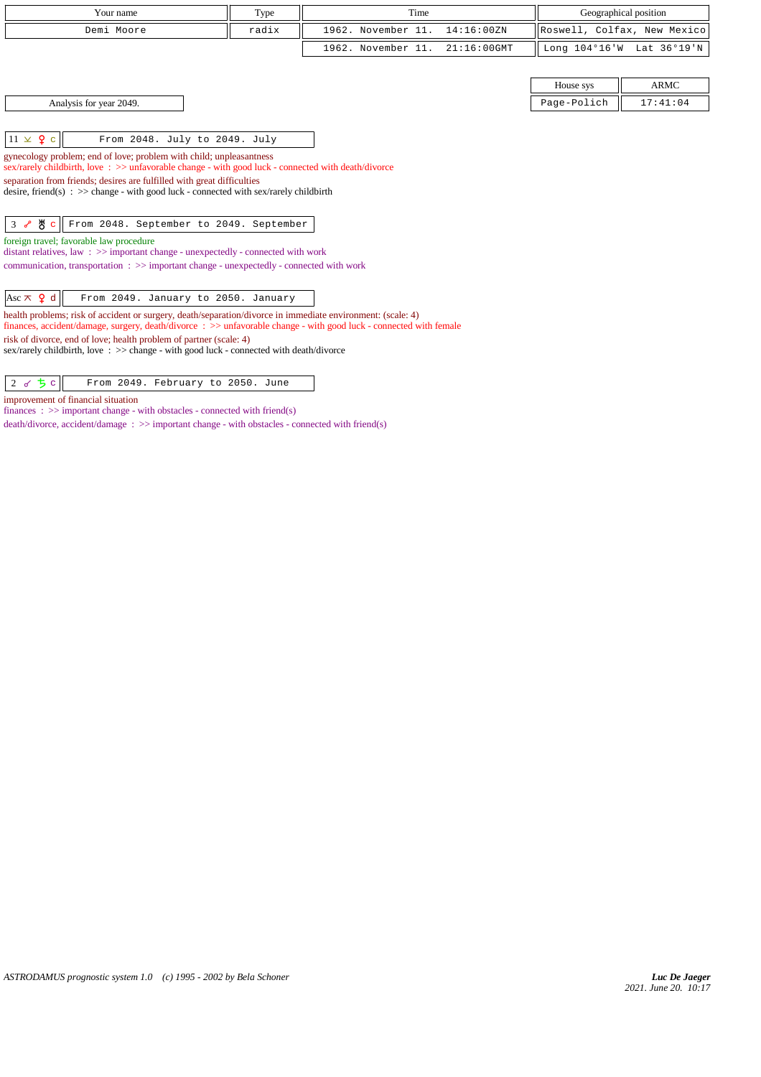| Your name                                                                                                                                                                                                                                                                                                                                                                                           | Type  | Time               |                | Geographical position |                             |  |  |  |  |
|-----------------------------------------------------------------------------------------------------------------------------------------------------------------------------------------------------------------------------------------------------------------------------------------------------------------------------------------------------------------------------------------------------|-------|--------------------|----------------|-----------------------|-----------------------------|--|--|--|--|
| Demi Moore                                                                                                                                                                                                                                                                                                                                                                                          | radix | 1962. November 11. | 14:16:00ZN     |                       | Roswell, Colfax, New Mexico |  |  |  |  |
|                                                                                                                                                                                                                                                                                                                                                                                                     |       | 1962. November 11. | $21:16:00$ GMT |                       | Long 104°16'W Lat 36°19'N   |  |  |  |  |
|                                                                                                                                                                                                                                                                                                                                                                                                     |       |                    |                |                       |                             |  |  |  |  |
|                                                                                                                                                                                                                                                                                                                                                                                                     |       |                    |                | House sys             | <b>ARMC</b>                 |  |  |  |  |
| Analysis for year 2049.                                                                                                                                                                                                                                                                                                                                                                             |       |                    |                | Page-Polich           | 17:41:04                    |  |  |  |  |
| $11 \times 9$ c<br>From 2048. July to 2049. July<br>gynecology problem; end of love; problem with child; unpleasantness<br>sex/rarely childbirth, love: >> unfavorable change - with good luck - connected with death/divorce<br>separation from friends; desires are fulfilled with great difficulties<br>desire, friend(s) : $\gg$ change - with good luck - connected with sex/rarely childbirth |       |                    |                |                       |                             |  |  |  |  |
| $3$ $8$ $8$ $c$<br>From 2048. September to 2049. September                                                                                                                                                                                                                                                                                                                                          |       |                    |                |                       |                             |  |  |  |  |
| foreign travel; favorable law procedure<br>distant relatives, law $\Rightarrow$ important change - unexpectedly - connected with work<br>communication, transportation : >> important change - unexpectedly - connected with work                                                                                                                                                                   |       |                    |                |                       |                             |  |  |  |  |
| Asc $\pi$ <b>Q</b> d<br>From 2049. January to 2050. January                                                                                                                                                                                                                                                                                                                                         |       |                    |                |                       |                             |  |  |  |  |
| health problems; risk of accident or surgery, death/separation/divorce in immediate environment: (scale: 4)                                                                                                                                                                                                                                                                                         |       |                    |                |                       |                             |  |  |  |  |

finances, accident/damage, surgery, death/divorce : >> unfavorable change - with good luck - connected with female

risk of divorce, end of love; health problem of partner (scale: 4)

improvement of financial situation

 $\begin{vmatrix} 2 & 6 & 5 \end{vmatrix}$  From 2049. February to 2050. June

finances :  $\gg$  important change - with obstacles - connected with friend(s)

sex/rarely childbirth, love : >> change - with good luck - connected with death/divorce

death/divorce, accident/damage  $\;\; >>$  important change - with obstacles - connected with friend(s)